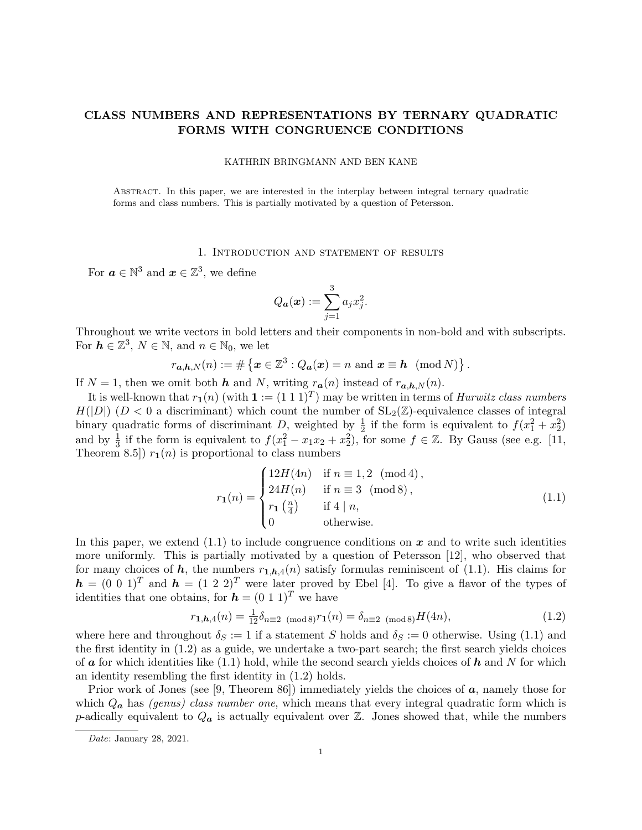## CLASS NUMBERS AND REPRESENTATIONS BY TERNARY QUADRATIC FORMS WITH CONGRUENCE CONDITIONS

#### KATHRIN BRINGMANN AND BEN KANE

Abstract. In this paper, we are interested in the interplay between integral ternary quadratic forms and class numbers. This is partially motivated by a question of Petersson.

#### 1. Introduction and statement of results

For  $a \in \mathbb{N}^3$  and  $x \in \mathbb{Z}^3$ , we define

$$
Q_{\boldsymbol{a}}(\boldsymbol{x}) := \sum_{j=1}^3 a_j x_j^2.
$$

Throughout we write vectors in bold letters and their components in non-bold and with subscripts. For  $h \in \mathbb{Z}^3$ ,  $N \in \mathbb{N}$ , and  $n \in \mathbb{N}_0$ , we let

$$
r_{\mathbf{a},\mathbf{h},N}(n) := \# \left\{ \mathbf{x} \in \mathbb{Z}^3 : Q_{\mathbf{a}}(\mathbf{x}) = n \text{ and } \mathbf{x} \equiv \mathbf{h} \pmod{N} \right\}.
$$

If  $N = 1$ , then we omit both h and N, writing  $r_a(n)$  instead of  $r_{a,h,N}(n)$ .

It is well-known that  $r_1(n)$  (with  $\mathbf{1} := (1\ 1\ 1)^T$ ) may be written in terms of *Hurwitz class numbers*  $H(|D|)$  ( $D < 0$  a discriminant) which count the number of  $SL_2(\mathbb{Z})$ -equivalence classes of integral binary quadratic forms of discriminant D, weighted by  $\frac{1}{2}$  if the form is equivalent to  $f(x_1^2 + x_2^2)$ and by  $\frac{1}{3}$  if the form is equivalent to  $f(x_1^2 - x_1x_2 + x_2^2)$ , for some  $f \in \mathbb{Z}$ . By Gauss (see e.g. [11, Theorem 8.5)  $r_1(n)$  is proportional to class numbers

$$
r_{1}(n) = \begin{cases} 12H(4n) & \text{if } n \equiv 1, 2 \pmod{4}, \\ 24H(n) & \text{if } n \equiv 3 \pmod{8}, \\ r_{1}\left(\frac{n}{4}\right) & \text{if } 4 \mid n, \\ 0 & \text{otherwise.} \end{cases}
$$
(1.1)

In this paper, we extend  $(1.1)$  to include congruence conditions on x and to write such identities more uniformly. This is partially motivated by a question of Petersson [12], who observed that for many choices of h, the numbers  $r_{1,h,4}(n)$  satisfy formulas reminiscent of (1.1). His claims for  $h = (0 \ 0 \ 1)^T$  and  $h = (1 \ 2 \ 2)^T$  were later proved by Ebel [4]. To give a flavor of the types of identities that one obtains, for  $h = (0 \ 1 \ 1)^T$  we have

$$
r_{1,h,4}(n) = \frac{1}{12}\delta_{n \equiv 2 \pmod{8}} r_1(n) = \delta_{n \equiv 2 \pmod{8}} H(4n),\tag{1.2}
$$

where here and throughout  $\delta_S := 1$  if a statement S holds and  $\delta_S := 0$  otherwise. Using (1.1) and the first identity in (1.2) as a guide, we undertake a two-part search; the first search yields choices of  $\boldsymbol{a}$  for which identities like (1.1) hold, while the second search yields choices of  $\boldsymbol{h}$  and  $N$  for which an identity resembling the first identity in (1.2) holds.

Prior work of Jones (see [9, Theorem 86]) immediately yields the choices of  $\boldsymbol{a}$ , namely those for which  $Q_a$  has *(genus) class number one*, which means that every integral quadratic form which is p-adically equivalent to  $Q_a$  is actually equivalent over  $\mathbb Z$ . Jones showed that, while the numbers

Date: January 28, 2021.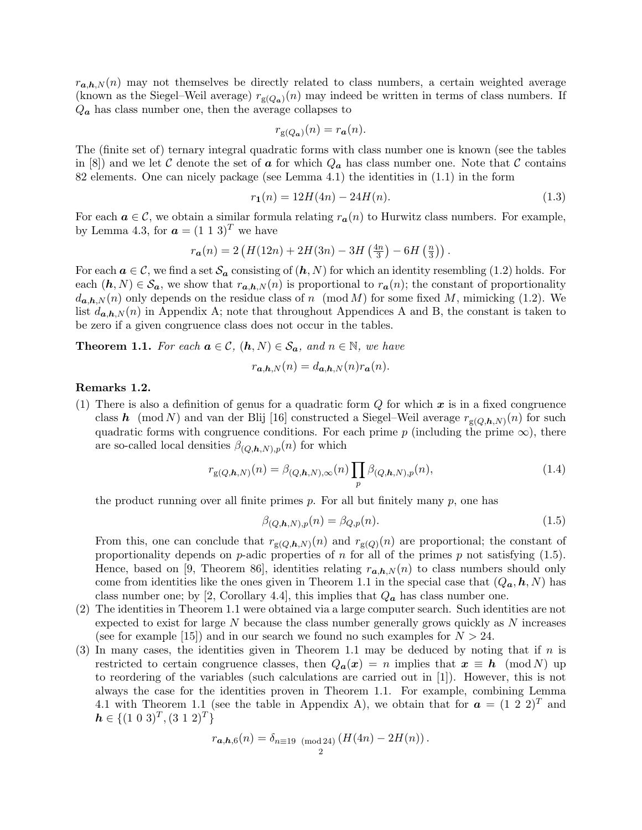$r_{a,h,N}(n)$  may not themselves be directly related to class numbers, a certain weighted average (known as the Siegel–Weil average)  $r_{g(Q_a)}(n)$  may indeed be written in terms of class numbers. If  $Q_a$  has class number one, then the average collapses to

$$
r_{\mathbf{g}(Q_{\mathbf{a}})}(n) = r_{\mathbf{a}}(n).
$$

The (finite set of) ternary integral quadratic forms with class number one is known (see the tables in [8]) and we let C denote the set of a for which  $Q_a$  has class number one. Note that C contains 82 elements. One can nicely package (see Lemma 4.1) the identities in (1.1) in the form

$$
r_1(n) = 12H(4n) - 24H(n). \tag{1.3}
$$

For each  $a \in \mathcal{C}$ , we obtain a similar formula relating  $r_a(n)$  to Hurwitz class numbers. For example, by Lemma 4.3, for  $\mathbf{a} = (1 \ 1 \ 3)^T$  we have

$$
r_{a}(n) = 2\left(H(12n) + 2H(3n) - 3H\left(\frac{4n}{3}\right) - 6H\left(\frac{n}{3}\right)\right).
$$

For each  $a \in \mathcal{C}$ , we find a set  $\mathcal{S}_a$  consisting of  $(h, N)$  for which an identity resembling (1.2) holds. For each  $(h, N) \in S_a$ , we show that  $r_{a,h,N}(n)$  is proportional to  $r_a(n)$ ; the constant of proportionality  $d_{a,h,N}(n)$  only depends on the residue class of n (mod M) for some fixed M, mimicking (1.2). We list  $d_{a,h,N}(n)$  in Appendix A; note that throughout Appendices A and B, the constant is taken to be zero if a given congruence class does not occur in the tables.

**Theorem 1.1.** For each  $a \in \mathcal{C}$ ,  $(h, N) \in \mathcal{S}_a$ , and  $n \in \mathbb{N}$ , we have

$$
r_{\mathbf{a},\mathbf{h},N}(n) = d_{\mathbf{a},\mathbf{h},N}(n)r_{\mathbf{a}}(n).
$$

### Remarks 1.2.

(1) There is also a definition of genus for a quadratic form  $Q$  for which  $x$  is in a fixed congruence class h (mod N) and van der Blij [16] constructed a Siegel–Weil average  $r_{\text{g}(Q,h,N)}(n)$  for such quadratic forms with congruence conditions. For each prime p (including the prime  $\infty$ ), there are so-called local densities  $\beta_{(Q,h,N),p}(n)$  for which

$$
r_{g(Q,h,N)}(n) = \beta_{(Q,h,N),\infty}(n) \prod_{p} \beta_{(Q,h,N),p}(n),
$$
\n(1.4)

the product running over all finite primes  $p$ . For all but finitely many  $p$ , one has

$$
\beta_{(Q,h,N),p}(n) = \beta_{Q,p}(n). \tag{1.5}
$$

From this, one can conclude that  $r_{g(Q,h,N)}(n)$  and  $r_{g(Q)}(n)$  are proportional; the constant of proportionality depends on  $p$ -adic properties of  $n$  for all of the primes  $p$  not satisfying (1.5). Hence, based on [9, Theorem 86], identities relating  $r_{a,h,N}(n)$  to class numbers should only come from identities like the ones given in Theorem 1.1 in the special case that  $(Q_a, h, N)$  has class number one; by [2, Corollary 4.4], this implies that  $Q_a$  has class number one.

- (2) The identities in Theorem 1.1 were obtained via a large computer search. Such identities are not expected to exist for large  $N$  because the class number generally grows quickly as  $N$  increases (see for example [15]) and in our search we found no such examples for  $N > 24$ .
- (3) In many cases, the identities given in Theorem 1.1 may be deduced by noting that if  $n$  is restricted to certain congruence classes, then  $Q_a(x) = n$  implies that  $x \equiv h \pmod{N}$  up to reordering of the variables (such calculations are carried out in [1]). However, this is not always the case for the identities proven in Theorem 1.1. For example, combining Lemma 4.1 with Theorem 1.1 (see the table in Appendix A), we obtain that for  $\boldsymbol{a} = (1\ 2\ 2)^T$  and  $h \in \{(1\;0\;3)^T, (3\;1\;2)^T\}$

$$
r_{\mathbf{a},\mathbf{h},6}(n) = \delta_{n \equiv 19 \pmod{24}} (H(4n) - 2H(n)).
$$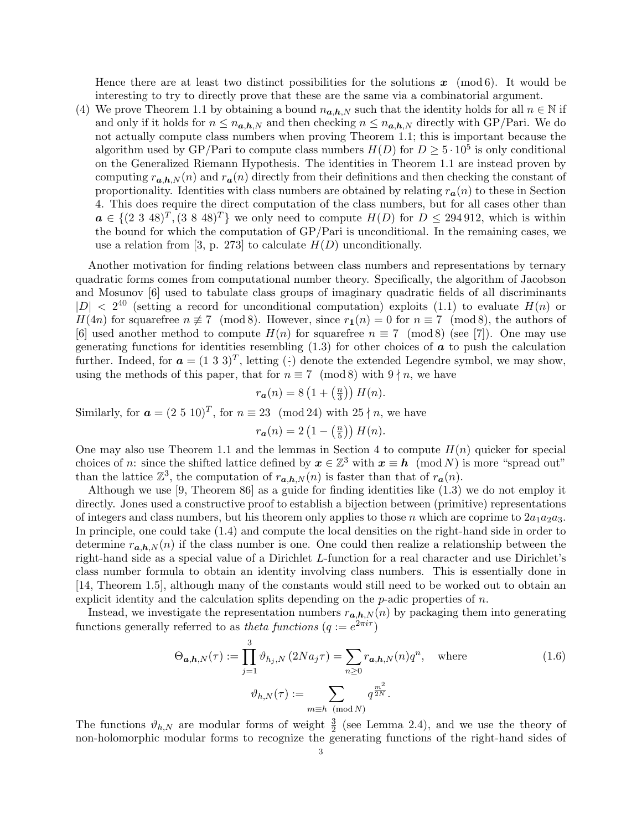Hence there are at least two distinct possibilities for the solutions  $x \pmod{6}$ . It would be interesting to try to directly prove that these are the same via a combinatorial argument.

(4) We prove Theorem 1.1 by obtaining a bound  $n_{a,h,N}$  such that the identity holds for all  $n \in \mathbb{N}$  if and only if it holds for  $n \leq n_{a,h,N}$  and then checking  $n \leq n_{a,h,N}$  directly with GP/Pari. We do not actually compute class numbers when proving Theorem 1.1; this is important because the algorithm used by GP/Pari to compute class numbers  $H(D)$  for  $D \geq 5 \cdot 10^5$  is only conditional on the Generalized Riemann Hypothesis. The identities in Theorem 1.1 are instead proven by computing  $r_{a,h,N}(n)$  and  $r_a(n)$  directly from their definitions and then checking the constant of proportionality. Identities with class numbers are obtained by relating  $r_a(n)$  to these in Section 4. This does require the direct computation of the class numbers, but for all cases other than  $a \in \{(2\ 3\ 48)^T, (3\ 8\ 48)^T\}$  we only need to compute  $H(D)$  for  $D \leq 294\,912$ , which is within the bound for which the computation of GP/Pari is unconditional. In the remaining cases, we use a relation from [3, p. 273] to calculate  $H(D)$  unconditionally.

Another motivation for finding relations between class numbers and representations by ternary quadratic forms comes from computational number theory. Specifically, the algorithm of Jacobson and Mosunov [6] used to tabulate class groups of imaginary quadratic fields of all discriminants  $|D| < 2^{40}$  (setting a record for unconditional computation) exploits (1.1) to evaluate  $H(n)$  or  $H(4n)$  for squarefree  $n \not\equiv 7 \pmod{8}$ . However, since  $r_1(n) = 0$  for  $n \equiv 7 \pmod{8}$ , the authors of [6] used another method to compute  $H(n)$  for squarefree  $n \equiv 7 \pmod{8}$  (see [7]). One may use generating functions for identities resembling  $(1.3)$  for other choices of  $\boldsymbol{a}$  to push the calculation further. Indeed, for  $\boldsymbol{a} = (1\ 3\ 3)^T$ , letting (:) denote the extended Legendre symbol, we may show, using the methods of this paper, that for  $n \equiv 7 \pmod{8}$  with  $9 \nmid n$ , we have

$$
r_{\mathbf{a}}(n) = 8\left(1 + \left(\frac{n}{3}\right)\right)H(n).
$$

Similarly, for  $\mathbf{a} = (2\ 5\ 10)^T$ , for  $n \equiv 23 \pmod{24}$  with  $25 \nmid n$ , we have

$$
r_{a}(n) = 2\left(1 - \left(\frac{n}{5}\right)\right)H(n).
$$

One may also use Theorem 1.1 and the lemmas in Section 4 to compute  $H(n)$  quicker for special choices of n: since the shifted lattice defined by  $x \in \mathbb{Z}^3$  with  $x \equiv h \pmod{N}$  is more "spread out" than the lattice  $\mathbb{Z}^3$ , the computation of  $r_{a,h,N}(n)$  is faster than that of  $r_a(n)$ .

Although we use [9, Theorem 86] as a guide for finding identities like (1.3) we do not employ it directly. Jones used a constructive proof to establish a bijection between (primitive) representations of integers and class numbers, but his theorem only applies to those n which are coprime to  $2a_1a_2a_3$ . In principle, one could take (1.4) and compute the local densities on the right-hand side in order to determine  $r_{a,h,N}(n)$  if the class number is one. One could then realize a relationship between the right-hand side as a special value of a Dirichlet L-function for a real character and use Dirichlet's class number formula to obtain an identity involving class numbers. This is essentially done in [14, Theorem 1.5], although many of the constants would still need to be worked out to obtain an explicit identity and the calculation splits depending on the  $p$ -adic properties of  $n$ .

Instead, we investigate the representation numbers  $r_{a,h,N}(n)$  by packaging them into generating functions generally referred to as theta functions  $(q := e^{2\pi i \tau})$ 

$$
\Theta_{\mathbf{a},\mathbf{h},N}(\tau) := \prod_{j=1}^{3} \vartheta_{h_j,N} (2Na_j \tau) = \sum_{n\geq 0} r_{\mathbf{a},\mathbf{h},N}(n) q^n, \quad \text{where}
$$
\n
$$
\vartheta_{h,N}(\tau) := \sum_{m \equiv h \pmod{N}} q^{\frac{m^2}{2N}}.
$$
\n(1.6)

The functions  $\vartheta_{h,N}$  are modular forms of weight  $\frac{3}{2}$  (see Lemma 2.4), and we use the theory of non-holomorphic modular forms to recognize the generating functions of the right-hand sides of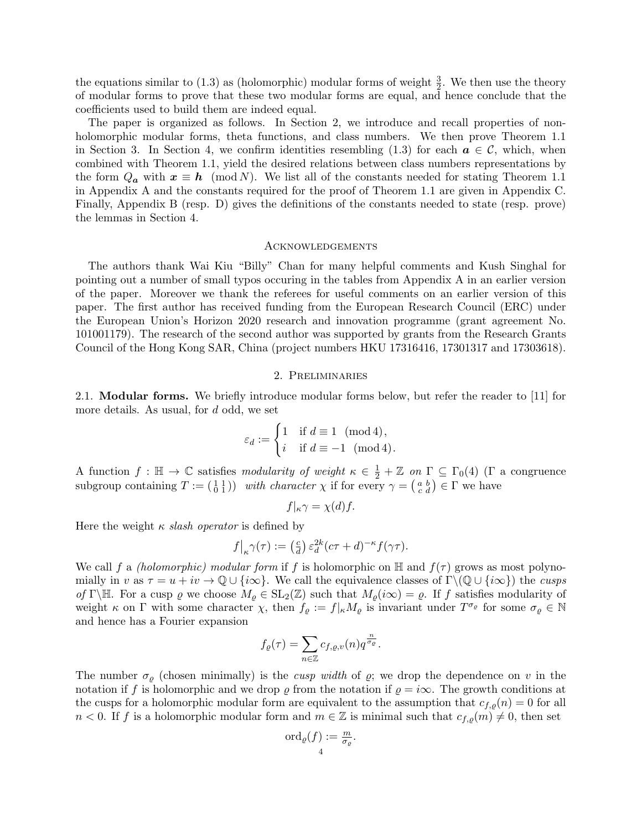the equations similar to (1.3) as (holomorphic) modular forms of weight  $\frac{3}{2}$ . We then use the theory of modular forms to prove that these two modular forms are equal, and hence conclude that the coefficients used to build them are indeed equal.

The paper is organized as follows. In Section 2, we introduce and recall properties of nonholomorphic modular forms, theta functions, and class numbers. We then prove Theorem 1.1 in Section 3. In Section 4, we confirm identities resembling (1.3) for each  $a \in \mathcal{C}$ , which, when combined with Theorem 1.1, yield the desired relations between class numbers representations by the form  $Q_a$  with  $x \equiv h \pmod{N}$ . We list all of the constants needed for stating Theorem 1.1 in Appendix A and the constants required for the proof of Theorem 1.1 are given in Appendix C. Finally, Appendix B (resp. D) gives the definitions of the constants needed to state (resp. prove) the lemmas in Section 4.

#### Acknowledgements

The authors thank Wai Kiu "Billy" Chan for many helpful comments and Kush Singhal for pointing out a number of small typos occuring in the tables from Appendix A in an earlier version of the paper. Moreover we thank the referees for useful comments on an earlier version of this paper. The first author has received funding from the European Research Council (ERC) under the European Union's Horizon 2020 research and innovation programme (grant agreement No. 101001179). The research of the second author was supported by grants from the Research Grants Council of the Hong Kong SAR, China (project numbers HKU 17316416, 17301317 and 17303618).

#### 2. Preliminaries

2.1. Modular forms. We briefly introduce modular forms below, but refer the reader to [11] for more details. As usual, for d odd, we set

$$
\varepsilon_d := \begin{cases} 1 & \text{if } d \equiv 1 \pmod{4}, \\ i & \text{if } d \equiv -1 \pmod{4}. \end{cases}
$$

A function  $f : \mathbb{H} \to \mathbb{C}$  satisfies modularity of weight  $\kappa \in \frac{1}{2} + \mathbb{Z}$  on  $\Gamma \subseteq \Gamma_0(4)$  ( $\Gamma$  a congruence subgroup containing  $T := \begin{pmatrix} 1 & 1 \\ 0 & 1 \end{pmatrix}$  with character  $\chi$  if for every  $\gamma = \begin{pmatrix} a & b \\ c & d \end{pmatrix} \in \Gamma$  we have

$$
f|_{\kappa} \gamma = \chi(d) f.
$$

Here the weight  $\kappa$  *slash operator* is defined by

$$
f|_{\kappa} \gamma(\tau) := \left(\frac{c}{d}\right) \varepsilon_d^{2k} (c\tau + d)^{-\kappa} f(\gamma \tau).
$$

We call f a *(holomorphic) modular form* if f is holomorphic on  $\mathbb{H}$  and  $f(\tau)$  grows as most polynomially in v as  $\tau = u + iv \to \mathbb{Q} \cup \{i\infty\}$ . We call the equivalence classes of  $\Gamma \setminus (\mathbb{Q} \cup \{i\infty\})$  the cusps of Γ\H. For a cusp  $\varrho$  we choose  $M_{\varrho} \in SL_2(\mathbb{Z})$  such that  $M_{\varrho}(i\infty) = \varrho$ . If f satisfies modularity of weight  $\kappa$  on  $\Gamma$  with some character  $\chi$ , then  $f_{\varrho} := f|_{\kappa} M_{\varrho}$  is invariant under  $T^{\sigma_{\varrho}}$  for some  $\sigma_{\varrho} \in \mathbb{N}$ and hence has a Fourier expansion

$$
f_{\varrho}(\tau) = \sum_{n \in \mathbb{Z}} c_{f,\varrho,v}(n) q^{\frac{n}{\sigma_{\varrho}}}.
$$

The number  $\sigma_{\rho}$  (chosen minimally) is the *cusp width* of  $\rho$ ; we drop the dependence on v in the notation if f is holomorphic and we drop  $\varrho$  from the notation if  $\varrho = i\infty$ . The growth conditions at the cusps for a holomorphic modular form are equivalent to the assumption that  $c_{f,\rho}(n) = 0$  for all  $n < 0$ . If f is a holomorphic modular form and  $m \in \mathbb{Z}$  is minimal such that  $c_{f,\rho}(m) \neq 0$ , then set

$$
\mathrm{ord}_{\varrho}(f):=\frac{m}{\sigma_{\varrho}}.
$$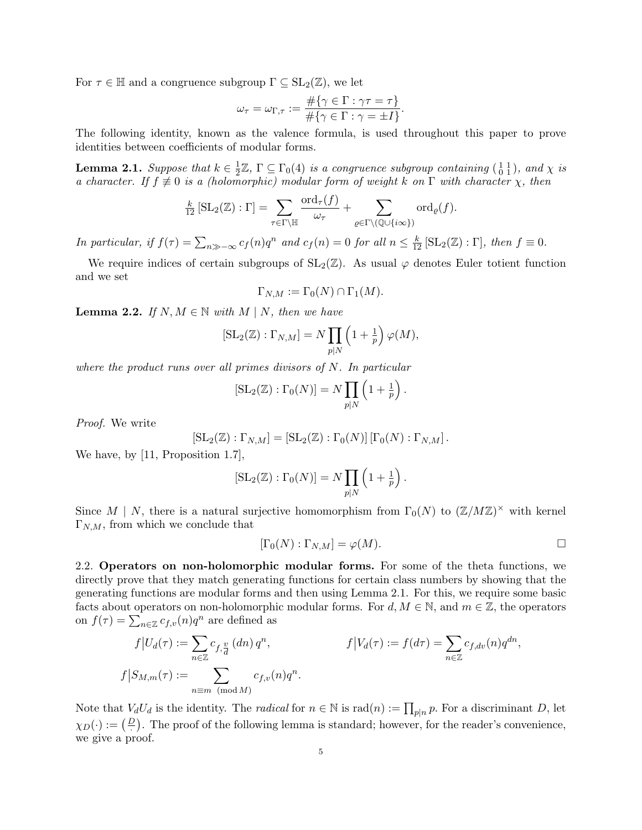For  $\tau \in \mathbb{H}$  and a congruence subgroup  $\Gamma \subseteq SL_2(\mathbb{Z})$ , we let

$$
\omega_{\tau} = \omega_{\Gamma,\tau} := \frac{\#\{\gamma \in \Gamma : \gamma \tau = \tau\}}{\#\{\gamma \in \Gamma : \gamma = \pm I\}}.
$$

The following identity, known as the valence formula, is used throughout this paper to prove identities between coefficients of modular forms.

**Lemma 2.1.** Suppose that  $k \in \frac{1}{2}$  $\frac{1}{2}\mathbb{Z}, \Gamma \subseteq \Gamma_0(4)$  is a congruence subgroup containing  $\left(\begin{smallmatrix} 1 & 1 \ 0 & 1 \end{smallmatrix}\right)$ , and  $\chi$  is a character. If  $f \neq 0$  is a (holomorphic) modular form of weight k on  $\Gamma$  with character  $\chi$ , then

$$
\frac{k}{12} [\operatorname{SL}_2(\mathbb{Z}) : \Gamma] = \sum_{\tau \in \Gamma \backslash \mathbb{H}} \frac{\operatorname{ord}_{\tau}(f)}{\omega_{\tau}} + \sum_{\varrho \in \Gamma \backslash (\mathbb{Q} \cup \{i \infty\})} \operatorname{ord}_{\varrho}(f).
$$

In particular, if  $f(\tau) = \sum_{n \gg -\infty} c_f(n)q^n$  and  $c_f(n) = 0$  for all  $n \leq \frac{k}{12} [\text{SL}_2(\mathbb{Z}) : \Gamma]$ , then  $f \equiv 0$ .

We require indices of certain subgroups of  $SL_2(\mathbb{Z})$ . As usual  $\varphi$  denotes Euler totient function and we set

$$
\Gamma_{N,M} := \Gamma_0(N) \cap \Gamma_1(M).
$$

**Lemma 2.2.** If  $N, M \in \mathbb{N}$  with  $M \mid N$ , then we have

$$
[\mathrm{SL}_2(\mathbb{Z}):\Gamma_{N,M}] = N \prod_{p|N} \left(1 + \frac{1}{p}\right) \varphi(M),
$$

where the product runs over all primes divisors of N. In particular

$$
[\operatorname{SL}_2(\mathbb{Z}):\Gamma_0(N)] = N \prod_{p|N} \left(1 + \frac{1}{p}\right).
$$

Proof. We write

$$
[\operatorname{SL}_2(\mathbb{Z}) : \Gamma_{N,M}] = [\operatorname{SL}_2(\mathbb{Z}) : \Gamma_0(N)] [\Gamma_0(N) : \Gamma_{N,M}].
$$

We have, by [11, Proposition 1.7],

$$
[\operatorname{SL}_2(\mathbb{Z}):\Gamma_0(N)] = N \prod_{p|N} \left(1 + \frac{1}{p}\right).
$$

Since M | N, there is a natural surjective homomorphism from  $\Gamma_0(N)$  to  $(\mathbb{Z}/M\mathbb{Z})^{\times}$  with kernel  $\Gamma_{N,M}$ , from which we conclude that

$$
[\Gamma_0(N) : \Gamma_{N,M}] = \varphi(M).
$$

2.2. Operators on non-holomorphic modular forms. For some of the theta functions, we directly prove that they match generating functions for certain class numbers by showing that the generating functions are modular forms and then using Lemma 2.1. For this, we require some basic facts about operators on non-holomorphic modular forms. For  $d, M \in \mathbb{N}$ , and  $m \in \mathbb{Z}$ , the operators on  $f(\tau) = \sum_{n \in \mathbb{Z}} c_{f,v}(n) q^n$  are defined as

$$
f|U_d(\tau) := \sum_{n \in \mathbb{Z}} c_{f,\frac{n}{d}}(dn) q^n,
$$
  
\n
$$
f|V_d(\tau) := f(d\tau) = \sum_{n \in \mathbb{Z}} c_{f,d\nu}(n) q^{dn},
$$
  
\n
$$
f|S_{M,m}(\tau) := \sum_{n \equiv m \pmod{M}} c_{f,\nu}(n) q^n.
$$

Note that  $V_dU_d$  is the identity. The *radical* for  $n \in \mathbb{N}$  is  $\text{rad}(n) := \prod_{p|n} p$ . For a discriminant D, let  $\chi_D(\cdot) := \left(\frac{D}{\cdot}\right)$ . The proof of the following lemma is standard; however, for the reader's convenience, we give a proof.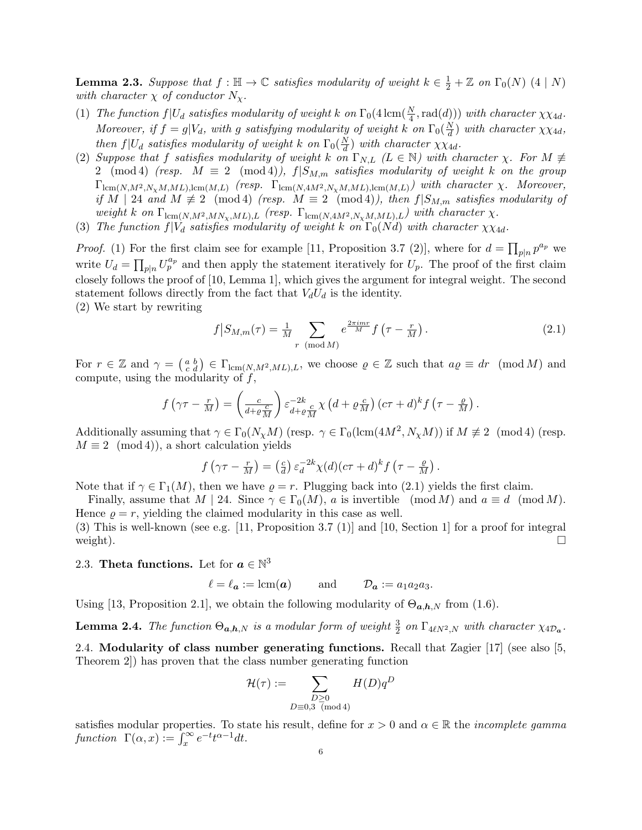**Lemma 2.3.** Suppose that  $f : \mathbb{H} \to \mathbb{C}$  satisfies modularity of weight  $k \in \frac{1}{2} + \mathbb{Z}$  on  $\Gamma_0(N)$  (4 | N) with character  $\chi$  of conductor  $N_{\chi}$ .

- (1) The function  $f|U_d$  satisfies modularity of weight k on  $\Gamma_0(4 \text{ lcm}(\frac{N}{4}, \text{rad}(d)))$  with character  $\chi \chi_{4d}$ . Moreover, if  $f = g|V_d$ , with g satisfying modularity of weight k on  $\Gamma_0(\frac{N}{d})$  $\frac{dN}{d}$ ) with character  $\chi \chi_{4d}$ , then  $f|U_d$  satisfies modularity of weight k on  $\Gamma_0(\frac{N}{d})$  $\frac{dN}{d}$ ) with character  $\chi\chi_{4d}$ .
- (2) Suppose that f satisfies modularity of weight k on  $\Gamma_{N,L}$  ( $L \in \mathbb{N}$ ) with character  $\chi$ . For  $M \neq$ 2 (mod 4) (resp.  $M \equiv 2 \pmod{4}$ ,  $f|S_{M,m}$  satisfies modularity of weight k on the group  $\Gamma_{\text{lcm}(N,M^2,N_\chi M,ML),\text{lcm}(M,L)}$  (resp.  $\Gamma_{\text{lcm}(N,4M^2,N_\chi M,ML),\text{lcm}(M,L)})$  with character  $\chi$ . Moreover, if M | 24 and  $M \not\equiv 2 \pmod{4}$  (resp.  $M \equiv 2 \pmod{4}$ ), then  $f|S_{M,m}$  satisfies modularity of weight k on  $\Gamma_{\text{lcm}(N,M^2,MN_\chi,ML),L}$  (resp.  $\Gamma_{\text{lcm}(N,4M^2,N_\chi M,ML),L}$ ) with character  $\chi$ .
- (3) The function  $f|V_d$  satisfies modularity of weight k on  $\Gamma_0(Nd)$  with character  $\chi_{X4d}$ .

*Proof.* (1) For the first claim see for example [11, Proposition 3.7 (2)], where for  $d = \prod_{p|n} p^{a_p}$  we write  $U_d = \prod_{p|n} U_p^{a_p}$  and then apply the statement iteratively for  $U_p$ . The proof of the first claim closely follows the proof of [10, Lemma 1], which gives the argument for integral weight. The second statement follows directly from the fact that  $V_dU_d$  is the identity. (2) We start by rewriting

$$
f\left|S_{M,m}(\tau)\right| = \frac{1}{M} \sum_{r \pmod{M}} e^{\frac{2\pi imr}{M}} f\left(\tau - \frac{r}{M}\right). \tag{2.1}
$$

For  $r \in \mathbb{Z}$  and  $\gamma = \begin{pmatrix} a & b \\ c & d \end{pmatrix} \in \Gamma_{\text{lcm}(N,M^2,ML),L}$ , we choose  $\varrho \in \mathbb{Z}$  such that  $a\varrho \equiv dr \pmod{M}$  and compute, using the modularity of  $f$ ,

$$
f(\gamma \tau - \frac{r}{M}) = \left(\frac{c}{d + \varrho \frac{c}{M}}\right) \varepsilon_{d + \varrho \frac{c}{M}}^{-2k} \chi\left(d + \varrho \frac{c}{M}\right) (c\tau + d)^k f\left(\tau - \frac{\varrho}{M}\right).
$$

Additionally assuming that  $\gamma \in \Gamma_0(N_\chi M)$  (resp.  $\gamma \in \Gamma_0(\text{lcm}(4M^2, N_\chi M))$ ) if  $M \not\equiv 2 \pmod{4}$  (resp.  $M \equiv 2 \pmod{4}$ , a short calculation yields

$$
f(\gamma \tau - \frac{r}{M}) = \left(\frac{c}{d}\right) \varepsilon_d^{-2k} \chi(d) (c\tau + d)^k f\left(\tau - \frac{\varrho}{M}\right).
$$

Note that if  $\gamma \in \Gamma_1(M)$ , then we have  $\rho = r$ . Plugging back into (2.1) yields the first claim.

Finally, assume that  $M \mid 24$ . Since  $\gamma \in \Gamma_0(M)$ , a is invertible  $p \mod M$  and  $a \equiv d \pmod{M}$ . Hence  $\rho = r$ , yielding the claimed modularity in this case as well.

(3) This is well-known (see e.g. [11, Proposition 3.7 (1)] and [10, Section 1] for a proof for integral weight).  $\square$ 

# 2.3. Theta functions. Let for  $a \in \mathbb{N}^3$

$$
\ell = \ell_{\mathbf{a}} := \text{lcm}(\mathbf{a})
$$
 and  $\mathcal{D}_{\mathbf{a}} := a_1 a_2 a_3$ .

Using [13, Proposition 2.1], we obtain the following modularity of  $\Theta_{a,b,N}$  from (1.6).

**Lemma 2.4.** The function  $\Theta_{a,b,N}$  is a modular form of weight  $\frac{3}{2}$  on  $\Gamma_{4\ell N^2,N}$  with character  $\chi_{4\mathcal{D}_a}$ .

2.4. Modularity of class number generating functions. Recall that Zagier [17] (see also [5, Theorem 2]) has proven that the class number generating function

$$
\mathcal{H}(\tau):=\sum_{\substack{D\geq 0\\ D\equiv 0,3\pmod 4}}H(D)q^D
$$

satisfies modular properties. To state his result, define for  $x > 0$  and  $\alpha \in \mathbb{R}$  the *incomplete gamma* function  $\Gamma(\alpha, x) := \int_x^\infty e^{-t} t^{\alpha-1} dt$ .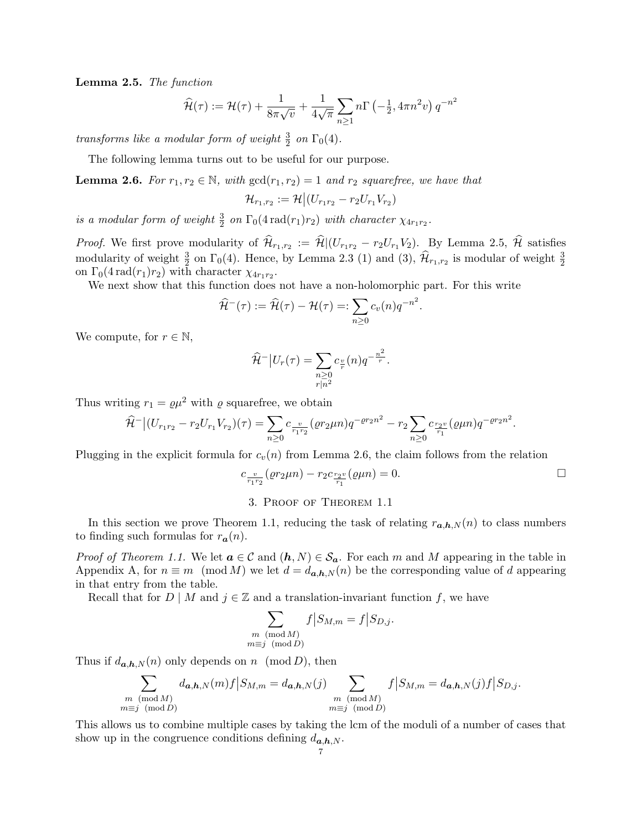Lemma 2.5. The function

$$
\widehat{\mathcal{H}}(\tau) := \mathcal{H}(\tau) + \frac{1}{8\pi\sqrt{v}} + \frac{1}{4\sqrt{\pi}} \sum_{n\geq 1} n\Gamma\left(-\frac{1}{2}, 4\pi n^2 v\right) q^{-n^2}
$$

transforms like a modular form of weight  $\frac{3}{2}$  on  $\Gamma_0(4)$ .

The following lemma turns out to be useful for our purpose.

**Lemma 2.6.** For  $r_1, r_2 \in \mathbb{N}$ , with  $gcd(r_1, r_2) = 1$  and  $r_2$  squarefree, we have that

$$
\mathcal{H}_{r_1,r_2} := \mathcal{H} \big| (U_{r_1r_2} - r_2 U_{r_1} V_{r_2})
$$

is a modular form of weight  $\frac{3}{2}$  on  $\Gamma_0(4 \text{ rad}(r_1)r_2)$  with character  $\chi_{4r_1r_2}$ .

*Proof.* We first prove modularity of  $\mathcal{H}_{r_1,r_2} := \mathcal{H} | (U_{r_1r_2} - r_2U_{r_1}V_2)$ . By Lemma 2.5,  $\mathcal{H}$  satisfies modularity of weight  $\frac{3}{2}$  on  $\Gamma_0(4)$ . Hence, by Lemma 2.3 (1) and (3),  $\hat{\mathcal{H}}_{r_1,r_2}$  is modular of weight  $\frac{3}{2}$ on  $\Gamma_0(4 \text{ rad}(r_1)r_2)$  with character  $\chi_{4r_1r_2}$ .

We next show that this function does not have a non-holomorphic part. For this write

$$
\widehat{\mathcal{H}}^{-}(\tau) := \widehat{\mathcal{H}}(\tau) - \mathcal{H}(\tau) =: \sum_{n \geq 0} c_v(n) q^{-n^2}.
$$

We compute, for  $r \in \mathbb{N}$ ,

$$
\widehat{\mathcal{H}}^{-} | U_r(\tau) = \sum_{\substack{n \geq 0 \\ r | n^2}} c_{\frac{\varphi}{r}}(n) q^{-\frac{n^2}{r}}.
$$

Thus writing  $r_1 = \rho \mu^2$  with  $\rho$  squarefree, we obtain

$$
\widehat{\mathcal{H}}^{-}\big|(U_{r_1r_2}-r_2U_{r_1}V_{r_2})(\tau)=\sum_{n\geq 0}c_{\frac{\upsilon}{r_1r_2}}(\varrho r_2\mu n)q^{-\varrho r_2n^2}-r_2\sum_{n\geq 0}c_{\frac{r_2\upsilon}{r_1}}(\varrho\mu n)q^{-\varrho r_2n^2}.
$$

Plugging in the explicit formula for  $c_v(n)$  from Lemma 2.6, the claim follows from the relation

$$
c_{\frac{v}{r_1 r_2}}(er_2 \mu n) - r_2 c_{\frac{r_2 v}{r_1}}(\rho \mu n) = 0.
$$

3. Proof of Theorem 1.1

In this section we prove Theorem 1.1, reducing the task of relating  $r_{a,h,N}(n)$  to class numbers to finding such formulas for  $r_a(n)$ .

*Proof of Theorem 1.1.* We let  $a \in \mathcal{C}$  and  $(h, N) \in \mathcal{S}_a$ . For each m and M appearing in the table in Appendix A, for  $n \equiv m \pmod{M}$  we let  $d = d_{a,b,N}(n)$  be the corresponding value of d appearing in that entry from the table.

Recall that for D | M and  $j \in \mathbb{Z}$  and a translation-invariant function f, we have

$$
\sum_{\substack{m \pmod{M} \\ m \equiv j \pmod{D}}} f \, \big| S_{M,m} = f \, \big| S_{D,j}.
$$

Thus if  $d_{a,h,N}(n)$  only depends on n (mod D), then

$$
\sum_{\substack{m \pmod{M} \\ m \equiv j \pmod{D}}} d_{\mathbf{a},\mathbf{b},N}(m) f \big| S_{M,m} = d_{\mathbf{a},\mathbf{b},N}(j) \sum_{\substack{m \pmod{M} \\ m \equiv j \pmod{D}}} f \big| S_{M,m} = d_{\mathbf{a},\mathbf{b},N}(j) f \big| S_{D,j}.
$$

This allows us to combine multiple cases by taking the lcm of the moduli of a number of cases that show up in the congruence conditions defining  $d_{a,h,N}$ .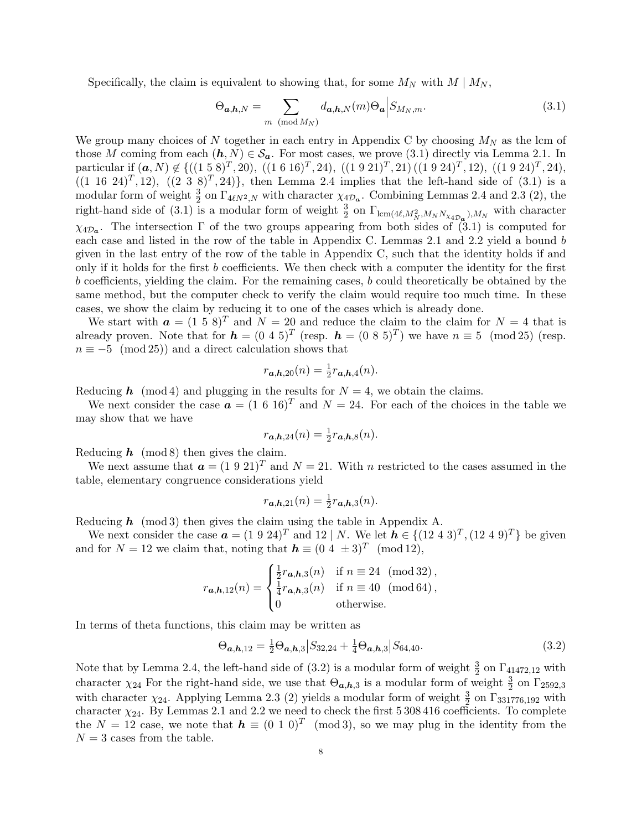Specifically, the claim is equivalent to showing that, for some  $M_N$  with  $M \mid M_N$ ,

$$
\Theta_{\mathbf{a},\mathbf{h},N} = \sum_{m \pmod{M_N}} d_{\mathbf{a},\mathbf{h},N}(m) \Theta_{\mathbf{a}} \Big| S_{M_N,m}.\tag{3.1}
$$

We group many choices of N together in each entry in Appendix C by choosing  $M_N$  as the lcm of those M coming from each  $(h, N) \in S_a$ . For most cases, we prove (3.1) directly via Lemma 2.1. In particular if  $(a, N) \notin \{((1\ 5\ 8)^T, 20), ((1\ 6\ 16)^T, 24), ((1\ 9\ 21)^T, 21), ((1\ 9\ 24)^T, 12), ((1\ 9\ 24)^T, 24),$  $((1 16 24)^T, 12), ((2 3 8)^T, 24)$ , then Lemma 2.4 implies that the left-hand side of  $(3.1)$  is a modular form of weight  $\frac{3}{2}$  on  $\Gamma_{4\ell N^2,N}$  with character  $\chi_{4\mathcal{D}_{a}}$ . Combining Lemmas 2.4 and 2.3 (2), the right-hand side of (3.1) is a modular form of weight  $\frac{3}{2}$  on  $\Gamma_{\text{lcm}(4\ell,M_N^2,M_NN_{\chi_{4\mathcal{D}_{\alpha}}}),M_N}$  with character  $\chi_{4\mathcal{D}_a}$ . The intersection  $\Gamma$  of the two groups appearing from both sides of (3.1) is computed for each case and listed in the row of the table in Appendix C. Lemmas 2.1 and 2.2 yield a bound b given in the last entry of the row of the table in Appendix C, such that the identity holds if and only if it holds for the first b coefficients. We then check with a computer the identity for the first b coefficients, yielding the claim. For the remaining cases, b could theoretically be obtained by the same method, but the computer check to verify the claim would require too much time. In these cases, we show the claim by reducing it to one of the cases which is already done.

We start with  $a = (1 5 8)^T$  and  $N = 20$  and reduce the claim to the claim for  $N = 4$  that is already proven. Note that for  $h = (0\ 4\ 5)^T$  (resp.  $h = (0\ 8\ 5)^T$ ) we have  $n \equiv 5 \pmod{25}$  (resp.  $n \equiv -5 \pmod{25}$  and a direct calculation shows that

$$
r_{\boldsymbol{a},\boldsymbol{h},20}(n) = \frac{1}{2}r_{\boldsymbol{a},\boldsymbol{h},4}(n).
$$

Reducing h (mod 4) and plugging in the results for  $N = 4$ , we obtain the claims.

We next consider the case  $\mathbf{a} = (1\ 6\ 16)^T$  and  $N = 24$ . For each of the choices in the table we may show that we have

$$
r_{\mathbf{a},\mathbf{h},24}(n) = \frac{1}{2}r_{\mathbf{a},\mathbf{h},8}(n).
$$

Reducing  $h \pmod{8}$  then gives the claim.

We next assume that  $a = (1\ 9\ 21)^T$  and  $N = 21$ . With n restricted to the cases assumed in the table, elementary congruence considerations yield

$$
r_{\boldsymbol{a},\boldsymbol{h},21}(n) = \frac{1}{2}r_{\boldsymbol{a},\boldsymbol{h},3}(n).
$$

Reducing  $h \pmod{3}$  then gives the claim using the table in Appendix A.

We next consider the case  $\mathbf{a} = (1\ 9\ 24)^T$  and  $12 \mid N$ . We let  $\mathbf{h} \in \{(12\ 4\ 3)^T, (12\ 4\ 9)^T\}$  be given and for  $N = 12$  we claim that, noting that  $h \equiv (0 \ 4 \ \pm 3)^T \pmod{12}$ ,

$$
r_{\mathbf{a},\mathbf{h},12}(n) = \begin{cases} \frac{1}{2}r_{\mathbf{a},\mathbf{h},3}(n) & \text{if } n \equiv 24 \pmod{32}, \\ \frac{1}{4}r_{\mathbf{a},\mathbf{h},3}(n) & \text{if } n \equiv 40 \pmod{64}, \\ 0 & \text{otherwise.} \end{cases}
$$

In terms of theta functions, this claim may be written as

$$
\Theta_{a,h,12} = \frac{1}{2}\Theta_{a,h,3} | S_{32,24} + \frac{1}{4}\Theta_{a,h,3} | S_{64,40}.\tag{3.2}
$$

Note that by Lemma 2.4, the left-hand side of  $(3.2)$  is a modular form of weight  $\frac{3}{2}$  on  $\Gamma_{4,1472,12}$  with character  $\chi_{24}$  For the right-hand side, we use that  $\Theta_{a,b,3}$  is a modular form of weight  $\frac{3}{2}$  on  $\Gamma_{2592,3}$ with character  $\chi_{24}$ . Applying Lemma 2.3 (2) yields a modular form of weight  $\frac{3}{2}$  on  $\Gamma_{331776,192}$  with character  $\chi_{24}$ . By Lemmas 2.1 and 2.2 we need to check the first 5 308 416 coefficients. To complete the  $N = 12$  case, we note that  $h \equiv (0 \ 1 \ 0)^T \pmod{3}$ , so we may plug in the identity from the  $N = 3$  cases from the table.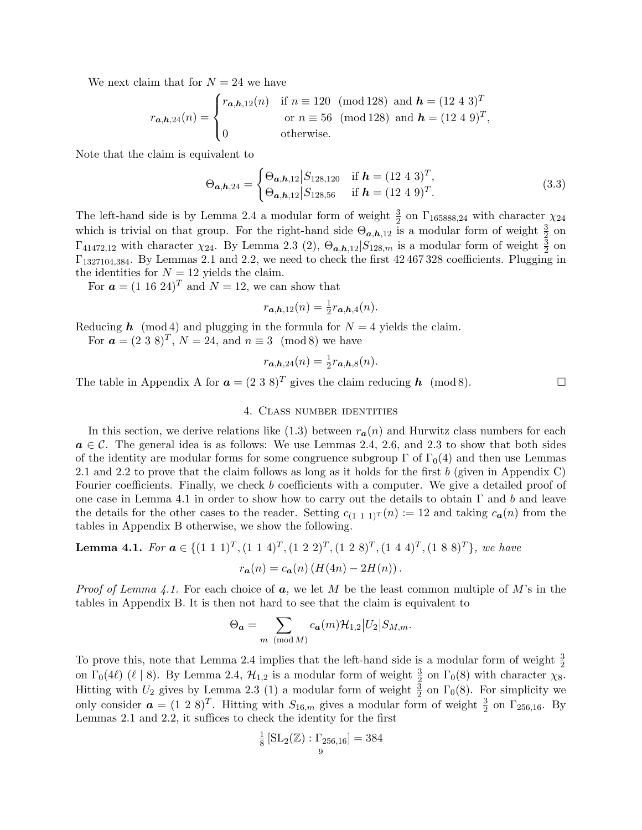We next claim that for  $N = 24$  we have

$$
r_{a,h,24}(n) = \begin{cases} r_{a,h,12}(n) & \text{if } n \equiv 120 \pmod{128} \text{ and } h = (12\ 4\ 3)^T \\ & \text{or } n \equiv 56 \pmod{128} \text{ and } h = (12\ 4\ 9)^T, \\ 0 & \text{otherwise.} \end{cases}
$$

Note that the claim is equivalent to

$$
\Theta_{a,h,24} = \begin{cases} \Theta_{a,h,12} | S_{128,120} & \text{if } h = (12 \ 4 \ 3)^T, \\ \Theta_{a,h,12} | S_{128,56} & \text{if } h = (12 \ 4 \ 9)^T. \end{cases}
$$
(3.3)

The left-hand side is by Lemma 2.4 a modular form of weight  $\frac{3}{2}$  on  $\Gamma_{165888,24}$  with character  $\chi_{24}$ which is trivial on that group. For the right-hand side  $\Theta_{a,b,12}$  is a modular form of weight  $\frac{3}{2}$  on  $\Gamma_{41472,12}$  with character  $\chi_{24}$ . By Lemma 2.3 (2),  $\Theta_{a,b,12} | S_{128,m}$  is a modular form of weight  $\frac{3}{2}$  on Γ1327104,384. By Lemmas 2.1 and 2.2, we need to check the first 42 467 328 coefficients. Plugging in the identities for  $N = 12$  yields the claim.

For  $\mathbf{a} = (1 \ 16 \ 24)^T$  and  $N = 12$ , we can show that

$$
r_{\boldsymbol{a},\boldsymbol{h},12}(n) = \frac{1}{2}r_{\boldsymbol{a},\boldsymbol{h},4}(n).
$$

Reducing  $h \pmod{4}$  and plugging in the formula for  $N = 4$  yields the claim.

For  $\mathbf{a} = (2 \ 3 \ 8)^T$ ,  $N = 24$ , and  $n \equiv 3 \pmod{8}$  we have

$$
r_{\boldsymbol{a},\boldsymbol{h},24}(n) = \frac{1}{2}r_{\boldsymbol{a},\boldsymbol{h},8}(n).
$$

The table in Appendix A for  $\mathbf{a} = (2 \ 3 \ 8)^T$  gives the claim reducing  $\mathbf{h}$  (mod 8).

## 4. Class number identities

In this section, we derive relations like  $(1.3)$  between  $r_a(n)$  and Hurwitz class numbers for each  $a \in \mathcal{C}$ . The general idea is as follows: We use Lemmas 2.4, 2.6, and 2.3 to show that both sides of the identity are modular forms for some congruence subgroup  $\Gamma$  of  $\Gamma_0(4)$  and then use Lemmas 2.1 and 2.2 to prove that the claim follows as long as it holds for the first b (given in Appendix C) Fourier coefficients. Finally, we check b coefficients with a computer. We give a detailed proof of one case in Lemma 4.1 in order to show how to carry out the details to obtain  $\Gamma$  and b and leave the details for the other cases to the reader. Setting  $c_{(1\ 1\ 1)}(n) := 12$  and taking  $c_{\mathbf{a}}(n)$  from the tables in Appendix B otherwise, we show the following.

**Lemma 4.1.** For 
$$
\mathbf{a} \in \{(1\ 1\ 1)^T, (1\ 1\ 4)^T, (1\ 2\ 2)^T, (1\ 2\ 8)^T, (1\ 4\ 4)^T, (1\ 8\ 8)^T\}
$$
, we have  

$$
r_{\mathbf{a}}(n) = c_{\mathbf{a}}(n) (H(4n) - 2H(n)).
$$

*Proof of Lemma 4.1.* For each choice of  $a$ , we let M be the least common multiple of M's in the tables in Appendix B. It is then not hard to see that the claim is equivalent to

$$
\Theta_{\mathbf{a}} = \sum_{m \pmod{M}} c_{\mathbf{a}}(m) \mathcal{H}_{1,2} |U_2| S_{M,m}.
$$

To prove this, note that Lemma 2.4 implies that the left-hand side is a modular form of weight  $\frac{3}{2}$ on  $\Gamma_0(4\ell)$  ( $\ell \mid 8$ ). By Lemma 2.4,  $\mathcal{H}_{1,2}$  is a modular form of weight  $\frac{3}{2}$  on  $\Gamma_0(8)$  with character  $\chi_8$ . Hitting with  $U_2$  gives by Lemma 2.3 (1) a modular form of weight  $\frac{3}{2}$  on  $\Gamma_0(8)$ . For simplicity we only consider  $\boldsymbol{a} = (1\ 2\ 8)^T$ . Hitting with  $S_{16,m}$  gives a modular form of weight  $\frac{3}{2}$  on  $\Gamma_{256,16}$ . By Lemmas 2.1 and 2.2, it suffices to check the identity for the first

$$
\frac{1}{8} [SL_2(\mathbb{Z}) : \Gamma_{256,16}] = 384
$$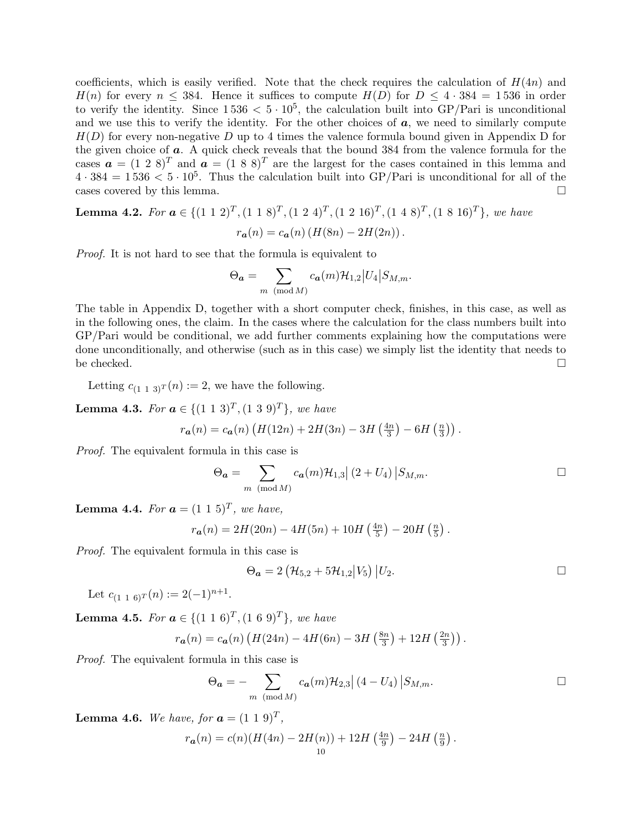coefficients, which is easily verified. Note that the check requires the calculation of  $H(4n)$  and  $H(n)$  for every  $n \leq 384$ . Hence it suffices to compute  $H(D)$  for  $D \leq 4 \cdot 384 = 1536$  in order to verify the identity. Since  $1536 < 5 \cdot 10^5$ , the calculation built into GP/Pari is unconditional and we use this to verify the identity. For the other choices of  $a$ , we need to similarly compute  $H(D)$  for every non-negative D up to 4 times the valence formula bound given in Appendix D for the given choice of a. A quick check reveals that the bound 384 from the valence formula for the cases  $\mathbf{a} = (1\ 2\ 8)^T$  and  $\mathbf{a} = (1\ 8\ 8)^T$  are the largest for the cases contained in this lemma and  $4 \cdot 384 = 1536 < 5 \cdot 10^5$ . Thus the calculation built into GP/Pari is unconditional for all of the cases covered by this lemma.

**Lemma 4.2.** For  $a \in \{(1\ 1\ 2)^T, (1\ 1\ 8)^T, (1\ 2\ 4)^T, (1\ 2\ 16)^T, (1\ 4\ 8)^T, (1\ 8\ 16)^T\}$ , we have  $r_{a}(n) = c_{a}(n) (H(8n) - 2H(2n))$ .

Proof. It is not hard to see that the formula is equivalent to

$$
\Theta_{\boldsymbol{a}} = \sum_{m \pmod{M}} c_{\boldsymbol{a}}(m) \mathcal{H}_{1,2} |U_4| S_{M,m}.
$$

The table in Appendix D, together with a short computer check, finishes, in this case, as well as in the following ones, the claim. In the cases where the calculation for the class numbers built into GP/Pari would be conditional, we add further comments explaining how the computations were done unconditionally, and otherwise (such as in this case) we simply list the identity that needs to be checked.  $\square$ 

Letting  $c_{(1\ 1\ 3)^T}(n) := 2$ , we have the following.

**Lemma 4.3.** For  $a \in \{(1\ 1\ 3)^T, (1\ 3\ 9)^T\}$ , we have

$$
r_{a}(n) = c_{a}(n) \left( H(12n) + 2H(3n) - 3H\left(\frac{4n}{3}\right) - 6H\left(\frac{n}{3}\right) \right).
$$

Proof. The equivalent formula in this case is

$$
\Theta_{\mathbf{a}} = \sum_{m \pmod{M}} c_{\mathbf{a}}(m) \mathcal{H}_{1,3} | (2 + U_4) | S_{M,m}.
$$

**Lemma 4.4.** For  $a = (1 \ 1 \ 5)^T$ , we have,

$$
r_{a}(n) = 2H(20n) - 4H(5n) + 10H\left(\frac{4n}{5}\right) - 20H\left(\frac{n}{5}\right).
$$

Proof. The equivalent formula in this case is

$$
\Theta_{a} = 2 \left( \mathcal{H}_{5,2} + 5 \mathcal{H}_{1,2} \middle| V_{5} \right) \middle| U_{2}. \Box
$$

Let  $c_{(1\ 1\ 6)}(n) := 2(-1)^{n+1}$ .

**Lemma 4.5.** For  $a \in \{(1\ 1\ 6)^T, (1\ 6\ 9)^T\}$ , we have

$$
r_{a}(n) = c_{a}(n) \left( H(24n) - 4H(6n) - 3H\left(\frac{8n}{3}\right) + 12H\left(\frac{2n}{3}\right) \right).
$$

Proof. The equivalent formula in this case is

$$
\Theta_{\mathbf{a}} = -\sum_{m \pmod{M}} c_{\mathbf{a}}(m) \mathcal{H}_{2,3} | (4 - U_4) | S_{M,m}.
$$

.

**Lemma 4.6.** We have, for  $a = (1 \ 1 \ 9)^T$ ,

$$
r_{\boldsymbol{a}}(n) = c(n)(H(4n) - 2H(n)) + 12H\left(\frac{4n}{9}\right) - 24H\left(\frac{n}{9}\right)
$$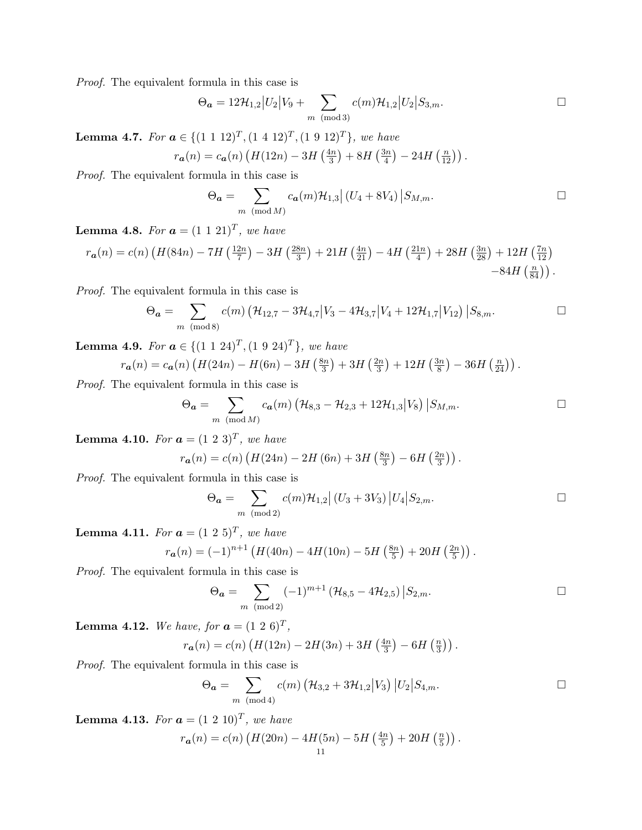$$
\Theta_{\mathbf{a}} = 12\mathcal{H}_{1,2} |U_2| V_9 + \sum_{m \pmod{3}} c(m)\mathcal{H}_{1,2} |U_2| S_{3,m}.
$$

**Lemma 4.7.** For  $a \in \{(1\ 1\ 12)^T, (1\ 4\ 12)^T, (1\ 9\ 12)^T\}$ , we have

$$
r_{a}(n) = c_{a}(n) \left( H(12n) - 3H\left(\frac{4n}{3}\right) + 8H\left(\frac{3n}{4}\right) - 24H\left(\frac{n}{12}\right) \right).
$$

Proof. The equivalent formula in this case is

$$
\Theta_{\mathbf{a}} = \sum_{m \pmod{M}} c_{\mathbf{a}}(m) \mathcal{H}_{1,3} | (U_4 + 8V_4) | S_{M,m}.
$$

**Lemma 4.8.** For  $a = (1\ 1\ 21)^T$ , we have

$$
r_{\mathbf{a}}(n) = c(n) \left( H(84n) - 7H\left(\frac{12n}{7}\right) - 3H\left(\frac{28n}{3}\right) + 21H\left(\frac{4n}{21}\right) - 4H\left(\frac{21n}{4}\right) + 28H\left(\frac{3n}{28}\right) + 12H\left(\frac{7n}{12}\right) - 84H\left(\frac{n}{84}\right) \right).
$$

Proof. The equivalent formula in this case is

$$
\Theta_{\mathbf{a}} = \sum_{m \pmod{8}} c(m) \left( \mathcal{H}_{12,7} - 3\mathcal{H}_{4,7} \middle| V_3 - 4\mathcal{H}_{3,7} \middle| V_4 + 12\mathcal{H}_{1,7} \middle| V_{12} \right) \big| S_{8,m}.\n\qquad \Box
$$

**Lemma 4.9.** For  $a \in \{(1\ 1\ 24)^T, (1\ 9\ 24)^T\}$ , we have

$$
r_{a}(n) = c_{a}(n) \left( H(24n) - H(6n) - 3H\left(\frac{8n}{3}\right) + 3H\left(\frac{2n}{3}\right) + 12H\left(\frac{3n}{8}\right) - 36H\left(\frac{n}{24}\right) \right).
$$

Proof. The equivalent formula in this case is

$$
\Theta_{\bm{a}} = \sum_{m \pmod{M}} c_{\bm{a}}(m) \left( \mathcal{H}_{8,3} - \mathcal{H}_{2,3} + 12 \mathcal{H}_{1,3} | V_8 \right) | S_{M,m}.
$$

**Lemma 4.10.** For  $a = (1\ 2\ 3)^T$ , we have

$$
r_{a}(n) = c(n) \left( H(24n) - 2H(6n) + 3H\left(\frac{8n}{3}\right) - 6H\left(\frac{2n}{3}\right) \right).
$$

Proof. The equivalent formula in this case is

$$
\Theta_{\mathbf{a}} = \sum_{m \pmod{2}} c(m) \mathcal{H}_{1,2} | (U_3 + 3V_3) | U_4 | S_{2,m}.
$$

**Lemma 4.11.** For  $a = (1\ 2\ 5)^T$ , we have

$$
r_{a}(n) = (-1)^{n+1} \left( H(40n) - 4H(10n) - 5H\left(\frac{8n}{5}\right) + 20H\left(\frac{2n}{5}\right) \right).
$$

Proof. The equivalent formula in this case is

$$
\Theta_{\mathbf{a}} = \sum_{m \pmod{2}} (-1)^{m+1} \left( \mathcal{H}_{8,5} - 4 \mathcal{H}_{2,5} \right) \big| S_{2,m}.
$$

**Lemma 4.12.** We have, for  $a = (1\ 2\ 6)^T$ ,

$$
r_{a}(n) = c(n) \left( H(12n) - 2H(3n) + 3H\left(\frac{4n}{3}\right) - 6H\left(\frac{n}{3}\right) \right).
$$

Proof. The equivalent formula in this case is

$$
\Theta_{\bf{a}} = \sum_{m \pmod{4}} c(m) \left( \mathcal{H}_{3,2} + 3\mathcal{H}_{1,2} | V_3 \right) | U_2 | S_{4,m}.
$$

**Lemma 4.13.** For  $a = (1\ 2\ 10)^T$ , we have

$$
r_{\boldsymbol{a}}(n) = c(n) \left( H(20n) - 4H(5n) - 5H\left(\frac{4n}{5}\right) + 20H\left(\frac{n}{5}\right) \right).
$$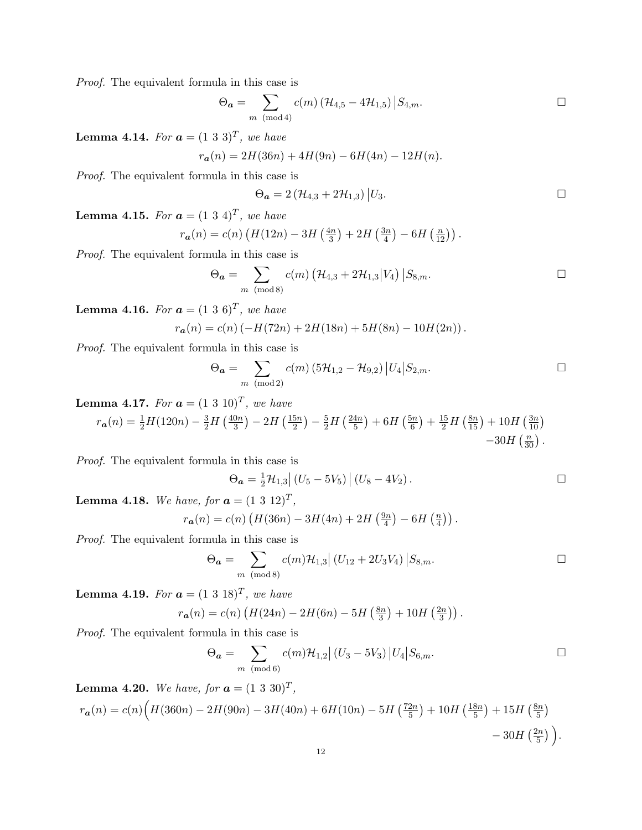$$
\Theta_{\boldsymbol{a}} = \sum_{m \pmod{4}} c(m) \left( \mathcal{H}_{4,5} - 4\mathcal{H}_{1,5} \right) \big| S_{4,m}.\n\qquad \qquad \Box
$$

**Lemma 4.14.** For  $\boldsymbol{a} = (1\ 3\ 3)^T$ , we have

$$
r_{a}(n) = 2H(36n) + 4H(9n) - 6H(4n) - 12H(n).
$$

Proof. The equivalent formula in this case is

$$
\Theta_{\mathbf{a}}=2\left(\mathcal{H}_{4,3}+2\mathcal{H}_{1,3}\right)\big|U_3.\quad \Box
$$

**Lemma 4.15.** For  $a = (1\ 3\ 4)^T$ , we have

$$
r_{a}(n) = c(n) \left( H(12n) - 3H\left(\frac{4n}{3}\right) + 2H\left(\frac{3n}{4}\right) - 6H\left(\frac{n}{12}\right) \right).
$$

Proof. The equivalent formula in this case is

$$
\Theta_{\boldsymbol{a}} = \sum_{m \pmod{8}} c(m) \left( \mathcal{H}_{4,3} + 2\mathcal{H}_{1,3} | V_4 \right) | S_{8,m}.
$$

**Lemma 4.16.** For  $a = (1\ 3\ 6)^T$ , we have

$$
r_{a}(n) = c(n) (-H(72n) + 2H(18n) + 5H(8n) - 10H(2n)).
$$

Proof. The equivalent formula in this case is

$$
\Theta_{\mathbf{a}} = \sum_{m \pmod{2}} c(m) \left( 5\mathcal{H}_{1,2} - \mathcal{H}_{9,2} \right) \left| U_4 \right| S_{2,m}.
$$

**Lemma 4.17.** For  $a = (1\ 3\ 10)^T$ , we have

$$
r_{a}(n) = \frac{1}{2}H(120n) - \frac{3}{2}H\left(\frac{40n}{3}\right) - 2H\left(\frac{15n}{2}\right) - \frac{5}{2}H\left(\frac{24n}{5}\right) + 6H\left(\frac{5n}{6}\right) + \frac{15}{2}H\left(\frac{8n}{15}\right) + 10H\left(\frac{3n}{10}\right) - 30H\left(\frac{n}{30}\right).
$$

Proof. The equivalent formula in this case is

$$
\Theta_{a} = \frac{1}{2} \mathcal{H}_{1,3} | (U_5 - 5V_5) | (U_8 - 4V_2).
$$

**Lemma 4.18.** We have, for  $a = (1\ 3\ 12)^T$ ,

$$
r_{a}(n) = c(n) \left( H(36n) - 3H(4n) + 2H\left(\frac{9n}{4}\right) - 6H\left(\frac{n}{4}\right) \right).
$$

Proof. The equivalent formula in this case is

$$
\Theta_{\mathbf{a}} = \sum_{m \pmod{8}} c(m) \mathcal{H}_{1,3} | (U_{12} + 2U_3 V_4) | S_{8,m}.
$$

**Lemma 4.19.** For  $a = (1\ 3\ 18)^T$ , we have

$$
r_{a}(n) = c(n) \left( H(24n) - 2H(6n) - 5H\left(\frac{8n}{3}\right) + 10H\left(\frac{2n}{3}\right) \right).
$$

Proof. The equivalent formula in this case is

$$
\Theta_{\mathbf{a}} = \sum_{m \pmod{6}} c(m) \mathcal{H}_{1,2} | (U_3 - 5V_3) | U_4 | S_{6,m}.
$$

**Lemma 4.20.** We have, for  $a = (1\ 3\ 30)^T$ ,

$$
r_{a}(n) = c(n) \Big( H(360n) - 2H(90n) - 3H(40n) + 6H(10n) - 5H\left(\frac{72n}{5}\right) + 10H\left(\frac{18n}{5}\right) + 15H\left(\frac{8n}{5}\right) - 30H\left(\frac{2n}{5}\right) \Big).
$$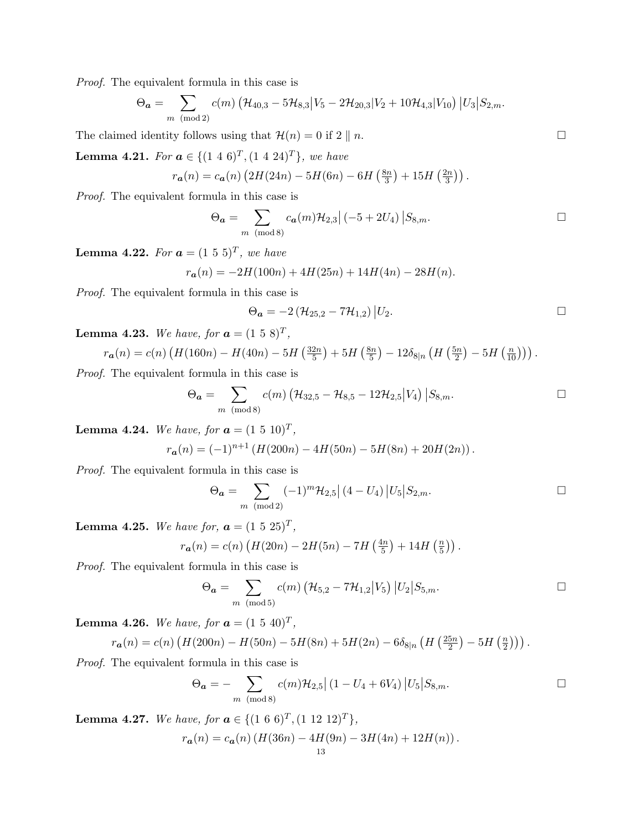$$
\Theta_{\boldsymbol{a}} = \sum_{m \pmod{2}} c(m) \left( \mathcal{H}_{40,3} - 5 \mathcal{H}_{8,3} \middle| V_5 - 2 \mathcal{H}_{20,3} \middle| V_2 + 10 \mathcal{H}_{4,3} \middle| V_{10} \right) \big| U_3 \big| S_{2,m}.
$$

The claimed identity follows using that  $\mathcal{H}(n) = 0$  if  $2 \parallel n$ .

**Lemma 4.21.** For  $a \in \{(1\ 4\ 6)^T, (1\ 4\ 24)^T\}$ , we have

$$
r_{a}(n) = c_{a}(n) \left(2H(24n) - 5H(6n) - 6H\left(\frac{8n}{3}\right) + 15H\left(\frac{2n}{3}\right)\right).
$$

Proof. The equivalent formula in this case is

$$
\Theta_{\mathbf{a}} = \sum_{m \pmod{8}} c_{\mathbf{a}}(m) \mathcal{H}_{2,3} \Big| (-5 + 2U_4) \Big| S_{8,m}.
$$

**Lemma 4.22.** For  $\boldsymbol{a} = (1\ 5\ 5)^T$ , we have

$$
r_{a}(n) = -2H(100n) + 4H(25n) + 14H(4n) - 28H(n).
$$

Proof. The equivalent formula in this case is

$$
\Theta_{a} = -2 \left( \mathcal{H}_{25,2} - 7\mathcal{H}_{1,2} \right) \big| U_2.
$$

**Lemma 4.23.** We have, for  $a = (1\ 5\ 8)^T$ ,

$$
r_{a}(n) = c(n) \left( H(160n) - H(40n) - 5H\left(\frac{32n}{5}\right) + 5H\left(\frac{8n}{5}\right) - 12\delta_{8|n} \left( H\left(\frac{5n}{2}\right) - 5H\left(\frac{n}{10}\right) \right) \right).
$$

Proof. The equivalent formula in this case is

$$
\Theta_{\mathbf{a}} = \sum_{m \pmod{8}} c(m) \left( \mathcal{H}_{32,5} - \mathcal{H}_{8,5} - 12 \mathcal{H}_{2,5} | V_4 \right) | S_{8,m}.
$$

**Lemma 4.24.** We have, for  $a = (1\ 5\ 10)^T$ ,

$$
r_{a}(n) = (-1)^{n+1} \left( H(200n) - 4H(50n) - 5H(8n) + 20H(2n) \right).
$$

Proof. The equivalent formula in this case is

$$
\Theta_{\mathbf{a}} = \sum_{m \pmod{2}} (-1)^m \mathcal{H}_{2,5} \left[ (4 - U_4) \left| U_5 \right| S_{2,m}. \right]
$$

**Lemma 4.25.** We have for,  $a = (1\ 5\ 25)^T$ ,

$$
r_{a}(n) = c(n) \left( H(20n) - 2H(5n) - 7H\left(\frac{4n}{5}\right) + 14H\left(\frac{n}{5}\right) \right).
$$

Proof. The equivalent formula in this case is

$$
\Theta_{\mathbf{a}} = \sum_{m \pmod{5}} c(m) \left( \mathcal{H}_{5,2} - 7\mathcal{H}_{1,2} | V_5 \right) | U_2 | S_{5,m}.
$$

**Lemma 4.26.** We have, for  $a = (1\ 5\ 40)^T$ ,

$$
r_{a}(n) = c(n) \left( H(200n) - H(50n) - 5H(8n) + 5H(2n) - 6\delta_{8|n} \left( H\left(\frac{25n}{2}\right) - 5H\left(\frac{n}{2}\right) \right) \right).
$$

Proof. The equivalent formula in this case is

$$
\Theta_{\mathbf{a}} = -\sum_{m \pmod{8}} c(m) \mathcal{H}_{2,5} | (1 - U_4 + 6V_4) | U_5 | S_{8,m}.
$$

**Lemma 4.27.** We have, for  $a \in \{(1\ 6\ 6)^T, (1\ 12\ 12)^T\}$ ,

$$
r_{a}(n) = c_{a}(n) \left( H(36n) - 4H(9n) - 3H(4n) + 12H(n) \right).
$$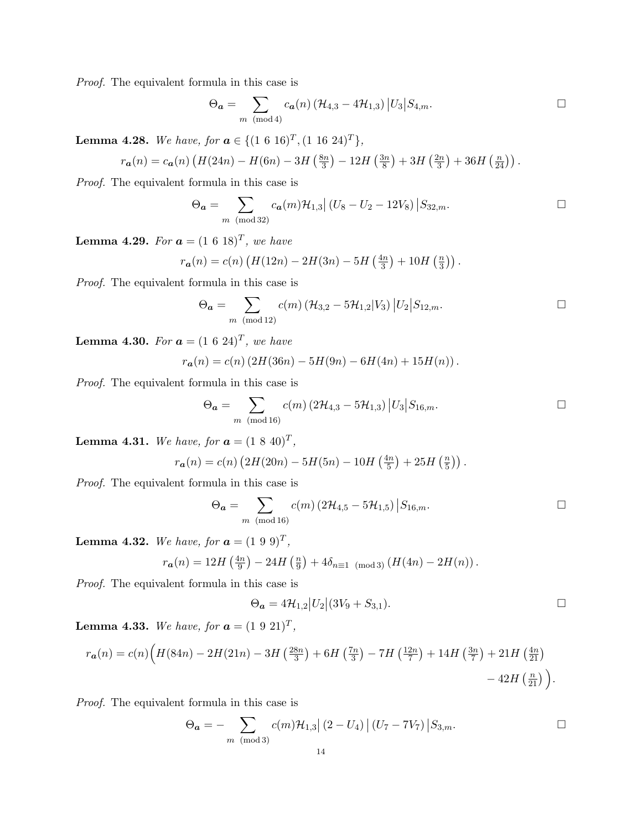$$
\Theta_{\mathbf{a}} = \sum_{m \pmod{4}} c_{\mathbf{a}}(n) \left( \mathcal{H}_{4,3} - 4\mathcal{H}_{1,3} \right) \left| U_3 \right| S_{4,m}.\n\qquad \qquad \Box
$$

**Lemma 4.28.** We have, for  $a \in \{(1\ 6\ 16)^T, (1\ 16\ 24)^T\},\$ 

$$
r_{a}(n) = c_{a}(n) \left( H(24n) - H(6n) - 3H\left(\frac{8n}{3}\right) - 12H\left(\frac{3n}{8}\right) + 3H\left(\frac{2n}{3}\right) + 36H\left(\frac{n}{24}\right) \right).
$$

Proof. The equivalent formula in this case is

$$
\Theta_{\mathbf{a}} = \sum_{m \pmod{32}} c_{\mathbf{a}}(m) \mathcal{H}_{1,3} | (U_8 - U_2 - 12V_8) | S_{32,m}.
$$

**Lemma 4.29.** For  $a = (1\ 6\ 18)^T$ , we have

$$
r_{a}(n) = c(n) \left( H(12n) - 2H(3n) - 5H\left(\frac{4n}{3}\right) + 10H\left(\frac{n}{3}\right) \right).
$$

Proof. The equivalent formula in this case is

$$
\Theta_{\mathbf{a}} = \sum_{m \pmod{12}} c(m) \left( \mathcal{H}_{3,2} - 5\mathcal{H}_{1,2} | V_3 \right) \Big| U_2 \Big| S_{12,m}. \qquad \qquad \Box
$$

**Lemma 4.30.** For  $a = (1 \ 6 \ 24)^T$ , we have

$$
r_{a}(n) = c(n) (2H(36n) - 5H(9n) - 6H(4n) + 15H(n)).
$$

Proof. The equivalent formula in this case is

$$
\Theta_{\mathbf{a}} = \sum_{m \pmod{16}} c(m) \left( 2\mathcal{H}_{4,3} - 5\mathcal{H}_{1,3} \right) |U_3| S_{16,m}.
$$

**Lemma 4.31.** We have, for  $a = (1 8 40)^T$ ,

$$
r_{a}(n) = c(n) \left(2H(20n) - 5H(5n) - 10H\left(\frac{4n}{5}\right) + 25H\left(\frac{n}{5}\right)\right).
$$

Proof. The equivalent formula in this case is

$$
\Theta_{\mathbf{a}} = \sum_{m \pmod{16}} c(m) \left( 2\mathcal{H}_{4,5} - 5\mathcal{H}_{1,5} \right) \big| S_{16,m}. \square
$$

**Lemma 4.32.** We have, for  $a = (1\ 9\ 9)^T$ ,

$$
r_{a}(n) = 12H\left(\frac{4n}{9}\right) - 24H\left(\frac{n}{9}\right) + 4\delta_{n \equiv 1 \pmod{3}}\left(H(4n) - 2H(n)\right).
$$

Proof. The equivalent formula in this case is

$$
\Theta_{\bf a} = 4\mathcal{H}_{1,2} |U_2| (3V_9 + S_{3,1}).
$$

**Lemma 4.33.** We have, for  $a = (1\ 9\ 21)^T$ ,

$$
r_{a}(n) = c(n) \Big( H(84n) - 2H(21n) - 3H\left(\frac{28n}{3}\right) + 6H\left(\frac{7n}{3}\right) - 7H\left(\frac{12n}{7}\right) + 14H\left(\frac{3n}{7}\right) + 21H\left(\frac{4n}{21}\right) - 42H\left(\frac{n}{21}\right) \Big).
$$

Proof. The equivalent formula in this case is

$$
\Theta_{\mathbf{a}} = -\sum_{m \pmod{3}} c(m) \mathcal{H}_{1,3} |(2 - U_4)| (U_7 - 7V_7) |S_{3,m}.
$$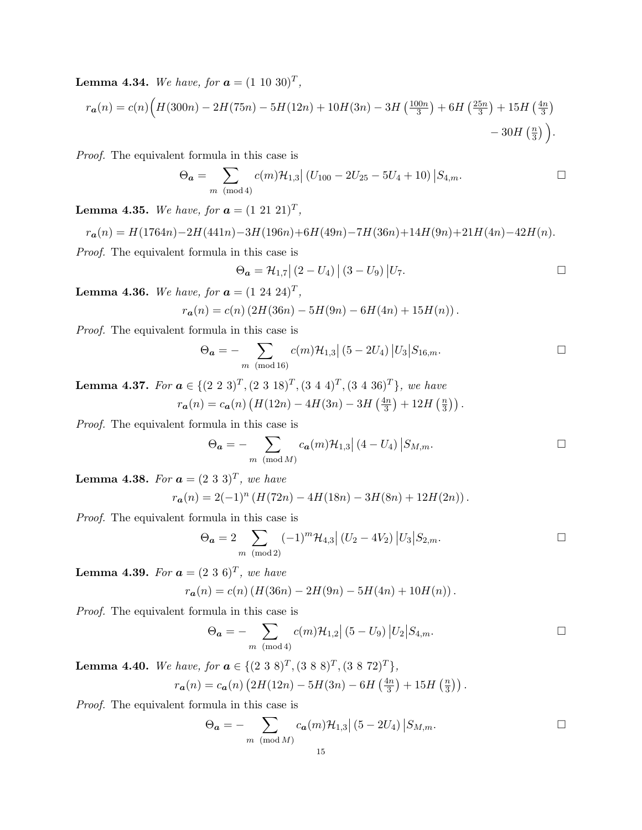**Lemma 4.34.** We have, for  $a = (1\ 10\ 30)^T$ ,

$$
r_{a}(n) = c(n)\left(H(300n) - 2H(75n) - 5H(12n) + 10H(3n) - 3H\left(\frac{100n}{3}\right) + 6H\left(\frac{25n}{3}\right) + 15H\left(\frac{4n}{3}\right) - 30H\left(\frac{n}{3}\right)\right).
$$

Proof. The equivalent formula in this case is

$$
\Theta_{\mathbf{a}} = \sum_{m \pmod{4}} c(m) \mathcal{H}_{1,3} | (U_{100} - 2U_{25} - 5U_4 + 10) | S_{4,m}.
$$

**Lemma 4.35.** We have, for  $a = (1\ 21\ 21)^T$ ,

$$
r_{a}(n) = H(1764n) - 2H(441n) - 3H(196n) + 6H(49n) - 7H(36n) + 14H(9n) + 21H(4n) - 42H(n).
$$

Proof. The equivalent formula in this case is

$$
\Theta_{\boldsymbol{a}} = \mathcal{H}_{1,7} \left| \left( 2 - U_4 \right) \right| \left( 3 - U_9 \right) \left| U_7 \right| \square
$$

**Lemma 4.36.** We have, for  $a = (1\ 24\ 24)^T$ ,

$$
r_{a}(n) = c(n) \left(2H(36n) - 5H(9n) - 6H(4n) + 15H(n)\right).
$$

Proof. The equivalent formula in this case is

$$
\Theta_{\mathbf{a}} = -\sum_{m \pmod{16}} c(m) \mathcal{H}_{1,3} | (5 - 2U_4) |U_3| S_{16,m}.
$$

**Lemma 4.37.** For  $a \in \{(2\ 2\ 3)^T, (2\ 3\ 18)^T, (3\ 4\ 4)^T, (3\ 4\ 36)^T\}$ , we have  $r_{\bf a}(n) = c_{\bf a}(n) \left( H(12n) - 4H(3n) - 3H\left(\frac{4n}{3}\right) \right)$  $\frac{\ln n}{3}$  + 12H  $\left(\frac{n}{3}\right)$  $\frac{n}{3})$ ).

Proof. The equivalent formula in this case is

$$
\Theta_{\mathbf{a}} = -\sum_{m \pmod{M}} c_{\mathbf{a}}(m) \mathcal{H}_{1,3} | (4 - U_4) | S_{M,m}.
$$

**Lemma 4.38.** For  $\boldsymbol{a} = (2 \ 3 \ 3)^T$ , we have

$$
r_{a}(n) = 2(-1)^{n} \left( H(72n) - 4H(18n) - 3H(8n) + 12H(2n) \right).
$$

Proof. The equivalent formula in this case is

$$
\Theta_{\mathbf{a}} = 2 \sum_{m \pmod{2}} (-1)^m \mathcal{H}_{4,3} | (U_2 - 4V_2) | U_3 | S_{2,m}.
$$

**Lemma 4.39.** For  $a = (2\ 3\ 6)^T$ , we have

$$
r_{a}(n) = c(n) \left( H(36n) - 2H(9n) - 5H(4n) + 10H(n) \right).
$$

Proof. The equivalent formula in this case is

$$
\Theta_{\mathbf{a}} = -\sum_{m \pmod{4}} c(m) \mathcal{H}_{1,2} | (5 - U_9) | U_2 | S_{4,m}.
$$

**Lemma 4.40.** We have, for  $\mathbf{a} \in \{ (2\ 3\ 8)^T, (3\ 8\ 8)^T, (3\ 8\ 72)^T \},$ 

$$
r_{a}(n) = c_{a}(n) \left(2H(12n) - 5H(3n) - 6H\left(\frac{4n}{3}\right) + 15H\left(\frac{n}{3}\right)\right).
$$

Proof. The equivalent formula in this case is

$$
\Theta_{\mathbf{a}} = -\sum_{m \pmod{M}} c_{\mathbf{a}}(m) \mathcal{H}_{1,3} \left| (5 - 2U_4) \right| S_{M,m}.
$$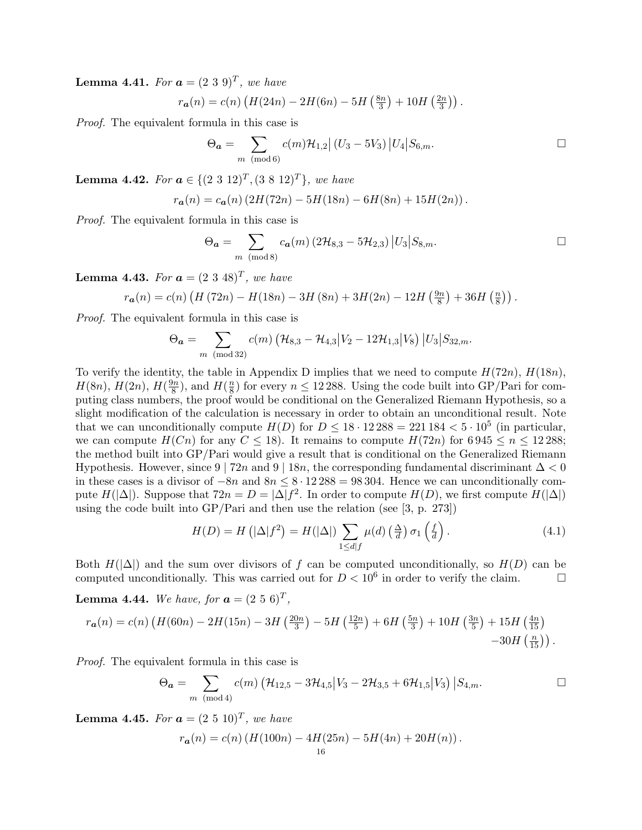**Lemma 4.41.** For  $a = (2\ 3\ 9)^T$ , we have

$$
r_{a}(n) = c(n) \left( H(24n) - 2H(6n) - 5H\left(\frac{8n}{3}\right) + 10H\left(\frac{2n}{3}\right) \right).
$$

Proof. The equivalent formula in this case is

$$
\Theta_{\mathbf{a}} = \sum_{m \pmod{6}} c(m) \mathcal{H}_{1,2} | (U_3 - 5V_3) | U_4 | S_{6,m}.
$$

**Lemma 4.42.** For  $a \in \{(2\ 3\ 12)^T, (3\ 8\ 12)^T\}$ , we have

$$
r_{a}(n) = c_{a}(n) \left(2H(72n) - 5H(18n) - 6H(8n) + 15H(2n)\right).
$$

Proof. The equivalent formula in this case is

$$
\Theta_{\mathbf{a}} = \sum_{m \pmod{8}} c_{\mathbf{a}}(m) \left( 2\mathcal{H}_{8,3} - 5\mathcal{H}_{2,3} \right) \big| U_3 \big| S_{8,m}.\n\qquad \qquad \Box
$$

**Lemma 4.43.** For  $a = (2\ 3\ 48)^T$ , we have

$$
r_{a}(n) = c(n) \left( H(72n) - H(18n) - 3H(8n) + 3H(2n) - 12H\left(\frac{9n}{8}\right) + 36H\left(\frac{n}{8}\right) \right).
$$

Proof. The equivalent formula in this case is

$$
\Theta_{\boldsymbol{a}} = \sum_{m \pmod{32}} c(m) \left( \mathcal{H}_{8,3} - \mathcal{H}_{4,3} \middle| V_2 - 12 \mathcal{H}_{1,3} \middle| V_8 \right) \left| U_3 \middle| S_{32,m} \right.
$$

To verify the identity, the table in Appendix D implies that we need to compute  $H(72n)$ ,  $H(18n)$ ,  $H(8n), H(2n), H(\frac{9n}{8})$  $\frac{\partial n}{8}$ ), and  $H(\frac{n}{8})$  $\frac{n}{8}$ ) for every  $n \le 12288$ . Using the code built into GP/Pari for computing class numbers, the proof would be conditional on the Generalized Riemann Hypothesis, so a slight modification of the calculation is necessary in order to obtain an unconditional result. Note that we can unconditionally compute  $H(D)$  for  $D \leq 18 \cdot 12\,288 = 221\,184 < 5 \cdot 10^5$  (in particular, we can compute  $H(Cn)$  for any  $C \le 18$ ). It remains to compute  $H(72n)$  for  $6\,945 \le n \le 12\,288$ ; the method built into GP/Pari would give a result that is conditional on the Generalized Riemann Hypothesis. However, since 9 | 72n and 9 | 18n, the corresponding fundamental discriminant  $\Delta < 0$ in these cases is a divisor of  $-8n$  and  $8n \leq 8 \cdot 12288 = 98304$ . Hence we can unconditionally compute  $H(|\Delta|)$ . Suppose that  $72n = D = |\Delta|f^2$ . In order to compute  $H(D)$ , we first compute  $H(|\Delta|)$ using the code built into GP/Pari and then use the relation (see [3, p. 273])

$$
H(D) = H\left(|\Delta|f^2\right) = H(|\Delta|) \sum_{1 \le d|f} \mu(d) \left(\frac{\Delta}{d}\right) \sigma_1\left(\frac{f}{d}\right). \tag{4.1}
$$

Both  $H(|\Delta|)$  and the sum over divisors of f can be computed unconditionally, so  $H(D)$  can be computed unconditionally. This was carried out for  $D < 10^6$  in order to verify the claim.

**Lemma 4.44.** We have, for  $a = (2\ 5\ 6)^T$ ,

$$
r_{a}(n) = c(n) \left( H(60n) - 2H(15n) - 3H\left(\frac{20n}{3}\right) - 5H\left(\frac{12n}{5}\right) + 6H\left(\frac{5n}{3}\right) + 10H\left(\frac{3n}{5}\right) + 15H\left(\frac{4n}{15}\right) - 30H\left(\frac{n}{15}\right) \right).
$$

Proof. The equivalent formula in this case is

$$
\Theta_{\mathbf{a}} = \sum_{m \pmod{4}} c(m) \left( \mathcal{H}_{12,5} - 3\mathcal{H}_{4,5} \middle| V_3 - 2\mathcal{H}_{3,5} + 6\mathcal{H}_{1,5} \middle| V_3 \right) \big| S_{4,m}.\n\qquad \Box
$$

**Lemma 4.45.** For  $a = (2\ 5\ 10)^T$ , we have

$$
r_{a}(n) = c(n) \left( H(100n) - 4H(25n) - 5H(4n) + 20H(n) \right).
$$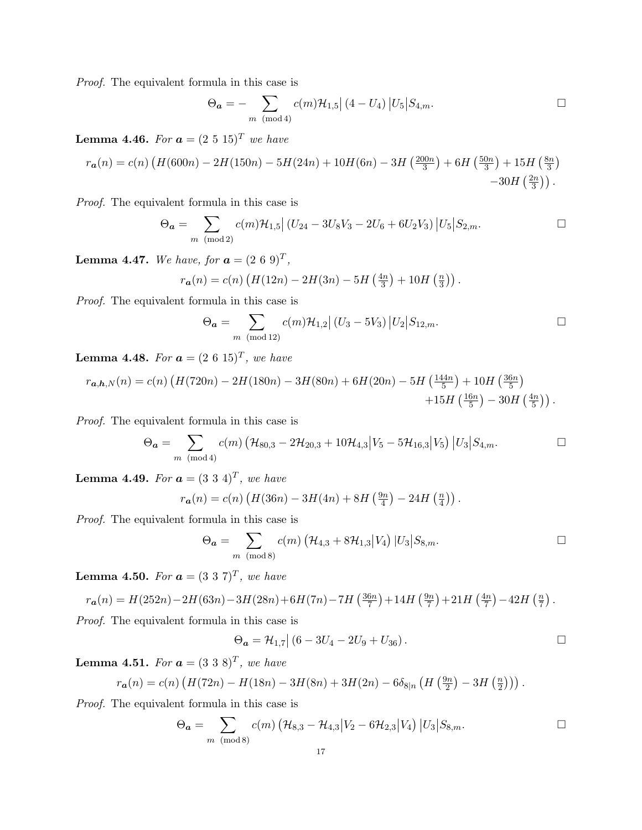$$
\Theta_{\bm{a}} = -\sum_{m \pmod{4}} c(m) \mathcal{H}_{1,5} |(4-U_4)| U_5 | S_{4,m}.
$$

**Lemma 4.46.** For  $a = (2\ 5\ 15)^T$  we have

$$
r_{\boldsymbol{a}}(n) = c(n) \left( H(600n) - 2H(150n) - 5H(24n) + 10H(6n) - 3H\left(\frac{200n}{3}\right) + 6H\left(\frac{50n}{3}\right) + 15H\left(\frac{8n}{3}\right) \right) - 30H\left(\frac{2n}{3}\right).
$$

Proof. The equivalent formula in this case is

$$
\Theta_{\mathbf{a}} = \sum_{m \pmod{2}} c(m) \mathcal{H}_{1,5} \left| (U_{24} - 3U_8V_3 - 2U_6 + 6U_2V_3) \right| U_5 \big| S_{2,m}. \square
$$

**Lemma 4.47.** We have, for  $a = (2\ 6\ 9)^T$ ,

$$
r_{a}(n) = c(n) \left( H(12n) - 2H(3n) - 5H\left(\frac{4n}{3}\right) + 10H\left(\frac{n}{3}\right) \right).
$$

Proof. The equivalent formula in this case is

$$
\Theta_{\mathbf{a}} = \sum_{m \pmod{12}} c(m) \mathcal{H}_{1,2} | (U_3 - 5V_3) | U_2 | S_{12,m}.
$$

**Lemma 4.48.** For  $a = (2\ 6\ 15)^T$ , we have

$$
r_{a,h,N}(n) = c(n) \left( H(720n) - 2H(180n) - 3H(80n) + 6H(20n) - 5H\left(\frac{144n}{5}\right) + 10H\left(\frac{36n}{5}\right) + 15H\left(\frac{16n}{5}\right) - 30H\left(\frac{4n}{5}\right) \right).
$$

Proof. The equivalent formula in this case is

$$
\Theta_{\mathbf{a}} = \sum_{m \pmod{4}} c(m) \left( \mathcal{H}_{80,3} - 2\mathcal{H}_{20,3} + 10\mathcal{H}_{4,3} \middle| V_5 - 5\mathcal{H}_{16,3} \middle| V_5 \right) \left| U_3 \middle| S_{4,m} \right. \square
$$

**Lemma 4.49.** For  $a = (3\ 3\ 4)^T$ , we have

$$
r_{a}(n) = c(n) \left( H(36n) - 3H(4n) + 8H\left(\frac{9n}{4}\right) - 24H\left(\frac{n}{4}\right) \right).
$$

Proof. The equivalent formula in this case is

$$
\Theta_{\mathbf{a}} = \sum_{m \pmod{8}} c(m) \left( \mathcal{H}_{4,3} + 8 \mathcal{H}_{1,3} | V_4 \right) | U_3 | S_{8,m}.
$$

**Lemma 4.50.** For  $\boldsymbol{a} = (3\ 3\ 7)^T$ , we have

$$
r_{a}(n) = H(252n) - 2H(63n) - 3H(28n) + 6H(7n) - 7H(\frac{36n}{7}) + 14H(\frac{9n}{7}) + 21H(\frac{4n}{7}) - 42H(\frac{n}{7}).
$$

Proof. The equivalent formula in this case is

$$
\Theta_{a} = \mathcal{H}_{1,7} \big| \left( 6 - 3U_4 - 2U_9 + U_{36} \right).
$$

**Lemma 4.51.** For  $\boldsymbol{a} = (3\ 3\ 8)^T$ , we have

$$
r_{a}(n) = c(n) \left( H(72n) - H(18n) - 3H(8n) + 3H(2n) - 6\delta_{8|n} \left( H\left(\frac{9n}{2}\right) - 3H\left(\frac{n}{2}\right) \right) \right).
$$

Proof. The equivalent formula in this case is

$$
\Theta_{\mathbf{a}} = \sum_{m \pmod{8}} c(m) \left( \mathcal{H}_{8,3} - \mathcal{H}_{4,3} \middle| V_2 - 6 \mathcal{H}_{2,3} \middle| V_4 \right) \left| U_3 \middle| S_{8,m} \right. \Box
$$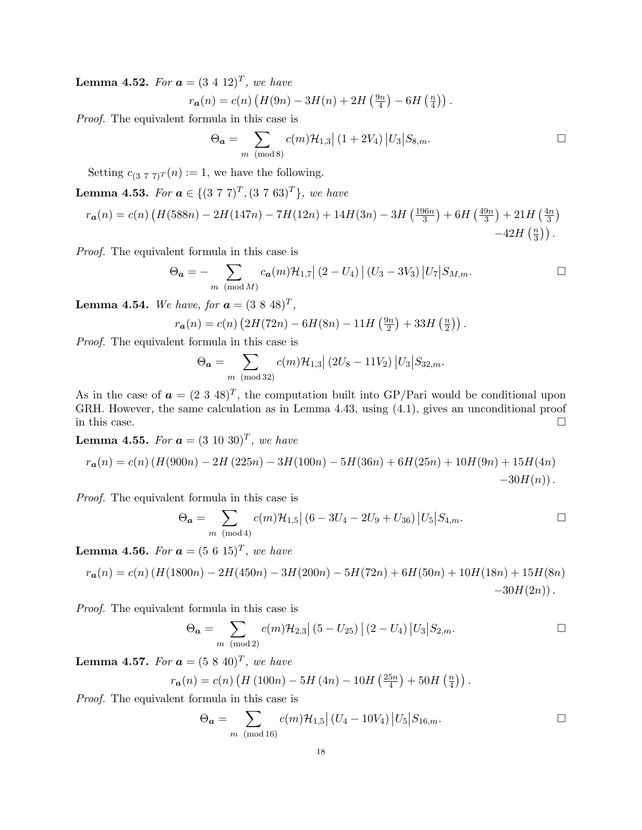**Lemma 4.52.** For  $a = (3\ 4\ 12)^T$ , we have

$$
r_{a}(n) = c(n) \left( H(9n) - 3H(n) + 2H\left(\frac{9n}{4}\right) - 6H\left(\frac{n}{4}\right) \right).
$$

Proof. The equivalent formula in this case is

$$
\Theta_{\mathbf{a}} = \sum_{m \pmod{8}} c(m) \mathcal{H}_{1,3} | (1 + 2V_4) | U_3 | S_{8,m}.
$$

Setting  $c_{(3 7 7)T}(n) := 1$ , we have the following.

**Lemma 4.53.** For  $a \in \{(3\ 7\ 7)^T, (3\ 7\ 63)^T\}$ , we have

$$
r_{a}(n) = c(n) \left( H(588n) - 2H(147n) - 7H(12n) + 14H(3n) - 3H\left(\frac{196n}{3}\right) + 6H\left(\frac{49n}{3}\right) + 21H\left(\frac{4n}{3}\right) - 42H\left(\frac{n}{3}\right) \right).
$$

Proof. The equivalent formula in this case is

$$
\Theta_{\mathbf{a}} = -\sum_{m \pmod{M}} c_{\mathbf{a}}(m) \mathcal{H}_{1,7} | (2 - U_4) | (U_3 - 3V_3) | U_7 | S_{M,m}.
$$

**Lemma 4.54.** We have, for  $a = (3 \ 8 \ 48)^T$ ,

$$
r_{a}(n) = c(n) \left(2H(72n) - 6H(8n) - 11H\left(\frac{9n}{2}\right) + 33H\left(\frac{n}{2}\right)\right).
$$

Proof. The equivalent formula in this case is

$$
\Theta_{\mathbf{a}} = \sum_{m \pmod{32}} c(m) \mathcal{H}_{1,3} \left| (2U_8 - 11V_2) \right| U_3 \big| S_{32,m}.
$$

As in the case of  $\mathbf{a} = (2 \ 3 \ 48)^T$ , the computation built into GP/Pari would be conditional upon GRH. However, the same calculation as in Lemma 4.43, using (4.1), gives an unconditional proof in this case.  $\Box$ 

**Lemma 4.55.** For  $a = (3\ 10\ 30)^T$ , we have

$$
r_{a}(n) = c(n) \left( H(900n) - 2H(225n) - 3H(100n) - 5H(36n) + 6H(25n) + 10H(9n) + 15H(4n) -30H(n) \right).
$$

Proof. The equivalent formula in this case is

$$
\Theta_{\boldsymbol{a}} = \sum_{m \pmod{4}} c(m) \mathcal{H}_{1,5} \left| (6 - 3U_4 - 2U_9 + U_{36}) \right| U_5 \left| S_{4,m} \right| \square
$$

**Lemma 4.56.** For  $a = (5\ 6\ 15)^T$ , we have

$$
r_{a}(n) = c(n) \left( H(1800n) - 2H(450n) - 3H(200n) - 5H(72n) + 6H(50n) + 10H(18n) + 15H(8n) -30H(2n) \right).
$$

Proof. The equivalent formula in this case is

$$
\Theta_{\mathbf{a}} = \sum_{m \pmod{2}} c(m) \mathcal{H}_{2,3} \left| (5 - U_{25}) \right| (2 - U_4) |U_3| S_{2,m}.
$$

**Lemma 4.57.** For  $a = (5\ 8\ 40)^T$ , we have

$$
r_{a}(n) = c(n) \left( H(100n) - 5H(4n) - 10H\left(\frac{25n}{4}\right) + 50H\left(\frac{n}{4}\right) \right).
$$

Proof. The equivalent formula in this case is

$$
\Theta_{\mathbf{a}} = \sum_{m \pmod{16}} c(m) \mathcal{H}_{1,5} | (U_4 - 10V_4) | U_5 | S_{16,m}.
$$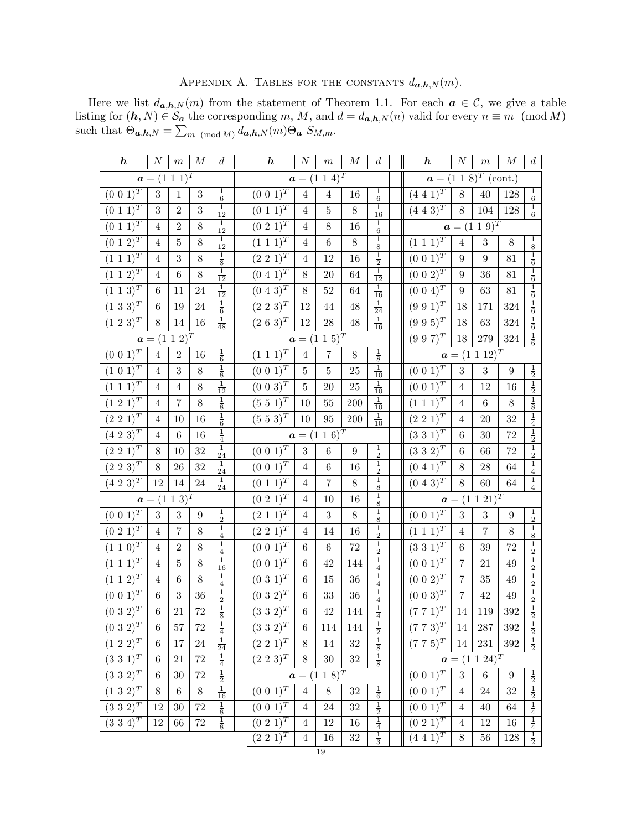| APPENDIX A. TABLES FOR THE CONSTANTS $d_{a,h,N}(m)$ . |  |  |  |  |  |  |  |
|-------------------------------------------------------|--|--|--|--|--|--|--|
|-------------------------------------------------------|--|--|--|--|--|--|--|

Here we list  $d_{a,h,N}(m)$  from the statement of Theorem 1.1. For each  $a \in \mathcal{C}$ , we give a table listing for  $(h, N) \in \mathcal{S}_a$  the corresponding m, M, and  $d = d_{a,h,N}(n)$  valid for every  $n \equiv m \pmod{M}$ such that  $\Theta_{a,h,N} = \sum_{m \pmod{M}} d_{a,h,N}(m) \Theta_a | S_{M,m}$ .

| $\boldsymbol{h}$             | $\boldsymbol{N}$             | $\,m$          | $\cal M$         | $\boldsymbol{d}$                | $\boldsymbol{h}$             | $\cal N$       | $\boldsymbol{m}$               | $\cal M$         | $\boldsymbol{d}$                | $\boldsymbol{h}$           | $\cal N$         | $\,m$                         | $\cal M$         | $\boldsymbol{d}$                          |
|------------------------------|------------------------------|----------------|------------------|---------------------------------|------------------------------|----------------|--------------------------------|------------------|---------------------------------|----------------------------|------------------|-------------------------------|------------------|-------------------------------------------|
|                              | $a = (1\ 1\ 1)^T$            |                |                  |                                 |                              |                | $a = (1\ 1\ 4)^T$              |                  |                                 | $a = (1\ 1\ 8)^T$ (cont.)  |                  |                               |                  |                                           |
| $(0\;0\;1)^T$                | 3                            | $\mathbf{1}$   | $\sqrt{3}$       | $\frac{1}{6}$                   | $(0\; 0\; 1)^{T}$            | $\sqrt{4}$     | $\overline{4}$                 | 16               | $\frac{1}{6}$                   | $(4\; 4\; 1)^T$            | $8\,$            | 40                            | 128              | $\frac{1}{6}$                             |
| $(0\; 1\; 1)^T$              | $\sqrt{3}$                   | $\sqrt{2}$     | 3                | $\mathbf{1}$<br>$\overline{12}$ | $(0\ 1\ 1)^T$                | $\overline{4}$ | $\bf 5$                        | $8\,$            | $\mathbf{1}$<br>$\overline{16}$ | $(4\; 4\; 3)^T$            | $8\,$            | 104                           | 128              | $\,1$<br>$\overline{6}$                   |
| $(0\ 1\ 1)^T$                | $\overline{4}$               | $\overline{2}$ | $8\,$            | $\frac{1}{12}$                  | $(0\ 2\ 1)^T$                | $\overline{4}$ | $8\,$                          | 16               | $\frac{1}{6}$                   |                            |                  | $a = (1\ 1\ 9)^{T}$           |                  |                                           |
| $(0\; 1\; 2)^T$              | 4                            | $\bf 5$        | $8\,$            | $\frac{1}{12}$                  | $(1\ 1\ 1)^T$                | 4              | $\,6$                          | $8\,$            | $\frac{1}{8}$                   | $(1\ 1\ 1)^T$              | $\overline{4}$   | $\sqrt{3}$                    | $8\,$            | $\frac{1}{8}$                             |
| $(1\ 1\ 1)^T$                | 4                            | 3              | 8                | $\frac{1}{8}$                   | $(2\ 2\ 1)^T$                | 4              | 12                             | 16               | $\frac{1}{2}$                   | $(0\ 0\ 1)^T$              | 9                | 9                             | 81               | $\frac{1}{6}$                             |
| $(1\; 1\; 2)^T$              | 4                            | $\,6$          | $8\,$            | $\frac{1}{12}$                  | $(0\ 4\ 1)^T$                | 8              | $20\,$                         | 64               | $\frac{1}{12}$                  | $(0\ 0\ 2)^T$              | 9                | 36                            | 81               | $\overline{6}$                            |
| $(1\; 1\; 3)^T$              | $\,6$                        | 11             | 24               | $\,1$<br>$\overline{12}$        | $(0\; 4\; 3)^T$              | 8              | $52\,$                         | 64               | $\,1\,$<br>$\overline{16}$      | $(0\; 0\; 4)^T$            | 9                | 63                            | 81               | $\frac{1}{6}$                             |
| $(1\ 3\ 3)^T$                | 6                            | 19             | $24\,$           | $\frac{1}{6}$                   | $(2\ 2\ 3)^{T}$              | 12             | 44                             | 48               | $\frac{1}{24}$                  | $(9\;9\;1)^{T}$            | 18               | 171                           | 324              | $\frac{1}{6}$                             |
| $(1\ 2\ 3)^{T}$              | 8                            | $14\,$         | 16               | $\frac{1}{48}$                  | $(2\; 6\; 3)^T$              | 12             | 28                             | 48               | $\frac{1}{16}$                  | $(9\;9\;5)^{T}$            | 18               | 63                            | 324              | $\frac{1}{6}$                             |
|                              | $\boldsymbol{a}=(1\ 1\ 2)^T$ |                |                  |                                 |                              |                | $a = (1\ 1\ 5)^T$              |                  |                                 | $(9\;9\;7)^{T}$            | 18               | 279                           | 324              | $\frac{1}{6}$                             |
| $(0\; 0\; 1)^{\overline{T}}$ | 4                            | $\mathbf{2}$   | 16               | $\frac{1}{6}$                   | $(1\; 1\; 1)^T$              | $\sqrt{4}$     | $\overline{7}$                 | $8\,$            | $\frac{1}{8}$                   |                            |                  | $\boldsymbol{a}=(1\ 1\ 12)^T$ |                  |                                           |
| $(1\;0\;1)^{\bar{T}}$        | $\overline{4}$               | 3              | $8\,$            | $\frac{1}{8}$                   | $(0\;0\;1)^{T}$              | $\bf 5$        | $\bf 5$                        | 25               | $\frac{1}{10}$                  | $(0\; 0\; 1)^{T}$          | $\boldsymbol{3}$ | 3                             | $\boldsymbol{9}$ | $\frac{1}{2}$                             |
| $(1\; 1\; 1)^T$              | 4                            | 4              | 8                | $\frac{1}{12}$                  | $(0\ 0\ 3)^T$                | $\bf 5$        | $20\,$                         | 25               | $\frac{1}{10}$                  | $(0\ 0\ 1)^T$              | $\overline{4}$   | 12                            | 16               | $\frac{1}{2}$                             |
| $(1\;2\;1)^{T}$              | $\overline{4}$               | $\overline{7}$ | $8\,$            | $\frac{1}{8}$                   | $(5\;5\;1)^{T}$              | 10             | $55\,$                         | 200              | $\frac{1}{10}$                  | $(1\; 1\; 1)^T$            | $\overline{4}$   | $\overline{6}$                | $8\,$            | $\frac{1}{8}$                             |
| $(2\ 2\ 1)^T$                | 4                            | 10             | 16               | $\frac{1}{6}$                   | $(5\ 5\ 3)^T$                | 10             | 95                             | <b>200</b>       | $\frac{1}{10}$                  | $(2\ 2\ 1)^T$              | $\overline{4}$   | 20                            | 32               | $\frac{1}{4}$                             |
| $(4\ 2\ 3)^T$                | 4                            | $\,6$          | 16               | $\frac{1}{4}$                   |                              |                | $a = (1\ 1\ 6)^T$              |                  |                                 | $(3\ 3\ 1)^T$              | $\,6$            | 30                            | 72               | $\frac{1}{2}$                             |
| $(2\ 2\ 1)^T$                | 8                            | 10             | $32\,$           | $\frac{1}{24}$                  | $(0\ 0\ 1)^T$                | $\overline{3}$ | $\,6$                          | $\boldsymbol{9}$ | $\frac{1}{2}$                   | $(3\;3\;2)^{T}$            | 6                | 66                            | 72               | $\frac{1}{2}$                             |
| $(2\; 2\; 3)^T$              | 8                            | 26             | 32               | $\frac{1}{24}$                  | $(0\ 0\ \overline{1)^T}$     | $\overline{4}$ | $\,6\,$                        | 16               | $\frac{1}{2}$                   | $(0\ 4\ \overline{1)^T}$   | 8                | 28                            | 64               | $\frac{1}{4}$                             |
| $(4\ 2\ 3)^{T}$              | 12                           | $14\,$         | $24\,$           | $\frac{1}{24}$                  | $(0\ 1\ 1)^T$                | $\overline{4}$ | $\bf 7$                        | 8                | $\frac{1}{8}$                   | $(0\; 4\; 3)^T$            | 8                | 60                            | 64               | $\frac{1}{4}$                             |
|                              | $\boldsymbol{a}=(1\ 1\ 3)^T$ |                |                  |                                 | $(0\ 2\ 1)^T$                | 4              | 10                             | 16               | $\frac{1}{8}$                   |                            |                  | $a = (1\ 1\ 21)^T$            |                  |                                           |
| $(0\; 0\; 1)^T$              | 3                            | $\sqrt{3}$     | $\boldsymbol{9}$ |                                 | $(2\ 1\ 1)^T$                | $\overline{4}$ | $\sqrt{3}$                     | 8                | $\frac{1}{8}$                   | $(0\; 0\; 1)^T$            | 3                | 3                             | $\boldsymbol{9}$ |                                           |
| $(0\; 2\; 1)^T$              | $\overline{4}$               | $\overline{7}$ | 8                | $\frac{1}{2}$ $\frac{1}{4}$     | $(2\;2\;1)^{T}$              | $\overline{4}$ | 14                             | 16               | $\frac{1}{2}$                   | $(1\; 1\; 1)^T$            | 4                | $\overline{7}$                | 8                | $\frac{\frac{1}{2}}{\frac{1}{8}}$         |
| $(1\; 1\; 0)^T$              | $\overline{4}$               | $\overline{2}$ | $8\,$            | $\frac{1}{4}$                   | $(0\; 0\; 1)^{\overline{T}}$ | 6              | $\,6\,$                        | 72               | $\frac{1}{2}$                   | $(3\;3\;1)^{T}$            | 6                | 39                            | 72               | $\frac{1}{2}$                             |
| $(1\; 1\; 1)^T$              | 4                            | 5              | $8\,$            | $\frac{1}{16}$                  | $(0\ 0\ 1)^T$                | 6              | 42                             | 144              | $\frac{1}{4}$                   | $(0\ 0\ 1)^T$              | 7                | 21                            | 49               | $\frac{1}{2}$                             |
| $(1\ 1\ 2)^T$                | 4                            | $\,6$          | $8\,$            | $\frac{1}{4}$                   | $(0\ 3\ 1)^T$                | 6              | 15                             | $36\,$           | $\frac{1}{4}$                   | $(0\ 0\ 2)^T$              | $\overline{7}$   | 35                            | 49               | $\frac{1}{2}$                             |
| $(0\;0\;1)^{\bar{T}}$        | $\;6\;$                      | $\overline{3}$ | 36               | $\frac{1}{2}$                   | $(0\;3\;2)^{T}$              | 6              | 33                             | $36\,$           | $\frac{1}{4}$                   | $(0\ 0\ 3)^T$              | $\overline{7}$   | 42                            | 49               | $\frac{1}{2}$                             |
| $(0\;3\;2)^{T}$              | $\,6$                        | 21             | $72\,$           | $\frac{1}{8}$                   | $(3\;3\;2)^{T}$              | $\,6$          | 42                             | 144              | $\frac{1}{4}$                   | $(7\ 7\ 1)^{\overline{T}}$ | 14               | 119                           | 392              | $\frac{1}{2}$                             |
| $(0\;3\;2)^{T}$              | $\,6\,$                      | $57\,$         | $72\,$           | $\frac{1}{4}$                   | $(3\;3\;2)^{T}$              | $\,6$          | 114                            | 144              | $\frac{1}{2}$                   | $(7\; 7\; 3)^T$            | 14               | $287\,$                       | $392\,$          | $\frac{1}{2}$                             |
| $(1\ 2\ 2)^{T}$              | 6                            | $17\,$         | $24\,$           | $\frac{1}{24}$                  | $(2\;2\;1)^T$                | 8              | 14                             | $32\,$           | $\frac{1}{8}$                   | $(7\; 7\; 5)^T$            | 14               | $231\,$                       | $392\,$          | $\frac{1}{2}$                             |
| $(3\;3\;1)^{T}$              | $\,6$                        | 21             | $72\,$           | $\frac{1}{4}$                   | $(2\;2\;3)^{T}$              | 8              | $30\,$                         | $32\,$           | $\frac{1}{8}$                   |                            |                  | $\boldsymbol{a}=(1\ 1\ 24)^T$ |                  |                                           |
| $(3\;3\;2)^{T}$              | 6                            | $30\,$         | $72\,$           | $\frac{1}{2}$                   |                              |                | $a = (1 \ 1 \ \overline{8})^T$ |                  |                                 | $(0\ 0\ 1)^T$              | $\sqrt{3}$       | $\,6$                         | $\boldsymbol{9}$ |                                           |
| $(1\;3\;2)^{T}$              | $8\,$                        | $\,6\,$        | $8\,$            | $\frac{1}{16}$                  | $(0\; 0\; \overline{1)^T}$   | $\overline{4}$ | $8\,$                          | $32\,$           | $\frac{1}{6}$                   | $(0\; 0\; 1)^T$            | $\overline{4}$   | 24                            | $32\,$           | $\frac{1}{2}$ $\frac{1}{2}$ $\frac{1}{4}$ |
| $(3\;3\;2)^{T}$              | 12                           | $30\,$         | $72\,$           | $\frac{1}{8}$                   | $(0\; 0\; 1)^T$              | $\overline{4}$ | $24\,$                         | $32\,$           | $\frac{1}{2}$                   | $(0\; 0\; 1)^T$            | $\overline{4}$   | 40                            | 64               |                                           |
| $(3\;3\;4)^{T}$              | 12                           | 66             | $72\,$           | $\frac{1}{8}$                   | $(0\;2\;1)^{T}$              | $\overline{4}$ | $12\,$                         | $16\,$           | $\frac{1}{4}$                   | $\overline{(0\; 2\; 1)^T}$ | $\overline{4}$   | $12\,$                        | $16\,$           | $\frac{1}{4}$                             |
|                              |                              |                |                  |                                 | $\overline{(2\;2\;1)^T}$     | $\overline{4}$ | $16\,$                         | $32\,$           | $\frac{1}{3}$                   | $(4\;4\;1)^{T}$            | $8\,$            | $56\,$                        | $128\,$          | $\frac{1}{2}$                             |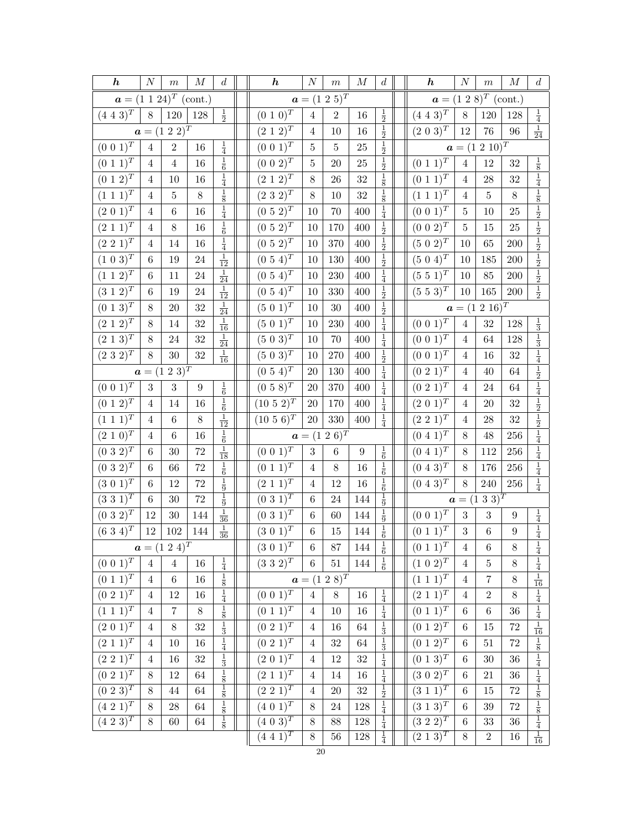| $\boldsymbol{h}$             | $\cal N$       | $\,m$                      | $\cal M$         | $\boldsymbol{d}$            | $\boldsymbol{h}$           | $\boldsymbol{N}$ | $\,m$             | $\cal M$         | d                                | $\boldsymbol{h}$             | $\cal N$       | $\,m$                        | $\cal M$         | $\boldsymbol{d}$                                                                                  |
|------------------------------|----------------|----------------------------|------------------|-----------------------------|----------------------------|------------------|-------------------|------------------|----------------------------------|------------------------------|----------------|------------------------------|------------------|---------------------------------------------------------------------------------------------------|
|                              |                | $a = (1\ 1\ 24)^T$ (cont.) |                  |                             |                            |                  | $a = (1\ 2\ 5)^T$ |                  |                                  |                              |                | $a = (1\ 2\ 8)^T$ (cont.)    |                  |                                                                                                   |
| $(4\;4\;3)^{\overline{T}}$   | $8\,$          | 120                        | 128              | $\frac{1}{2}$               | $(0\ 1\ 0)^{\overline{T}}$ | $\overline{4}$   | $\,2$             | 16               | $\frac{1}{2}$                    | $(4\; 4\; 3)^{\overline{T}}$ | $8\,$          | 120                          | 128              | $\frac{1}{4}$                                                                                     |
|                              |                | $a = (1\ 2\ 2)^T$          |                  |                             | $(2\; 1\; 2)^T$            | $\overline{4}$   | 10                | 16               | $\frac{1}{2}$                    | $(2\;0\;3)^{\bar{T}}$        | $12\,$         | 76                           | $96\,$           | $\frac{1}{24}$                                                                                    |
| $(0\; 0\; 1)^T$              | 4              | $\,2$                      | 16               | $\frac{1}{4}$               | $(0\; 0\; 1)^{T}$          | $\bf 5$          | $\overline{5}$    | $25\,$           | $\frac{1}{2}$                    |                              |                | $a = (1\ 2\ 10)^T$           |                  |                                                                                                   |
| $(0\; 1\; \overline{1})^T$   | $\overline{4}$ | $\overline{4}$             | 16               | $\frac{1}{6}$               | $(0\ 0\ 2)^T$              | $\bf 5$          | 20                | 25               | $\frac{1}{2}$                    | $(0\; 1\; \overline{1)^T}$   | $\overline{4}$ | 12                           | $32\,$           |                                                                                                   |
| $(0\; 1\; 2)^{\overline{T}}$ | $\overline{4}$ | 10                         | 16               | $\frac{1}{4}$               | $(2\; 1\; 2)^T$            | $8\,$            | 26                | 32               | $\frac{1}{8}$                    | $(0\ 1\ 1)^T$                | $\overline{4}$ | 28                           | 32               | $\frac{1}{8}$ $\frac{1}{4}$                                                                       |
| $(1\; 1\; 1)^{\overline{T}}$ | $\overline{4}$ | $\bf 5$                    | $8\,$            | $\frac{1}{8}$               | $(2\;3\;2)^{\overline{T}}$ | $8\,$            | $10\,$            | 32               | $\frac{1}{8}$                    | $(1\;1\;1)^{\bar{T}}$        | $\overline{4}$ | $\bf 5$                      | 8                |                                                                                                   |
| $(2\;0\;1)^{\bar{T}}$        | 4              | $\,6\,$                    | 16               | $\frac{1}{4}$               | $(0\ 5\ 2)^{T}$            | 10               | 70                | 400              | $\frac{1}{4}$                    | $(0\; 0\; 1)^T$              | 5              | 10                           | 25               |                                                                                                   |
| $(2\;1\;1)^{\bar{T}}$        | $\overline{4}$ | 8                          | 16               | $\frac{1}{6}$               | $(0\ 5\ 2)^T$              | 10               | 170               | 400              | $\frac{1}{2}$                    | $(0\;0\;2)^{T}$              | $\overline{5}$ | 15                           | 25               |                                                                                                   |
| $(2\; 2\; \overline{1)^T}$   | $\overline{4}$ | $14\,$                     | $16\,$           | $\frac{1}{4}$               | $(0\ 5\ 2)^{T}$            | 10               | 370               | 400              | $\frac{1}{2}$                    | $(5\ 0\ 2)^{T}$              | 10             | 65                           | $200\,$          | $\frac{1}{8}$ $\frac{1}{2}$ $\frac{1}{2}$ $\frac{1}{2}$ $\frac{1}{2}$ $\frac{1}{2}$ $\frac{1}{2}$ |
| $(1\ 0\ 3)^{T}$              | $\,6$          | 19                         | 24               | $\frac{1}{12}$              | $(0\ 5\ 4)^T$              | 10               | 130               | 400              | $\frac{1}{2}$                    | $(5\ 0\ 4)^T$                | 10             | 185                          | 200              |                                                                                                   |
| $(1\; 1\; 2)^{\bar{T}}$      | $\,6$          | $11\,$                     | $24\,$           | $\frac{1}{24}$              | $(0\ 5\ 4)^{T}$            | $10\,$           | $230\,$           | 400              | $\frac{1}{4}$                    | $(5\;5\;1)^{\bar{T}}$        | 10             | 85                           | $200\,$          | $\frac{1}{2}$ $\frac{1}{2}$                                                                       |
| $(3\; 1\; 2)^{\overline{T}}$ | 6              | 19                         | 24               | $\frac{1}{12}$              | $(0\ 5\ 4)^T$              | 10               | 330               | 400              | $\frac{1}{2}$                    | $(5\ 5\ 3)^{T}$              | 10             | 165                          | $200\,$          |                                                                                                   |
| $(0\ 1\ 3)^{\overline{T}}$   | $8\,$          | $20\,$                     | 32               | $\frac{1}{24}$              | $(5\;0\;1)^{\bar{T}}$      | 10               | 30                | 400              | $\frac{1}{2}$                    |                              |                | $a = (1\ 2\ 16)^T$           |                  |                                                                                                   |
| $(2\; 1\; 2)^{\overline{T}}$ | $8\,$          | 14                         | 32               | $\frac{1}{16}$              | $(5\ 0\ 1)^T$              | 10               | 230               | 400              | $\frac{1}{4}$                    | $(0\; 0\; 1)^{T}$            | $\overline{4}$ | 32                           | 128              | $\frac{1}{3}$                                                                                     |
| $(2\; 1\; 3)^T$              | 8              | 24                         | 32               | $\frac{1}{24}$              | $(5\; 0\; 3)^T$            | $10\,$           | $70\,$            | 400              | $\frac{1}{4}$                    | $(0\ 0\ \overline{1)^T}$     | $\overline{4}$ | 64                           | 128              | $\frac{1}{3}$ $\frac{1}{4}$                                                                       |
| $(2\;3\;2)^{T}$              | 8              | $30\,$                     | 32               | $\frac{1}{16}$              | $(5 \ 0 \ 3)^T$            | 10               | 270               | 400              | $\frac{1}{2}$                    | $(0\ 0\ 1)^T$                | $\overline{4}$ | 16                           | 32               |                                                                                                   |
|                              |                | $a = (1\ 2\ 3)^T$          |                  |                             | $(0\ 5\ 4)^T$              | 20               | 130               | 400              | $\frac{1}{4}$                    | $(0\ 2\ 1)^{\overline{T}}$   | $\overline{4}$ | 40                           | $64\,$           |                                                                                                   |
| $(0\;0\;1)^{T}$              | 3              | 3                          | $\boldsymbol{9}$ | $\frac{1}{6}$               | $(0\;5\;8)^{T}$            | $20\,$           | $370\,$           | 400              | $\frac{1}{4}$                    | $(0\;2\;1)^T$                | $\overline{4}$ | 24                           | 64               |                                                                                                   |
| $(0\; 1\; 2)^{\bar{T}}$      | $\overline{4}$ | 14                         | 16               | $\frac{1}{6}$               | $(10\ 5\ 2)^T$             | 20               | 170               | 400              | $\frac{1}{4}$                    | $(2\;0\;1)^{\bar{T}}$        | $\overline{4}$ | 20                           | 32               |                                                                                                   |
| $(1\; 1\; 1)^{\overline{T}}$ | $\overline{4}$ | $\,6\,$                    | $8\,$            | $\frac{1}{12}$              | $(10\ 5\ 6)^T$             | $20\,$           | $330\,$           | 400              | $\frac{1}{4}$                    | $(2\;2\;1)^{T}$              | $\overline{4}$ | 28                           | 32               | $\frac{1}{2}$ $\frac{1}{4}$ $\frac{1}{2}$ $\frac{1}{2}$ $\frac{1}{2}$ $\frac{1}{4}$               |
| $(2\; 1\; 0)^T$              | 4              | $\,6$                      | $16\,$           | $\frac{1}{6}$               |                            |                  | $a = (1\ 2\ 6)^T$ |                  |                                  | $(0\; 4\; 1)^T$              | $8\,$          | 48                           | $256\,$          |                                                                                                   |
| $(0\ 3\ 2)^T$                | $\,6$          | $30\,$                     | 72               | $\frac{1}{18}$              | $(0\ 0\ 1)^{\overline{T}}$ | $\sqrt{3}$       | $\,$ 6 $\,$       | $\boldsymbol{9}$ | $\frac{1}{6}$                    | $(0\ 4\ 1)^{\overline{T}}$   | 8              | $112\,$                      | $256\,$          | $\frac{1}{4}$                                                                                     |
| $(0\;3\;2)^{T}$              | $\,6$          | 66                         | 72               | $\frac{1}{6}$               | $(0\ 1\ 1)^{\overline{T}}$ | $\overline{4}$   | 8                 | 16               | $\frac{1}{6}$                    | $(0\ 4\ 3)^{\overline{T}}$   | $8\,$          | 176                          | $256\,$          | $\frac{1}{4}$                                                                                     |
| $(3\ 0\ 1)^T$                | $\,6$          | 12                         | 72               | $\frac{1}{9}$               | $(2\; 1\; 1)^T$            | $\overline{4}$   | 12                | 16               | $\frac{1}{6}$                    | $(0\; 4\; 3)^{\overline{T}}$ | 8              | $240\,$                      | 256              | $\frac{1}{4}$                                                                                     |
| $(3\;3\;1)^T$                | $\,6$          | 30                         | 72               | $\frac{1}{9}$               | $(0\;3\;\overline{1})^T$   | $\,6$            | 24                | 144              | $\frac{1}{9}$                    |                              |                | $a = (1\ 3\ \overline{3})^T$ |                  |                                                                                                   |
| $(0\;3\;2)^{T}$              | 12             | $30\,$                     | 144              | $\frac{1}{36}$              | $(0\;3\;\overline{1)^{T}}$ | $\,6$            | 60                | 144              | $\frac{1}{9}$                    | $(0\; 0\; \overline{1)^T}$   | 3              | 3                            | 9                | $\frac{\frac{1}{4}}{\frac{1}{4}}$                                                                 |
| $(6\;3\;4)^{\bar{T}}$        | 12             | 102                        | 144              | $\frac{1}{36}$              | $(3\;0\;\overline{1})^T$   | $\,6\,$          | $15\,$            | $144\,$          | $\frac{1}{6}$                    | $(0\; 1\; \overline{1)^T}$   | $\sqrt{3}$     | $\,$ 6 $\,$                  | $\boldsymbol{9}$ |                                                                                                   |
|                              |                | $a = (1\ 2\ 4)^T$          |                  |                             | $(3\;0\;1)^T$              | $\overline{6}$   | $\overline{87}$   | 144              | $\overline{1}$<br>$\overline{6}$ | $(0\;1\;1)^T$                | $\overline{4}$ | $\overline{6}$               | $\overline{8}$   | $\overline{1}$                                                                                    |
| $(0\; 0\; 1)^T$              | $\overline{4}$ | $\overline{4}$             | 16               | $\frac{1}{4}$               | $(3\;3\;2)^T$              | $6\phantom{.}6$  | 51                | 144              | $\frac{1}{6}$                    | $(1\ 0\ 2)^{T}$              | $\overline{4}$ | $\bf 5$                      | $8\,$            | $\frac{\frac{1}{4}}{\frac{1}{16}}$                                                                |
| $(0\ 1\ 1)^T$                | $\overline{4}$ | $\,6\,$                    | 16               | $\frac{1}{8}$               |                            |                  | $a = (1\ 2\ 8)^T$ |                  |                                  | $(1\; 1\; \overline{1})^T$   | $\overline{4}$ | $\overline{7}$               | $8\,$            |                                                                                                   |
| $(0\; 2\; 1)^T$              | $\overline{4}$ | $12\,$                     | $16\,$           | $\frac{1}{4}$               | $(0\ 0\ 1)^T$              | $\overline{4}$   | $8\,$             | 16               | $\frac{1}{4}$                    | $(2\,\,\overline{1}\,\,1)^T$ | $\overline{4}$ | $\overline{2}$               | $8\,$            | $\frac{1}{4}$ $\frac{1}{4}$                                                                       |
| $(1\; 1\; \overline{1})^T$   | $\overline{4}$ | $\,7$                      | $8\,$            | $\frac{1}{8}$               | $(0\; 1\; 1)^{T}$          | $\overline{4}$   | 10                | 16               | $\frac{1}{4}$                    | $(0\ \overline{1\ 1})^T$     | $\,6\,$        | $\,6\,$                      | $36\,$           |                                                                                                   |
| $(2\;\overline{0\;1)^T}$     | $\overline{4}$ | $8\,$                      | 32               | $\frac{1}{3}$               | $(0\; 2\; 1)^T$            | $\overline{4}$   | $16\,$            | 64               | $\frac{1}{3}$                    | $(0\ \overline{1\ 2)^T}$     | 6              | $15\,$                       | $72\,$           | $\frac{1}{16}$                                                                                    |
| $(2\; 1\; 1)^T$              | $\overline{4}$ | 10                         | $16\,$           | $\frac{1}{4}$               | $(0\ 2\ 1)^T$              | $\overline{4}$   | 32                | 64               | $\frac{1}{3}$                    | $(0\; 1\; 2)^T$              | $\,6\,$        | 51                           | $72\,$           |                                                                                                   |
| $(2\ 2\ \overline{1)^T}$     | $\overline{4}$ | 16                         | $32\,$           | $\frac{1}{3}$               | $(2\; 0\; 1)^T$            | $\overline{4}$   | $12\,$            | $32\,$           | $\frac{1}{4}$                    | $(0\; 1\; 3)^T$              | $\,6\,$        | $30\,$                       | $36\,$           | $\frac{1}{8}$ $\frac{1}{4}$ $\frac{1}{4}$ $\frac{1}{4}$ $\frac{1}{8}$ $\frac{1}{1}$ $\frac{1}{8}$ |
| $(0\ 2\ 1)^T$                | $8\,$          | 12                         | $64\,$           | $\frac{1}{8}$ $\frac{1}{8}$ | $(2\; 1\; \overline{1)^T}$ | $\overline{4}$   | 14                | 16               | $\frac{1}{4}$                    | $(3\; 0\; 2)^T$              | $\,6\,$        | $21\,$                       | $36\,$           |                                                                                                   |
| $(\overline{0\ 2\ 3)^T}$     | $8\,$          | $44\,$                     | $64\,$           |                             | $(\overline{2\;2\;1)^T}$   | $\overline{4}$   | $20\,$            | $32\,$           | $\frac{1}{2}$                    | $(\overline{3\ 1\ 1)^T}$     | $\,6\,$        | $15\,$                       | $72\,$           |                                                                                                   |
| $(4\ 2\ 1)^{\overline{T}}$   | $8\,$          | $\sqrt{28}$                | 64               | $\frac{1}{8}$ $\frac{1}{8}$ | $(4\;0\;1)^{T}$            | $8\,$            | 24                | $128\,$          | $\frac{1}{4}$                    | $(3\; 1\; 3)^T$              | 6              | $39\,$                       | $72\,$           |                                                                                                   |
| $(4\;2\;3)^{T}$              | $8\,$          | $60\,$                     | $64\,$           |                             | $(4\;0\;3)^{T}$            | 8                | 88                | $128\,$          | $\frac{1}{4}$                    | $\overline{(3\ 2\ 2)^T}$     | $6\,$          | $33\,$                       | 36               |                                                                                                   |
|                              |                |                            |                  |                             | $(4\;4\;\overline{1})^T$   | $8\,$            | $56\,$            | 128              | $\frac{1}{4}$                    | $(2\; 1\; 3)^T$              | $8\,$          | $\,2$                        | $16\,$           | $\frac{1}{16}$                                                                                    |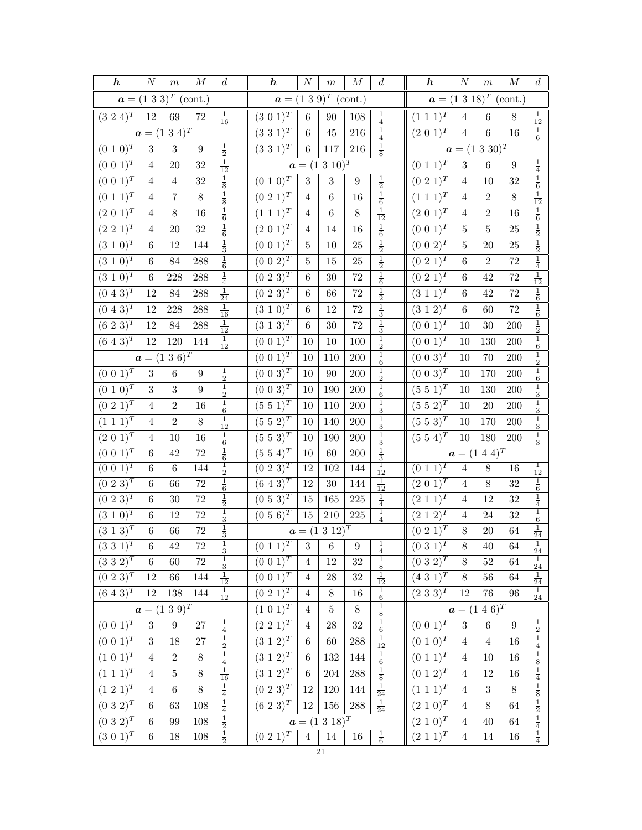| $\boldsymbol{h}$               | $\cal N$                         | $\,m$                     | $\boldsymbol{M}$   | $\boldsymbol{d}$               | $\boldsymbol{h}$                                                      | $\cal N$         | $\,m$                        | $\cal M$           | $\boldsymbol{d}$            | $\boldsymbol{h}$                            | $\cal N$                         | $\,m$              | $\cal M$         | $\boldsymbol{d}$                                                                                                       |
|--------------------------------|----------------------------------|---------------------------|--------------------|--------------------------------|-----------------------------------------------------------------------|------------------|------------------------------|--------------------|-----------------------------|---------------------------------------------|----------------------------------|--------------------|------------------|------------------------------------------------------------------------------------------------------------------------|
|                                |                                  | $a = (1\ 3\ 3)^T$ (cont.) |                    |                                |                                                                       |                  | $a = (1\ 3\ 9)^T$ (cont.)    |                    |                             | $a = (1\ 3\ 18)^T$ (cont.)                  |                                  |                    |                  |                                                                                                                        |
| $(3\;2\;4)^T$                  | $12\,$                           | $69\,$                    | $72\,$             | $\frac{1}{16}$                 | $(3\; 0\; 1)^T$                                                       | $\,6\,$          | $90\,$                       | 108                | $\frac{1}{4}$               | $(1\; 1\; \overline{1})^T$                  | $\sqrt{4}$                       | $\,6\,$            | $8\,$            | $\frac{1}{12}$                                                                                                         |
|                                |                                  | $a = (1\ 3\ 4)^T$         |                    |                                | $(3\;3\;1)^{T}$                                                       | $\,6$            | $45\,$                       | $216\,$            | $\frac{1}{4}$               | $(2\;0\;1)^{T}$                             | $\,4\,$                          | $\,6\,$            | 16               | $\frac{1}{6}$                                                                                                          |
| $(0\; 1\; 0)^{\overline{T}}$   | 3                                | $\,3$                     | $\boldsymbol{9}$   | $\frac{1}{2}$                  | $(3\ 3\ 1)^T$                                                         | $\,6\,$          | 117                          | 216                | $\frac{1}{8}$               |                                             |                                  | $a = (1\ 3\ 30)^T$ |                  |                                                                                                                        |
| $(0\;0\;1)^{T}$                | $\overline{4}$                   | $20\,$                    | 32                 | $\frac{1}{12}$                 |                                                                       |                  | $a = (1\ 3\ 10)^T$           |                    |                             | $(0\; 1\; 1)^T$                             | $\sqrt{3}$                       | $\,6\,$            | $\boldsymbol{9}$ | $\frac{1}{4}$                                                                                                          |
| $(0\; 0\; 1)^{\overline{T}}$   | $\overline{4}$                   | $\overline{4}$            | 32                 | $\frac{1}{8}$                  | $(0\ 1\ 0)^T$                                                         | $\boldsymbol{3}$ | $\sqrt{3}$                   | $\boldsymbol{9}$   | $\frac{1}{2}$               | $(0\; 2\; 1)^T$                             | $\overline{4}$                   | 10                 | 32               | $\frac{1}{6}$                                                                                                          |
| $(0\; 1\; 1)^{\overline{T}}$   | $\overline{4}$                   | $\overline{7}$            | $8\,$              | $\frac{1}{8}$                  | $(0\; 2\; 1)^T$                                                       | $\overline{4}$   | $\,6$                        | 16                 | $\frac{1}{6}$               | $(1\; 1\; 1)^T$                             | $\overline{4}$                   | $\overline{2}$     | $8\,$            | $\frac{1}{12}$                                                                                                         |
| $(2~0~1)^{\overline{T}}$       | $\overline{4}$                   | $8\,$                     | 16                 | $\frac{1}{6}$                  | $(1\; 1\; 1)^T$                                                       | $\overline{4}$   | $\boldsymbol{6}$             | $8\,$              | $\frac{1}{12}$              | $(2\;0\;1)^{T}$                             | $\overline{4}$                   | $\boldsymbol{2}$   | 16               |                                                                                                                        |
| $(2\;2\;1)^{T}$                | 4                                | $20\,$                    | $32\,$             | $\frac{1}{6}$                  | $(2\ 0\ 1)^T$                                                         | 4                | 14                           | 16                 | $\frac{1}{6}$               | $(0\ 0\ 1)^T$                               | 5                                | $\overline{5}$     | 25               |                                                                                                                        |
| $(3\ 1\ 0)^T$                  | 6                                | 12                        | 144                | $\frac{1}{3}$                  | $(0\;0\;1)^{T}$                                                       | 5                | 10                           | $25\,$             |                             | $(0\;0\;2)^{T}$                             | $\bf 5$                          | 20                 | 25               | $\frac{1}{6}$ $\frac{1}{2}$ $\frac{1}{2}$ $\frac{1}{4}$                                                                |
| $(3\;1\;0)^{T}$                | 6                                | 84                        | 288                | $\frac{1}{6}$                  | $(0\;0\;2)^{T}$                                                       | $\bf 5$          | 15                           | $25\,$             | $\frac{1}{2}$ $\frac{1}{2}$ | $(0\ 2\ 1)^T$                               | 6                                | $\overline{2}$     | $72\,$           |                                                                                                                        |
| $(3\ 1\ 0)^T$                  | 6                                | 228                       | 288                | $\frac{1}{4}$                  | $(0\; 2\; 3)^T$                                                       | 6                | 30                           | $72\,$             | $\frac{1}{6}$               | $(0\ 2\ 1)^T$                               | $\,6$                            | 42                 | 72               | $\frac{1}{12}$                                                                                                         |
| $(0\ 4\ 3)^{T}$                | 12                               | $84\,$                    | $\boldsymbol{288}$ | $\frac{1}{24}$                 | $(0\; 2\; 3)^T$                                                       | $\,6$            | 66                           | $72\,$             | $\frac{1}{2}$               | $(3\ 1\ 1)^T$                               | 6                                | 42                 | 72               |                                                                                                                        |
| $(0\ 4\ 3)^T$                  | 12                               | 228                       | 288                | $\frac{1}{16}$                 | $(3\ 1\ 0)^T$                                                         | $\,6$            | 12                           | $72\,$             | $\frac{1}{3}$               | $(3\ 1\ 2)^T$                               | 6                                | 60                 | 72               |                                                                                                                        |
| $(6\;2\;3)^{T}$                | 12                               | $84\,$                    | $\boldsymbol{288}$ | $\frac{1}{12}$                 | $(3\;1\;3)^{\bar{T}}$                                                 | $\,6$            | 30                           | $\sqrt{72}$        | $\frac{1}{3}$               | $(0\;0\;1)^{\bar{T}}$                       | 10                               | 30                 | 200              | $\frac{1}{6}$ $\frac{1}{6}$ $\frac{1}{2}$ $\frac{1}{2}$ $\frac{1}{6}$                                                  |
| $(6\;4\;3)^{T}$                | 12                               | 120                       | 144                | $\frac{1}{12}$                 | $(0\ 0\ 1)^T$                                                         | 10               | 10                           | 100                | $\frac{1}{2}$               | $(0\; 0\; 1)^T$                             | 10                               | 130                | 200              |                                                                                                                        |
|                                |                                  | $a = (1\ 3\ 6)^T$         |                    |                                | $(0\; 0\; 1)^T$                                                       | $10\,$           | 110                          | 200                | $\frac{1}{6}$               | $(0\; 0\; 3)^T$                             | $10\,$                           | 70                 | $200\,$          |                                                                                                                        |
| $(0\ 0\ 1)^T$                  | $\sqrt{3}$                       | $\,6$                     | $\boldsymbol{9}$   | $\frac{1}{2}$                  | $(0\;0\;3)^{T}$                                                       | 10               | 90                           | $200\,$            | $\frac{1}{2}$               | $(0\; 0\; 3)^T$                             | 10                               | 170                | $200\,$          |                                                                                                                        |
| $(0\ 1\ 0)^T$                  | $\boldsymbol{3}$                 | $\,3$                     | 9                  | $\frac{1}{2}$                  | $(0\;0\;3)^{T}$                                                       | 10               | 190                          | $200\,$            | $\frac{1}{6}$               | $(5\;5\;1)^T$                               | 10                               | 130                | $200\,$          |                                                                                                                        |
| $(0\ 2\ 1)^T$                  | $\overline{4}$                   | $\overline{2}$            | 16                 | $\frac{1}{6}$                  | $(5\ 5\ 1)^T$                                                         | 10               | 110                          | $200\,$            | $\frac{1}{3}$               | $(5\ 5\ 2)^{T}$                             | 10                               | $20\,$             | $200\,$          |                                                                                                                        |
| $(1\; 1\; 1)^T$                | 4                                | $\mathbf{2}$              | $8\,$              | $\frac{1}{12}$                 | $(5\ 5\ 2)^T$                                                         | 10               | 140                          | 200                | $\frac{1}{3}$               | $(5\;5\;3)^{T}$                             | 10                               | 170                | $200\,$          | $\frac{1}{2}$ $\frac{1}{6}$ $\frac{1}{3}$ $\frac{1}{2}$ $\frac{1}{3}$ $\frac{1}{2}$ $\frac{1}{3}$                      |
| $(2\;0\;1)^{T}$                | $\overline{4}$                   | $10\,$                    | 16                 | $\frac{1}{6}$                  | $(5\;5\;3)^{T}$                                                       | $10\,$           | 190                          | 200                | $\frac{1}{3}$               | $(5\;5\;4)^T$                               | $10\,$                           | 180                | $200\,$          |                                                                                                                        |
| $(0\; 0\; \overline{1})^T$     | 6                                | 42                        | $72\,$             | $\frac{1}{6}$                  | $(5\;5\;4)^{T}$                                                       | $10\,$           | 60                           | 200                | $\frac{1}{3}$               |                                             |                                  | $a = (1\ 4\ 4)^T$  |                  |                                                                                                                        |
| $(0\; 0\; 1)^T$                | 6                                | $\,6\,$                   | 144                | $\frac{1}{2}$                  | $(0\ 2\ 3)^T$                                                         | 12               | 102                          | 144                | $\frac{1}{12}$              | $(0\; 1\; \overline{1})^T$                  | $\overline{4}$                   | 8                  | 16               | $\frac{1}{12}$                                                                                                         |
| $(0\; 2\; 3)^T$                | 6                                | 66                        | $72\,$             | $\frac{1}{6}$                  | $(6\;4\;3)^{T}$                                                       | 12               | $30\,$                       | 144                | $\frac{1}{12}$              | $(2\;0\;1)^{T}$                             | $\overline{4}$                   | $8\,$              | 32               | $\begin{array}{r} \frac{1}{6} \\ \hline 4 \\ \hline 4 \\ \hline 6 \\ \hline 6 \\ \hline 1 \\ \hline 24 \\ \end{array}$ |
| $(0\ 2\ 3)^{T}$                | 6                                | $30\,$                    | $72\,$             | $\frac{1}{2}$                  | $(0\ 5\ 3)^{T}$                                                       | 15               | 165                          | $225\,$            | $\frac{1}{4}$               | $(2\;1\;1)^{T}$                             | $\overline{4}$                   | 12                 | 32               |                                                                                                                        |
| $(3\; 1\; 0)^T$                | 6                                | 12                        | $72\,$             | $\frac{1}{3}$ $\frac{1}{3}$    | $(0\ 5\ 6)^T$                                                         | $15\,$           | $210\,$                      | $225\,$            | $\frac{1}{4}$               | $(2\; 1\; \overline{2})^T$                  | $\overline{4}$                   | 24                 | 32               |                                                                                                                        |
| $(3\ 1\ 3)^T$                  | $\,6\,$                          | 66                        | $72\,$             | $\overline{1}$                 |                                                                       |                  | $a = (1\ 3\ 12)^T$           |                    | $\overline{1}$              | $(0\ 2\ 1)^T$                               | $8\,$                            | $20\,$             | 64               |                                                                                                                        |
| $(\overline{3\;3\;1)^T}$       | $6\,$                            | $42\,$                    | $72\,$             | $\overline{3}$                 | $\left[\begin{array}{c c} (0\ 1\ 1)^T & 3 & 6 & 9 \end{array}\right]$ |                  |                              |                    | $\overline{4}$              | $\  (0\; 3\; 1)^T$                          | $\overline{8}$                   | 40 <sup>°</sup>    | $64\,$           | $\overline{24}$                                                                                                        |
| $(3\ 3\ 2)^T$                  | $6\,$                            | $60\,$                    | $72\,$             | $\frac{1}{3}$                  | $(0\; 0\; 1)^T$                                                       | $\overline{4}$   | 12                           | $32\,$             | $\frac{1}{8}$               | $(0\ 3\ 2)^{T}$                             | $\,8\,$                          | $52\,$             | 64               | $\begin{array}{r} \frac{1}{24} \\ \frac{1}{24} \end{array}$                                                            |
| $(0\ \overline{2\ 3)^T}$       | 12                               | $66\,$                    | 144                | $\frac{1}{12}$                 | $(0\ 0\ \overline{1)^T}$                                              | $\overline{4}$   | 28                           | $32\,$             | $rac{1}{12}$                | $(4\ \overline{3\ 1)^T}$                    | $\,8\,$                          | $56\,$             | 64               |                                                                                                                        |
| $(\overline{6\;4\;3)^T}$       | 12                               | 138                       | 144                | $\frac{1}{12}$                 | $(0\ 2\ \overline{1)^T}$                                              | $\overline{4}$   | $8\,$<br>$\overline{5}$      | $16\,$             | $\frac{1}{6}$               | $(2\;3\;3)^{T}$                             | 12                               | $76\,$             | $96\,$           | $\frac{1}{24}$                                                                                                         |
|                                |                                  | $a = (1\ 3\ 9)^T$         |                    |                                | $(1\ 0\ 1)^T$                                                         | $\overline{4}$   |                              | $8\,$              | $\frac{1}{8}$               |                                             |                                  | $a = (1\ 4\ 6)^T$  |                  |                                                                                                                        |
| $(0\; 0\; 1)^T$                | $\sqrt{3}$                       | $\boldsymbol{9}$          | $27\,$             | $\frac{1}{4}$                  | $(2\;2\;1)^{T}$                                                       | $\overline{4}$   | ${\bf 28}$                   | $32\,$             | $\frac{1}{6}$               | $(0\ 0\ 1)^T$                               | $\sqrt{3}$                       | $\,6\,$            | 9                |                                                                                                                        |
| $(0\; 0\; 1)^T$                | $\boldsymbol{3}$                 | 18                        | 27                 | $\frac{1}{2}$                  | $(3\; 1\; 2)^T$                                                       | 6                | 60                           | $\boldsymbol{288}$ | $\frac{1}{12}$              | $(0\ 1\ 0)^T$                               | 4                                | $\sqrt{4}$         | 16               |                                                                                                                        |
| $(1\ 0\ 1)^{T}$                | $\overline{4}$                   | $\,2$<br>$\bf 5$          | $8\,$              | $\frac{1}{4}$                  | $(3\; 1\; 2)^{\overline{T}}$                                          | 6                | $132\,$                      | 144                | $\frac{1}{6}$               | $(0\; 1\; 1)^T$                             | $\overline{4}$                   | 10                 | $16\,$           | $\frac{1}{2}$ $\frac{1}{4}$ $\frac{1}{8}$ $\frac{1}{4}$                                                                |
| $(1\; 1\; 1)^T$                | $\overline{4}$<br>$\overline{4}$ | $\,6\,$                   | $8\,$<br>$8\,$     | $\frac{1}{16}$                 | $(3\; 1\; 2)^T$<br>$(0\ 2\ 3)^T$                                      | 6<br>12          | $\,204$                      | $288\,$            | $\frac{1}{8}$               | $(0\ 1\ 2)^{T}$<br>$(1\ \overline{1\ 1})^T$ | 4<br>$\overline{4}$              | 12<br>3            | 16<br>$8\,$      |                                                                                                                        |
| $(1\ 2\ 1)^T$                  |                                  |                           |                    | $\frac{1}{4}$                  |                                                                       |                  | $120\,$                      | 144                | $\frac{1}{24}$              |                                             |                                  |                    |                  | $\frac{1}{8}$ $\frac{1}{2}$                                                                                            |
| $(0\ 3\ 2)^T$                  | $6\,$                            | 63                        | 108                | $\frac{1}{4}$                  | $(6\;2\;3)^{T}$                                                       | 12               | 156                          | $288\,$            | $\frac{1}{24}$              | $(2\; 1\; 0)^T$                             | $\overline{4}$                   | $8\,$              | 64               |                                                                                                                        |
| $(0\ 3\ 2)^T$<br>$(3\;0\;1)^T$ | $\,6\,$<br>$\,6$                 | 99<br>18                  | $108\,$<br>$108\,$ | $\frac{1}{2}$<br>$\frac{1}{2}$ | $(0\;2\;1)^{T}$                                                       | $\,4\,$          | $a = (1\ 3\ 18)^T$<br>$14\,$ | 16                 |                             | $(2\ 1\ 0)^T$<br>$(2\,\overline{1\,1})^T$   | $\overline{4}$<br>$\overline{4}$ | 40<br>14           | 64<br>16         | $\frac{1}{4}$ $\frac{1}{4}$                                                                                            |
|                                |                                  |                           |                    |                                |                                                                       |                  | $\bf{21}$                    |                    | $\frac{1}{6}$               |                                             |                                  |                    |                  |                                                                                                                        |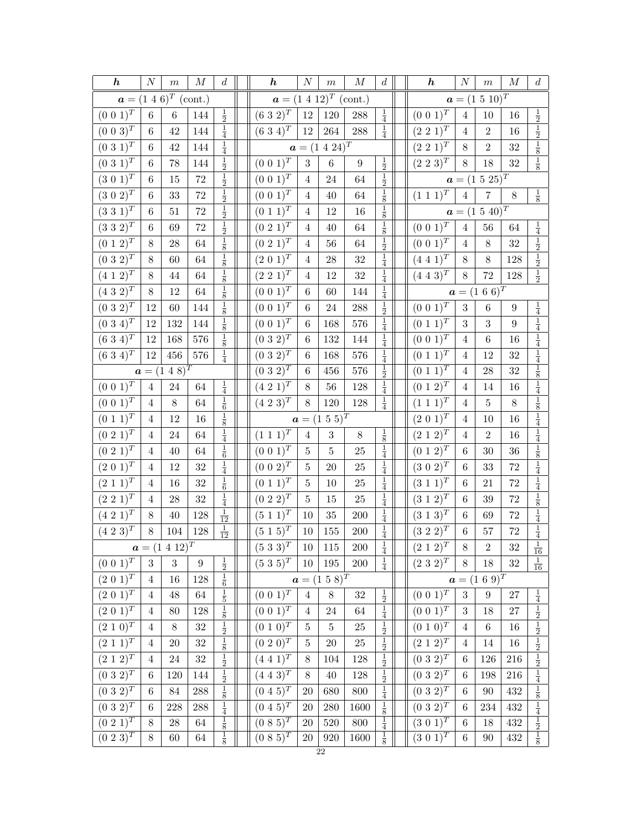| $\boldsymbol{h}$                        | $\cal N$        | $\,m$                             | $\cal M$           | $\boldsymbol{d}$            | $\boldsymbol{h}$             | $\cal N$       | $\,m$                      | $\cal M$           | d                           | $\boldsymbol{h}$           | $\cal N$         | $\,m$              | $\cal M$         | $\boldsymbol{d}$                                                                                                |
|-----------------------------------------|-----------------|-----------------------------------|--------------------|-----------------------------|------------------------------|----------------|----------------------------|--------------------|-----------------------------|----------------------------|------------------|--------------------|------------------|-----------------------------------------------------------------------------------------------------------------|
|                                         |                 | $a = (1\ 4\ 6)^T \text{ (cont.)}$ |                    |                             |                              |                | $a = (1\ 4\ 12)^T$ (cont.) |                    |                             |                            |                  | $a = (1\ 5\ 10)^T$ |                  |                                                                                                                 |
| $(0\ 0\ 1)^{\overline{T}}$              | $6\phantom{.}$  | $\,6$                             | 144                | $\frac{1}{2}$               | $(6\ 3\ 2)^T$                | $12\,$         | $120\,$                    | 288                | $\frac{1}{4}$               | $(0\ 0\ 1)^{\overline{T}}$ | $\sqrt{4}$       | 10                 | $16\,$           |                                                                                                                 |
| $(0\; 0\; \overline{3})^T$              | $\,6$           | 42                                | 144                | $\frac{1}{4}$               | $(6\;3\;4)^{\overline{T}}$   | $12\,$         | $264\,$                    | $288\,$            | $\frac{1}{4}$               | $(2\;2\;1)^{T}$            | $\overline{4}$   | $\overline{2}$     | 16               |                                                                                                                 |
| $(0\;3\;1)^{T}$                         | 6               | $42\,$                            | 144                | $\frac{1}{4}$               |                              |                | $a = (1\ 4\ 24)^T$         |                    |                             | $(2\;2\;1)^{T}$            | $8\,$            | $\overline{2}$     | 32               | $\frac{1}{2}$ $\frac{1}{2}$ $\frac{1}{8}$ $\frac{1}{8}$                                                         |
| $(0\;3\;1)^{T}$                         | $\,6$           | 78                                | 144                | $\frac{1}{2}$               | $(0\; 0\; 1)^T$              | $\sqrt{3}$     | $\,6\,$                    | $\boldsymbol{9}$   | $\frac{1}{2}$               | $(2\;2\;3)^{T}$            | $8\,$            | 18                 | $32\,$           |                                                                                                                 |
| $(3\ 0\ 1)^T$                           | 6               | 15                                | $72\,$             | $\frac{1}{2}$               | $(0\ 0\ 1)^T$                | $\overline{4}$ | 24                         | 64                 | $\frac{1}{2}$               |                            |                  | $a = (1\ 5\ 25)^T$ |                  |                                                                                                                 |
| $(3\ 0\ 2)^{T}$                         | 6               | $33\,$                            | $72\,$             | $\frac{1}{2}$               | $(0\ 0\ 1)^T$                | $\overline{4}$ | 40                         | 64                 | $\frac{1}{8}$               | $(1\;1\;1)^{\overline{T}}$ | $\bf 4$          | $\overline{7}$     | $8\,$            | $\frac{1}{8}$                                                                                                   |
| $(3\;3\;1)^T$                           | $6\phantom{.0}$ | $51\,$                            | $72\,$             | $\frac{1}{2}$               | $(0\; 1\; 1)^T$              | $\overline{4}$ | 12                         | $16\,$             | $\frac{1}{8}$               |                            |                  | $a = (1\ 5\ 40)^T$ |                  |                                                                                                                 |
| $(3\;3\;2)^{T}$                         | $\,6$           | 69                                | $72\,$             | $\frac{1}{2}$               | $(0\;2\;1)^{\bar{T}}$        | $\overline{4}$ | 40                         | 64                 | $\frac{1}{8}$               | $(0\; 0\; 1)^T$            | $\overline{4}$   | $56\,$             | $64\,$           | $\frac{1}{4}$                                                                                                   |
| $(0\; 1\; 2)^T$                         | $8\,$           | 28                                | 64                 | $\frac{1}{8}$               | $(0\; 2\; 1)^T$              | $\overline{4}$ | $56\,$                     | 64                 | $\frac{1}{2}$               | $(0\; 0\; 1)^{T}$          | $\overline{4}$   | $8\,$              | $32\,$           | $\frac{1}{2}$ $\frac{1}{2}$                                                                                     |
| $(0\ 3\ 2)^{\overline{T}}$              | 8               | 60                                | 64                 | $\frac{1}{8}$               | $(2\ 0\ 1)^T$                | 4              | 28                         | 32                 | $\frac{1}{4}$               | $(4\;4\;1)^{T}$            | $8\,$            | $8\,$              | 128              |                                                                                                                 |
| $(4 \; 1 \; 2)^T$                       | $8\,$           | 44                                | 64                 | $\frac{1}{8}$               | $(2\ 2\ 1)^T$                | $\overline{4}$ | $12\,$                     | 32                 | $\frac{1}{4}$               | $(4\;4\;3)^{\overline{T}}$ | $8\,$            | 72                 | 128              | $\frac{1}{2}$                                                                                                   |
| $(4\;3\;2)^{\overline{T}}$              | $8\,$           | 12                                | 64                 | $\frac{1}{8}$               | $(0\; 0\; 1)^T$              | $\,6$          | 60                         | 144                | $\frac{1}{4}$               |                            |                  | $a = (1\ 6\ 6)^T$  |                  |                                                                                                                 |
| $(0\ 3\ 2)^T$                           | 12              | $60\,$                            | 144                | $\frac{1}{8}$               | $(0\; 0\; 1)^{\bar{T}}$      | $\,6$          | 24                         | $\boldsymbol{288}$ | $\frac{1}{2}$               | $(0\ 0\ 1)^T$              | 3                | $\,6$              | $\boldsymbol{9}$ | $\frac{1}{4}$                                                                                                   |
| $(0\;3\;\overline{4})^T$                | 12              | 132                               | 144                | $\frac{1}{8}$               | $(0\; 0\; 1)^T$              | 6              | 168                        | 576                | $\frac{1}{4}$               | $(0\; 1\; 1)^T$            | $\sqrt{3}$       | 3                  | $\boldsymbol{9}$ | $\frac{1}{4}$                                                                                                   |
| $(6\;3\;4)^T$                           | 12              | 168                               | 576                | $\frac{1}{8}$               | $(0\;3\;2)^{T}$              | 6              | $132\,$                    | 144                | $\frac{1}{4}$               | $(0\; 0\; 1)^T$            | $\overline{4}$   | $\,6$              | 16               | $\frac{1}{4}$                                                                                                   |
| $(6\ 3\ 4)^T$                           | 12              | $456\,$                           | $576\,$            | $\frac{1}{4}$               | $(0\ 3\ 2)^T$                | $\,6$          | 168                        | 576                | $\frac{1}{4}$               | $(0\; 1\; 1)^T$            | $\overline{4}$   | 12                 | $32\,$           |                                                                                                                 |
|                                         |                 | $a = (1\ 4\ 8)^T$                 |                    |                             | $(0\ 3\ 2)^T$                | $\,6$          | 456                        | 576                | $\frac{1}{2}$               | $(0\ 1\ \overline{1})^T$   | $\overline{4}$   | 28                 | 32               |                                                                                                                 |
| $(0\; 0\; 1)^T$                         | $\overline{4}$  | $24\,$                            | 64                 | $\frac{1}{4}$               | $(4 \; 2 \; 1)^T$            | 8              | $56\,$                     | $128\,$            | $\frac{1}{4}$               | $(0\; 1\; 2)^{T}$          | $\overline{4}$   | 14                 | 16               |                                                                                                                 |
| $(0\; 0\; 1)^T$                         | $\overline{4}$  | 8                                 | 64                 | $\frac{1}{6}$               | $(4\;2\;3)^{T}$              | $8\,$          | $120\,$                    | $128\,$            | $\frac{1}{4}$               | $(1\; 1\; 1)^T$            | $\overline{4}$   | $\bf 5$            | $8\,$            | $\frac{1}{4}$ $\frac{1}{8}$ $\frac{1}{4}$ $\frac{1}{8}$ $\frac{1}{4}$ $\frac{1}{4}$                             |
| $(0\; 1\; 1)^T$                         | $\overline{4}$  | 12                                | $16\,$             | $\frac{1}{8}$               |                              |                | $a = (1\ 5\ 5)^T$          |                    |                             | $(2 0 1)^T$                | $\overline{4}$   | 10                 | 16               |                                                                                                                 |
| $(0\ 2\ 1)^T$                           | 4               | 24                                | 64                 | $\frac{1}{4}$               | $(1\; 1\; 1)^T$              | $\overline{4}$ | $\sqrt{3}$                 | $8\,$              | $\frac{1}{8}$               | $(2\; 1\; 2)^T$            | $\overline{4}$   | $\overline{2}$     | 16               | $\frac{1}{4}$                                                                                                   |
| $\left(0\,\,\overline{2\,\,1\right)^T}$ | $\overline{4}$  | $40\,$                            | 64                 | $\frac{1}{6}$               | $(0\;0\;\overline{1})^T$     | $\bf 5$        | $\overline{5}$             | 25                 | $\frac{1}{4}$               | $(0\; 1\; 2)^T$            | $\,6$            | $30\,$             | $36\,$           | $\frac{1}{8}$ $\frac{1}{4}$                                                                                     |
| $(2\; 0\; 1)^{\overline{T}}$            | 4               | 12                                | 32                 | $\frac{1}{4}$               | $(0\ 0\ 2)^{T}$              | 5              | $20\,$                     | 25                 | $\frac{1}{4}$               | $(3\ 0\ 2)^{T}$            | 6                | 33                 | $72\,$           |                                                                                                                 |
| $(2\; 1\; 1)^T$                         | $\overline{4}$  | $16\,$                            | $32\,$             | $\frac{1}{6}$               | $(0\; 1\; 1)^T$              | $\overline{5}$ | $10\,$                     | 25                 | $\frac{1}{4}$               | $(3\ 1\ 1)^{\overline{T}}$ | $\,6$            | 21                 | 72               | $\frac{1}{4}$                                                                                                   |
| $(2\;2\;1)^{T}$                         | $\overline{4}$  | $28\,$                            | $32\,$             | $\frac{1}{4}$               | $(0\ 2\ 2)^T$                | $\bf 5$        | $15\,$                     | $25\,$             | $\frac{1}{4}$               | $(3\; 1\; 2)^T$            | $\,6$            | 39                 | 72               | $\frac{1}{8}$ $\frac{1}{4}$ $\frac{1}{4}$                                                                       |
| $(4\;2\;\overline{1})^T$                | 8               | 40                                | 128                | $\frac{1}{12}$              | $(5\; 1\; 1)^T$              | 10             | 35                         | $200\,$            | $\frac{1}{4}$               | $(3\; 1\; 3)^T$            | 6                | 69                 | 72               |                                                                                                                 |
| $(4\;2\;3)^{T}$                         | 8               | $104\,$                           | 128                | $\frac{1}{12}$              | $(5\;1\;5)^{T}$              | $10\,$         | $155\,$                    | $200\,$            | $\frac{1}{4}$               | $(3\;2\;2)^{T}$            | $\,6\,$          | $57\,$             | $\sqrt{72}$      |                                                                                                                 |
|                                         |                 | $a = (1 \ 4 \ \overline{12})^T$   |                    |                             | $(\overline{5\ 3\ 3})^T$     | $10\,$         | $115\,$                    | $200\,$            | $\frac{1}{4}$               | $\left(2\ 1\ 2\right)^{T}$ | $8\,$            | $\,2$              | $32\,$           | $\overline{16}$                                                                                                 |
| $(0\; 0\; 1)^T$                         | 3               | $\sqrt{3}$                        | $\boldsymbol{9}$   | $\frac{1}{2}$               | $(5\;3\;5)^T$                | $10\,$         | 195                        | $200\,$            | $\frac{1}{4}$               | $(2\;3\;2)^{T}$            | 8                | $18\,$             | $32\,$           | $\frac{1}{16}$                                                                                                  |
| $(2\ 0\ 1)^T$                           | $\overline{4}$  | 16                                | 128                | $\frac{1}{6}$               |                              |                | $a = (1\ 5\ 8)^T$          |                    |                             |                            |                  | $a = (1\ 6\ 9)^T$  |                  |                                                                                                                 |
| $(2\; 0\; \overline{1)^T}$              | $\overline{4}$  | $48\,$                            | 64                 | $\frac{1}{5}$               | $(0\; 0\; \overline{1)^T}$   | $\overline{4}$ | $8\,$                      | $32\,$             | $\frac{1}{2}$ $\frac{1}{4}$ | $(0\; 0\; \overline{1)^T}$ | $\boldsymbol{3}$ | $\boldsymbol{9}$   | $27\,$           |                                                                                                                 |
| $(2\;0\;1)^{\overline{T}}$              | $\overline{4}$  | 80                                | 128                | $\frac{1}{8}$               | $(0\; 0\; 1)^{\overline{T}}$ | 4              | 24                         | 64                 |                             | $(0\;0\;1)^T$              | $\boldsymbol{3}$ | 18                 | 27               |                                                                                                                 |
| $(2\ 1\ \overline{0)^T}$                | $\overline{4}$  | $8\,$                             | $32\,$             | $\frac{1}{2}$               | $(0\ 1\ \overline{0)^T}$     | $\overline{5}$ | $\bf 5$                    | $25\,$             | $\frac{1}{2}$               | $(0\ 1\ \overline{0)^T}$   | $\overline{4}$   | $\,6\,$            | 16               | $\frac{1}{4}$ $\frac{1}{2}$ $\frac{1}{2}$ $\frac{1}{2}$                                                         |
| $(2 \ 1 \ \overline{1})^T$              | $\overline{4}$  | $20\,$                            | $32\,$             | $\frac{1}{8}$               | $(0\ 2\ \overline{0)^T}$     | 5              | $20\,$                     | $25\,$             | $\frac{1}{2}$               | $(2\; 1\; 2)^T$            | $\overline{4}$   | 14                 | $16\,$           |                                                                                                                 |
| $(2\ 1\ 2)^T$                           | $\overline{4}$  | $24\,$                            | $32\,$             | $\frac{1}{2}$               | $(4\;4\;1)^{\overline{T}}$   | 8              | 104                        | $128\,$            | $\frac{1}{2}$               | $(0\;3\;2)^{T}$            | 6                | 126                | $216\,$          | $\frac{1}{2}$ $\frac{1}{4}$ $\frac{1}{8}$ $\frac{1}{4}$ $\frac{1}{2}$ $\frac{1}{2}$ $\frac{1}{2}$ $\frac{1}{8}$ |
| $(0\;3\;2)^{T}$                         | 6               | 120                               | 144                | $\frac{1}{2}$ $\frac{1}{8}$ | $(4\; 4\; 3)^T$              | $8\,$          | $40\,$                     | 128                | $\frac{1}{2}$ $\frac{1}{4}$ | $(0\;3\;2)^{\overline{T}}$ | 6                | 198                | $216\,$          |                                                                                                                 |
| $(0\ 3\ 2)^T$                           | 6               | $84\,$                            | 288                |                             | $(0\; 4\; 5)^T$              | 20             | 680                        | 800                |                             | $(0\;3\;2)^{T}$            | 6                | 90                 | $432\,$          |                                                                                                                 |
| $(0\ 3\ 2)^T$                           | $\,6$           | $228\,$                           | $\boldsymbol{288}$ | $\frac{1}{4}$               | $\overline{(0\;4\;5)^T}$     | $20\,$         | $280\,$                    | 1600               | $\frac{1}{8}$ $\frac{1}{4}$ | $\frac{1}{(0\;3\;2)^{T}}$  | 6                | 234                | $432\,$          |                                                                                                                 |
| $\overline{(0\; 2\; 1)^T}$              | 8               | 28                                | $64\,$             | $\frac{1}{8}$ $\frac{1}{8}$ | $(0\;8\;5)^{T}$              | $20\,$         | $520\,$                    | 800                |                             | $(3\;0\;1)^{T}$            | 6                | 18                 | $432\,$          |                                                                                                                 |
| $\overline{(0\;2\;3)^T}$                | 8               | 60                                | 64                 |                             | $(0\;8\;5)^{T}$              | $20\,$         | $920\,$                    | 1600               | $\frac{1}{8}$               | $(3\;\overline{0\;1)^T}$   | 6                | 90                 | 432              |                                                                                                                 |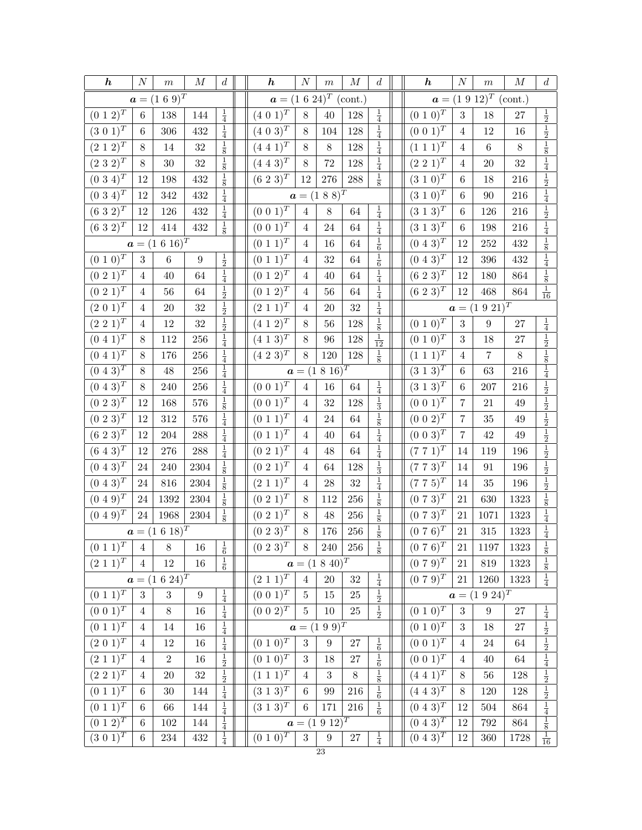| $\boldsymbol{h}$             | $\boldsymbol{N}$ | $\,m$                | $\boldsymbol{M}$ | $\boldsymbol{d}$               | $\boldsymbol{h}$                                     | $\boldsymbol{N}$ | $\,m$                          | $\boldsymbol{M}$   | $\boldsymbol{d}$ | $\boldsymbol{h}$             | $\cal N$       | $\boldsymbol{m}$           | $\cal M$ | $\boldsymbol{d}$                                                                                                                                                                                                           |
|------------------------------|------------------|----------------------|------------------|--------------------------------|------------------------------------------------------|------------------|--------------------------------|--------------------|------------------|------------------------------|----------------|----------------------------|----------|----------------------------------------------------------------------------------------------------------------------------------------------------------------------------------------------------------------------------|
|                              |                  | $a = (1\ 6\ 9)^T$    |                  |                                |                                                      |                  | $a = (1 \ 6 \ 24)^T \ (cont.)$ |                    |                  |                              |                | $a = (1\ 9\ 12)^T$ (cont.) |          |                                                                                                                                                                                                                            |
| $(0\ 1\ 2)^T$                | $\,6$            | 138                  | 144              | $\frac{1}{4}$                  | $(4\ 0\ 1)^{\overline{T}}$                           | $8\,$            | 40                             | 128                | $\frac{1}{4}$    | $(0\ 1\ 0)^{\overline{T}}$   | $\sqrt{3}$     | 18                         | 27       |                                                                                                                                                                                                                            |
| $(3\;0\;1)^{\bar{T}}$        | 6                | 306                  | 432              | $\frac{1}{4}$                  | $(4\; 0\; \overline{3})^T$                           | 8                | 104                            | 128                | $\frac{1}{4}$    | $(0\;0\;1)^{T}$              | $\overline{4}$ | $12\,$                     | $16\,$   | $rac{1}{2}$<br>$rac{1}{2}$                                                                                                                                                                                                 |
| $(2\; 1\; 2)^T$              | 8                | 14                   | $32\,$           | $\frac{1}{8}$                  | $(4\;4\;1)^{\frac{1}{T}}$                            | 8                | $8\,$                          | 128                | $\frac{1}{4}$    | $(1\; 1\; 1)^{\overline{T}}$ | 4              | $\,6\,$                    | $8\,$    | $\frac{1}{8}$                                                                                                                                                                                                              |
| $(2\;3\;2)^{T}$              | 8                | $30\,$               | $32\,$           | $\frac{1}{8}$                  | $(4\; 4\; \overline{3})^{T}$                         | $8\,$            | 72                             | 128                | $\frac{1}{4}$    | $(2\ 2\ \overline{1)^T}$     | $\,4\,$        | $20\,$                     | 32       | $\frac{1}{4}$                                                                                                                                                                                                              |
| $(0\ 3\ 4)^{\overline{T}}$   | 12               | 198                  | 432              | $\frac{1}{8}$                  | $(6\;2\;3)^{\overline{T}}$                           | 12               | $276\,$                        | $\boldsymbol{288}$ | $\frac{1}{8}$    | $(3\ 1\ 0)^T$                | $\,6$          | 18                         | 216      | $\frac{1}{2}$                                                                                                                                                                                                              |
| $(0\;3\;4)^{\overline{T}}$   | 12               | 342                  | 432              | $\frac{1}{4}$                  |                                                      |                  | $a = (1 \ 8 \ 8)^T$            |                    |                  | $(3\;1\;0)^T$                | $\,6$          | $90\,$                     | 216      |                                                                                                                                                                                                                            |
| $(6\;3\;2)^{\overline{T}}$   | 12               | 126                  | 432              | $\frac{1}{4}$                  | $(0\ 0\ 1)^{T}$                                      | $\overline{4}$   | 8                              | 64                 | $\frac{1}{4}$    | $(3\ 1\ 3)^T$                | $\,6$          | 126                        | 216      | $\frac{1}{4}$ $\frac{1}{2}$                                                                                                                                                                                                |
| $(6\;3\;2)^{T}$              | 12               | 414                  | 432              | $\frac{1}{8}$                  | $(0\; 0\; 1)^{T}$                                    | $\overline{4}$   | 24                             | $64\,$             | $\frac{1}{4}$    | $(3\;1\;3)^{\bar{T}}$        | $\,6$          | 198                        | $216\,$  | $\frac{1}{4}$                                                                                                                                                                                                              |
|                              |                  | $a = (1\ 6\ 16)^T$   |                  |                                | $(0\ 1\ \overline{1})^T$                             | $\overline{4}$   | 16                             | $64\,$             | $\frac{1}{6}$    | $(0\; 4\; 3)^{T}$            | 12             | $252\,$                    | 432      | $\frac{1}{8}$                                                                                                                                                                                                              |
| $(0\; 1\; 0)^{\overline{T}}$ | $\sqrt{3}$       | $\,6$                | $\boldsymbol{9}$ | $\frac{1}{2}$                  | $(0\; 1\; 1)^{\overline{T}}$                         | $\overline{4}$   | 32                             | $64\,$             | $\frac{1}{6}$    | $(0\; 4\; 3)^T$              | 12             | $396\,$                    | 432      | $\frac{1}{4}$                                                                                                                                                                                                              |
| $(0\; 2\; 1)^{T}$            | $\overline{4}$   | 40                   | 64               | $\frac{1}{4}$                  | $(0\ 1\ 2)^{\overline{T}}$                           | $\overline{4}$   | 40                             | $64\,$             | $\frac{1}{4}$    | $(6\;2\;3)^T$                | 12             | 180                        | 864      | $\frac{1}{8}$                                                                                                                                                                                                              |
| $(0\;2\;1)^{T}$              | 4                | 56                   | 64               | $\frac{1}{2}$                  | $(0\ 1\ 2)^{\overline{T}}$                           | $\overline{4}$   | 56                             | 64                 | $\frac{1}{4}$    | $(6\;2\;3)^{T}$              | 12             | 468                        | $864\,$  | $\frac{1}{16}$                                                                                                                                                                                                             |
| $(2\; 0\; 1)^T$              | 4                | $20\,$               | 32               | $\frac{1}{2}$                  | $(2\; 1\; 1)^{\bar{T}}$                              | $\overline{4}$   | 20                             | $32\,$             | $\frac{1}{4}$    |                              |                | $a = (1\ 9\ 21)^T$         |          |                                                                                                                                                                                                                            |
| $(2\ 2\ 1)^T$                | 4                | $12\,$               | $32\,$           | $\frac{1}{2}$                  | $(4\; 1\; 2)^{\overline{T}}$                         | $8\,$            | 56                             | 128                | $\frac{1}{8}$    | $(0\; 1\; 0)^T$              | 3              | $\boldsymbol{9}$           | $27\,$   | $\frac{1}{4}$                                                                                                                                                                                                              |
| $(0\ 4\ \overline{1)^T}$     | 8                | 112                  | 256              | $\frac{1}{4}$                  | $(4 \; 1 \; \overline{3})^T$                         | 8                | 96                             | $128\,$            | $\frac{1}{12}$   | $(0\; 1\; 0)^T$              | $\sqrt{3}$     | $18\,$                     | 27       | $\frac{1}{2}$                                                                                                                                                                                                              |
| $(0\ 4\ 1)^T$                | 8                | 176                  | 256              | $\frac{1}{4}$                  | $(4\;2\;3)^{T}$                                      | $8\,$            | $120\,$                        | 128                | $\frac{1}{8}$    | $(1\; 1\; 1)^T$              | $\overline{4}$ | 7                          | $8\,$    | $\frac{1}{8}$ $\frac{1}{4}$                                                                                                                                                                                                |
| $(0\; 4\; 3)^T$              | $8\,$            | 48                   | 256              | $\frac{1}{4}$                  |                                                      |                  | $a = (1 \ 8 \ 16)^T$           |                    |                  | $(3\ \overline{1\ 3})^T$     | $\,6$          | 63                         | 216      |                                                                                                                                                                                                                            |
| $(0\ 4\ 3)^T$                | 8                | 240                  | 256              | $\frac{1}{4}$                  | $(0\; 0\; 1)^T$                                      | $\,4\,$          | 16                             | 64                 | $\frac{1}{4}$    | $(3\ 1\ \overline{3})^T$     | $\,6$          | $207\,$                    | 216      | $\frac{1}{2}$                                                                                                                                                                                                              |
| $(0\; 2\; 3)^{\bar{T}}$      | 12               | 168                  | 576              | $\frac{1}{8}$                  | $(0\ 0\ 1)^T$                                        | $\overline{4}$   | 32                             | 128                | $\frac{1}{3}$    | $(0\; 0\; \overline{1)^T}$   | $\overline{7}$ | $21\,$                     | 49       | $\frac{1}{2}$ $\frac{1}{2}$ $\frac{1}{2}$ $\frac{1}{2}$ $\frac{1}{2}$ $\frac{1}{2}$                                                                                                                                        |
| $(0\; 2\; 3)^T$              | 12               | 312                  | 576              | $\frac{1}{4}$                  | $(0\ 1\ 1)^T$                                        | 4                | 24                             | $64\,$             | $\frac{1}{8}$    | $(0\; 0\; 2)^{T}$            | $\,7$          | $35\,$                     | 49       |                                                                                                                                                                                                                            |
| $(6\;2\;3)^{\overline{T}}$   | 12               | 204                  | 288              | $\frac{1}{4}$                  | $(0\; 1\; 1)^T$                                      | $\overline{4}$   | 40                             | $64\,$             | $\frac{1}{4}$    | $(0\;0\;3)^{T}$              | $\overline{7}$ | $42\,$                     | $\rm 49$ |                                                                                                                                                                                                                            |
| $(6\;4\;3)^{\overline{T}}$   | 12               | 276                  | 288              | $\frac{1}{4}$                  | $(0\; 2\; \overline{1})^T$                           | $\overline{4}$   | 48                             | $64\,$             | $\frac{1}{4}$    | $(7\ 7\ 1)^{T}$              | 14             | 119                        | 196      |                                                                                                                                                                                                                            |
| $(0\; 4\; 3)^T$              | 24               | 240                  | 2304             | $\frac{1}{8}$                  | $(0\; 2\; 1)^T$                                      | $\overline{4}$   | 64                             | 128                | $\frac{1}{3}$    | $(7\ 7\ 3)^{T}$              | 14             | 91                         | 196      |                                                                                                                                                                                                                            |
| $(0\; 4\; 3)^{T}$            | 24               | 816                  | $\,2304$         | $\frac{1}{8}$                  | $(2 \; 1 \; 1)^T$                                    | $\overline{4}$   | $\sqrt{28}$                    | $32\,$             | $\frac{1}{4}$    | $(7\ 7\ 5)^T$                | 14             | $35\,$                     | 196      | $\frac{1}{2}$ $\frac{1}{8}$                                                                                                                                                                                                |
| $(0\ 4\ 9)^{T}$              | 24               | 1392                 | 2304             | $\frac{1}{8}$                  | $(0\;2\;1)^{T}$                                      | 8                | 112                            | 256                | $\frac{1}{8}$    | $(0\ 7\ 3)^{T}$              | 21             | 630                        | 1323     |                                                                                                                                                                                                                            |
| $(0\; 4\; 9)^T$              | $24\,$           | 1968                 | $\,2304\,$       | $\frac{1}{8}$                  | $(0\;2\;1)^{T}$                                      | 8                | 48                             | $256\,$            | $\frac{1}{8}$    | $(0\ 7\ 3)^{T}$              | $21\,$         | 1071                       | 1323     | $\frac{1}{4}$                                                                                                                                                                                                              |
|                              |                  | $a = (1\ 6\ 18)^T$   |                  |                                | $(0\ 2\ 3)^T$                                        | $8\,$            | 176                            | $256\,$            | $\frac{1}{8}$    | $(0\ 7\ 6)^T$                | $21\,$         | $315\,$                    | 1323     | $\frac{1}{4}$                                                                                                                                                                                                              |
| $(0\;1\;1)^T$ 4 8            |                  |                      | $\overline{16}$  | <sup>1</sup><br>$\overline{6}$ | $(0\; 2\; 3)^T$                                      | $\,$ 8 $\,$      | 240                            | $\overline{256}$   | $\frac{1}{8}$    | $\sqrt{(0\ 7\ 6)^T}$         | $21\,$         | 1197                       | 1323     | $\,1\,$                                                                                                                                                                                                                    |
| $(2\; 1\; 1)^T$              | $\overline{4}$   | 12                   | $16\,$           | $\frac{1}{6}$                  |                                                      |                  | $a = (1 8 40)^T$               |                    |                  | $(0\ 7\ 9)^{T}$              | 21             | 819                        | 1323     | $\frac{\overline{8}}{8}$                                                                                                                                                                                                   |
|                              |                  | $a = (1 \ 6 \ 24)^T$ |                  |                                | $(\underline{2}\,\,\underline{1}\,\,\overline{1)^T}$ | $\overline{4}$   | $20\,$                         | $32\,$             | $\frac{1}{4}$    | $(0\ 7\ 9)^{\overline{T}}$   | $21\,$         | $1260\,$                   | 1323     | $\frac{1}{4}$                                                                                                                                                                                                              |
| $(0\; 1\; \overline{1})^T$   | $\boldsymbol{3}$ | $\boldsymbol{3}$     | $\boldsymbol{9}$ | $\frac{1}{4}$                  | $(0\;0\;1)^T$                                        | $5\phantom{.0}$  | $15\,$                         | $25\,$             | $\frac{1}{2}$    |                              |                | $a = (1\ 9\ 24)^T$         |          |                                                                                                                                                                                                                            |
| $(0\; 0\; 1)^T$              | $\overline{4}$   | $8\,$                | 16               | $\frac{1}{4}$                  | $(0\;0\;2)^{T}$                                      | $\overline{5}$   | 10                             | $25\,$             | $\frac{1}{2}$    | $(0\; 1\; 0)^T$              | $\sqrt{3}$     | $\boldsymbol{9}$           | $27\,$   |                                                                                                                                                                                                                            |
| $(0\; \overline{1\; 1)^T}$   | 4                | $14\,$               | $16\,$           | $\frac{1}{4}$                  |                                                      |                  | $a = (1\ 9\ 9)^T$              |                    |                  | $(0\;1\;\overline{0)^T}$     | 3              | 18                         | 27       |                                                                                                                                                                                                                            |
| $(2\; 0\; 1)^T$              | 4                | $12\,$               | $16\,$           | $\frac{1}{4}$                  | $(0\ 1\ 0)^T$                                        | $\sqrt{3}$       | $\boldsymbol{9}$               | $27\,$             | $\frac{1}{6}$    | $(0\; 0\; 1)^T$              | $\overline{4}$ | $24\,$                     | 64       | $\frac{\frac{1}{4}}{\frac{1}{2}}$ $\frac{\frac{1}{2}}{\frac{1}{2}}$ $\frac{\frac{1}{2}}{\frac{1}{2}}$ $\frac{\frac{1}{2}}{\frac{1}{2}}$ $\frac{\frac{1}{2}}{\frac{1}{2}}$ $\frac{\frac{1}{2}}{\frac{1}{2}}$ $\frac{1}{16}$ |
| $(2\; 1\; \overline{1)^T}$   | $\overline{4}$   | $\,2$                | $16\,$           | $\frac{1}{2}$                  | $(0\ 1\ \overline{0)^T}$                             | $\sqrt{3}$       | 18                             | $27\,$             | $\frac{1}{6}$    | $(0\; 0\; \overline{1)^T}$   | $\overline{4}$ | 40                         | 64       |                                                                                                                                                                                                                            |
| $(2\ 2\ 1)^{\overline{T}}$   | $\overline{4}$   | $20\,$               | $32\,$           | $\frac{1}{2}$                  | $(1\; 1\; 1)^T$                                      | $\overline{4}$   | $\sqrt{3}$                     | $8\,$              | $\frac{1}{8}$    | $(4\;4\;1)^{\overline{T}}$   | $8\,$          | $56\,$                     | 128      |                                                                                                                                                                                                                            |
| $(0\; 1\; 1)^T$              | 6                | $30\,$               | 144              | $\frac{1}{4}$                  | $(3\; 1\; 3)^T$                                      | 6                | 99                             | $216\,$            | $\frac{1}{6}$    | $(4\;4\;\overline{3})^T$     | $8\,$          | $120\,$                    | 128      |                                                                                                                                                                                                                            |
| $(0\; 1\; \overline{1)^T}$   | $\,6$            | 66                   | 144              | $\frac{1}{4}$                  | $(3\ 1\ \overline{3})^T$                             | 6                | 171                            | $216\,$            | $\frac{1}{6}$    | $(0\; 4\; 3)^T$              | 12             | $504\,$                    | $864\,$  |                                                                                                                                                                                                                            |
| $(0\; 1\; 2)^T$              | $6\phantom{.}6$  | $102\,$              | 144              | $\frac{1}{4}$                  |                                                      |                  | $a = (1\ 9\ 12)^T$             |                    |                  | $(0\; 4\; 3)^T$              | <b>12</b>      | $792\,$                    | $864\,$  |                                                                                                                                                                                                                            |
| $(3\,\overline{0\,1)^T}$     | $\,6\,$          | 234                  | 432              | $\frac{1}{4}$                  | $(0\;1\;0)^{T}$                                      | 3                | $\boldsymbol{9}$               | $27\,$             | $\frac{1}{4}$    | $(0\; 4\; 3)^T$              | $12\,$         | $360\,$                    | 1728     |                                                                                                                                                                                                                            |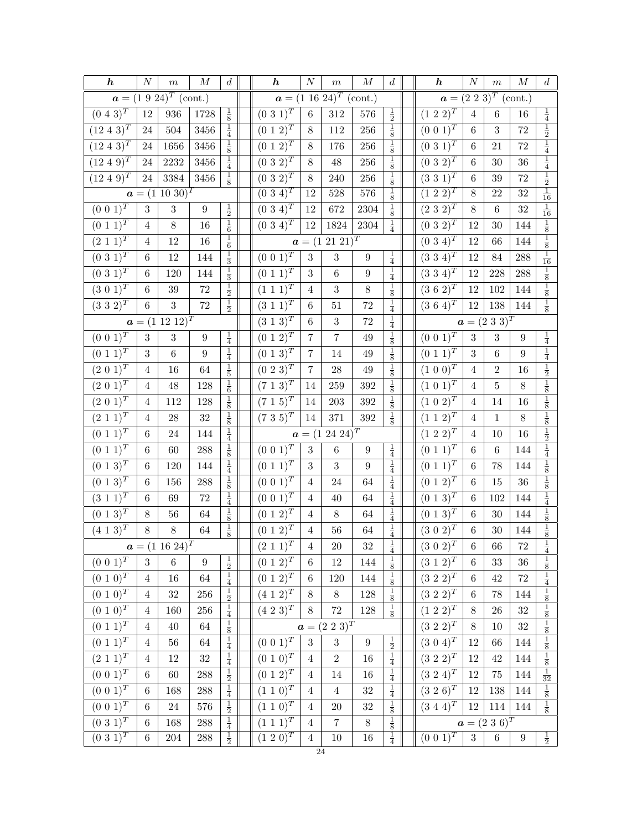| $\boldsymbol{h}$           | $\cal N$       | $\,m$                      | $\cal M$           | $\boldsymbol{d}$ | $\boldsymbol{h}$             | $\cal N$           | $\,m$                               | $\cal M$         | $d_{\cdot}$                 | $\boldsymbol{h}$           | $\cal N$         | $\,m$                     | $\cal M$         | $\boldsymbol{d}$                                 |
|----------------------------|----------------|----------------------------|--------------------|------------------|------------------------------|--------------------|-------------------------------------|------------------|-----------------------------|----------------------------|------------------|---------------------------|------------------|--------------------------------------------------|
|                            |                | $a = (1\ 9\ 24)^T$ (cont.) |                    |                  |                              |                    | $a = (1\ 16\ 24)^T \text{ (cont.)}$ |                  |                             |                            |                  | $a = (2\ 2\ 3)^T$ (cont.) |                  |                                                  |
| $(0\; 4\; 3)^T$            | $12\,$         | $936\,$                    | $1728\,$           | $\frac{1}{8}$    | $(0\;3\;1)^T$                | $\,6\,$            | $312\,$                             | $576\,$          | $\frac{1}{2}$               | $(1\ 2\ 2)^{T}$            | $\overline{4}$   | $\,6$                     | $16\,$           | $\frac{1}{4}$                                    |
| $(12\; 4\; 3)^T$           | $24\,$         | $504\,$                    | $3456\,$           | $\frac{1}{4}$    | $(0\; 1\; 2)^{\overline{T}}$ | $8\,$              | $112\,$                             | $256\,$          | $\frac{1}{8}$               | $(0\; 0\; 1)^T$            | $\,6\,$          | $\sqrt{3}$                | $72\,$           | $\frac{1}{2}$                                    |
| $(12\; 4\; 3)^T$           | 24             | 1656                       | $3456\,$           | $\frac{1}{8}$    | $(0\ 1\ 2)^T$                | $8\,$              | 176                                 | $256\,$          | $\frac{1}{8}$               | $(0\;3\;1)^{T}$            | $\,6$            | 21                        | $72\,$           | $\frac{1}{4}$                                    |
| $(12\;4\;9)^{T}$           | $24\,$         | $2232\,$                   | $3456\,$           | $\frac{1}{4}$    | $(0\;3\;2)^{T}$              | $8\,$              | $48\,$                              | $256\,$          | $\frac{1}{8}$               | $(0\ 3\ 2)^{T}$            | $\,6\,$          | 30                        | $36\,$           |                                                  |
| $(12\; 4\; 9)^T$           | 24             | 3384                       | $3456\,$           | $\frac{1}{8}$    | $(0\;3\;2)^{\bar{T}}$        | $8\,$              | 240                                 | $256\,$          | $\frac{1}{8}$               | $(3\;3\;1)^{T}$            | $\,6$            | 39                        | $72\,$           | $\frac{1}{4}$<br>$\frac{1}{2}$<br>$\frac{1}{16}$ |
|                            |                | $a = (1\ 10\ 30)^T$        |                    |                  | $(0\;3\;4)^{T}$              | 12                 | $528\,$                             | 576              | $\frac{1}{8}$               | $(\overline{1\ 2\ 2)^T}$   | $\overline{8}$   | 22                        | 32               |                                                  |
| $(0\; 0\; 1)^{T}$          | $\sqrt{3}$     | $\,3$                      | $\boldsymbol{9}$   | $\frac{1}{2}$    | $(0\;3\;4)^{\bar{T}}$        | 12                 | 672                                 | 2304             | $\frac{1}{8}$               | $(2\;3\;2)^{T}$            | $8\,$            | $\,6$                     | $32\,$           | $\frac{1}{16}$                                   |
| $(0\; 1\; \overline{1})^T$ | $\overline{4}$ | $8\,$                      | 16                 | $\frac{1}{6}$    | $(0\;3\;\overline{4})^T$     | 12                 | 1824                                | 2304             | $\frac{1}{4}$               | $(0\;3\;2)^{T}$            | $12\,$           | 30                        | 144              | $\frac{1}{8}$ $\frac{1}{8}$                      |
| $(2\; 1\; 1)^T$            | $\overline{4}$ | 12                         | 16                 | $\frac{1}{6}$    |                              | $a = (1)$          | $21\ 21)^{T}$                       |                  |                             | $(0\ 3\ 4)^T$              | 12               | 66                        | 144              |                                                  |
| $(0\ 3\ 1)^T$              | $\,6\,$        | 12                         | 144                | $\frac{1}{3}$    | $(0\ 0\ 1)^T$                | $\sqrt{3}$         | $\sqrt{3}$                          | $\boldsymbol{9}$ | $\frac{1}{4}$               | $(3\ 3\ 4)^T$              | $12\,$           | 84                        | 288              | $\frac{1}{16}$                                   |
| $(0\ 3\ \overline{1)^T}$   | $\,6\,$        | 120                        | 144                | $\frac{1}{3}$    | $(0\ 1\ \overline{1)^T}$     | $\sqrt{3}$         | $\,6\,$                             | $\boldsymbol{9}$ | $\frac{1}{4}$               | $(3\;3\;4)^{\overline{T}}$ | $12\,$           | 228                       | 288              | $\frac{1}{8}$                                    |
| $(3\ 0\ \overline{1)^T}$   | $\,6$          | $39\,$                     | $72\,$             | $\frac{1}{2}$    | $(1\; 1\; \overline{1})^T$   | $\overline{4}$     | $\sqrt{3}$                          | $8\,$            | $\frac{1}{8}$               | $(3\ 6\ \overline{2)^T}$   | $12\,$           | 102                       | 144              | $\frac{1}{8}$                                    |
| $(3\ 3\ 2)^T$              | $\,6$          | 3                          | $\!\!72$           | $\frac{1}{2}$    | $(3\; 1\; 1)^T$              | $\,6$              | 51                                  | 72               | $\frac{1}{4}$               | $(3\ 6\ 4)^{T}$            | $12\,$           | 138                       | 144              | $\frac{1}{8}$                                    |
|                            |                | $a = (1\ 12\ 12)^T$        |                    |                  | $(3\ 1\ \overline{3})^T$     | $\;6\;$            | $\,3$                               | 72               | $\frac{1}{4}$               |                            |                  | $a = (2\ 3\ 3)^T$         |                  |                                                  |
| $(0\; 0\; 1)^T$            | $\sqrt{3}$     | $\sqrt{3}$                 | $\boldsymbol{9}$   | $\frac{1}{4}$    | $(0\; 1\; 2)^{\overline{T}}$ | $\overline{7}$     | $\bf 7$                             | 49               | $\frac{1}{8}$               | $(0\; 0\; 1)^T$            | 3                | $\sqrt{3}$                | $\boldsymbol{9}$ | $\frac{1}{4}$                                    |
| $(0\ 1\ 1)^T$              | $\sqrt{3}$     | $\,6\,$                    | $\boldsymbol{9}$   | $\frac{1}{4}$    | $(0\ 1\ 3)^T$                | $\overline{7}$     | 14                                  | 49               | $\frac{1}{8}$               | $(0\; 1\; 1)^T$            | 3                | $\overline{6}$            | 9                | $\frac{1}{4}$                                    |
| $(2\;0\;1)^{\bar{T}}$      | $\overline{4}$ | 16                         | 64                 | $\frac{1}{5}$    | $(0\;2\;3)^{T}$              | $\overline{7}$     | $\sqrt{28}$                         | 49               | $\frac{1}{8}$               | $(1\; 0\; \overline{0)^T}$ | $\overline{4}$   | $\overline{2}$            | $16\,$           | $\frac{1}{2}$ $\frac{1}{8}$                      |
| $(2\ 0\ 1)^{T}$            | 4              | $48\,$                     | $128\,$            | $\frac{1}{6}$    | $(7\; 1\; 3)^{\bar{T}}$      | 14                 | 259                                 | $392\,$          | $\frac{1}{8}$               | $(1\;0\;1)^{\bar{T}}$      | $\overline{4}$   | 5                         | $8\,$            |                                                  |
| $(2\; 0\; \overline{1)^T}$ | 4              | 112                        | $128\,$            | $\frac{1}{8}$    | $(7 \; 1 \; 5)^T$            | 14                 | $203\,$                             | $392\,$          | $\frac{1}{8}$               | $(1 \ 0 \ \overline{2})^T$ | $\overline{4}$   | 14                        | $16\,$           | $\frac{1}{8}$                                    |
| $(2\; 1\; 1)^T$            | $\,4\,$        | $\ensuremath{28}$          | $32\,$             | $\frac{1}{8}$    | $(7\;3\;5)^T$                | $14\,$             | $371\,$                             | $392\,$          | $\frac{1}{8}$               | $(1\; 1\; \overline{2})^T$ | $\sqrt{4}$       | $\,1$                     | $8\,$            | $\frac{1}{8}$                                    |
| $(0\ 1\ 1)^T$              | $\,6$          | $24\,$                     | 144                | $\frac{1}{4}$    |                              | $a = (1)$          | $24\;2\overline{4})^T$              |                  |                             | $(1\ 2\ 2)^T$              | $\,4\,$          | 10                        | $16\,$           | $\frac{1}{2}$                                    |
| $(0\ 1\ 1)^T$              | $\,6$          | $60\,$                     | 288                | $\frac{1}{8}$    | $(0\ 0\ 1)^{\overline{T}}$   | $\sqrt{3}$         | $\,6\,$                             | $\boldsymbol{9}$ | $\frac{1}{4}$               | $(0\; 1\; 1)^T$            | $\,6\,$          | $\,6\,$                   | 144              | $\frac{1}{4}$                                    |
| $(0\; 1\; \overline{3})^T$ | 6              | 120                        | 144                | $\frac{1}{4}$    | $(0\; 1\; \overline{1)^T}$   | 3                  | $\boldsymbol{3}$                    | $\boldsymbol{9}$ | $\frac{1}{4}$               | $(0\; 1\; 1)^T$            | $\,6\,$          | 78                        | 144              | $\frac{1}{8}$                                    |
| $(0\ 1\ \overline{3})^T$   | $\,6$          | 156                        | 288                | $\frac{1}{8}$    | $(0\;0\;1)^{T}$              | $\sqrt{4}$         | $24\,$                              | 64               | $\frac{1}{4}$               | $(0\; 1\; 2)^{T}$          | $\,6$            | 15                        | $36\,$           | $\frac{1}{8}$                                    |
| $(3\; 1\; \overline{1})^T$ | $\;6\;$        | 69                         | $72\,$             | $\frac{1}{4}$    | $(0\; 0\; 1)^{\overline{T}}$ | $\,4\,$            | $40\,$                              | 64               | $\frac{1}{4}$               | $(0\ 1\ 3)^T$              | $\,6\,$          | 102                       | 144              | $\frac{1}{4}$                                    |
| $(0\; 1\; 3)^T$            | $8\,$          | $56\,$                     | $64\,$             | $\frac{1}{8}$    | $(0\; 1\; 2)^T$              | $\overline{4}$     | $8\,$                               | 64               | $\frac{1}{4}$               | $(0\; 1\; 3)^T$            | $\,6\,$          | $30\,$                    | 144              | $\frac{1}{8}$                                    |
| $(4\ 1\ 3)^{\overline{T}}$ | $8\,$          | $8\,$                      | $64\,$             | $\frac{1}{8}$    | $(0\; 1\; 2)^T$              | $\,4$              | $56\,$                              | $64\,$           | $\frac{1}{4}$ $\frac{1}{4}$ | $(3\ 0\ 2)^T$              | $\,6\,$          | 30                        | 144              | $\frac{1}{8}$                                    |
|                            |                | $a = (1\ 16\ 24)^T$        |                    |                  | $(2\ \overline{1\ 1)^T}$     | $\,4\,$            | $20\,$                              | $32\,$           |                             | $(3\; 0\; \overline{2})^T$ | $\,6\,$          | $66\,$                    | $72\,$           | $\overline{4}$                                   |
| $(0\;0\;1)^{\overline{T}}$ | $\sqrt{3}$     | $\,6\,$                    | $\boldsymbol{9}$   | $\frac{1}{2}$    | $(0\; 1\; 2)^T$              | $\,6\,$            | 12                                  | 144              | $\frac{1}{8}$               | $(3\; 1\; \overline{2})^T$ | $\,6\,$          | 33                        | $36\,$           | $\frac{1}{8}$                                    |
| $(0\ 1\ \overline{0)^T}$   | $\,4\,$        | $16\,$                     | $64\,$             | $\frac{1}{4}$    | $(0\ 1\ 2)^T$                | $\,6\,$            | $120\,$                             | 144              | $\frac{1}{8}$               | $(3\ \overline{2\ 2)^T}$   | $\,6\,$          | 42                        | $72\,$           | $\frac{1}{4}$                                    |
| $(0\; 1\; 0)^T$            | $\,4\,$        | $32\,$                     | $256\,$            | $\frac{1}{2}$    | $(4\ 1\ 2)^{T}$              | $8\,$              | $8\,$                               | $128\,$          | $\frac{1}{8}$               | $(3\ 2\ \overline{2})^T$   | $\,6\,$          | 78                        | 144              | $\frac{1}{8}$                                    |
| $(0\;1\;\overline{0)^T}$   | $\overline{4}$ | 160                        | $256\,$            | $\frac{1}{4}$    | $(4\ 2\ \overline{3)^T}$     | $8\,$              | $72\,$                              | $128\,$          | $\frac{1}{8}$               | $(1\ 2\ 2)^T$              | $8\,$            | 26                        | $32\,$           | $\frac{1}{8}$ $\frac{1}{8}$                      |
| $(0\ 1\ \overline{1)^T}$   | $\overline{4}$ | $40\,$                     | $64\,$             | $\frac{1}{8}$    |                              | $\boldsymbol{a} =$ | $(2\;2\;3)^{\bar{T}}$               |                  |                             | $(3\ 2\ 2)^T$              | 8                | 10                        | $32\,$           |                                                  |
| $(0\; 1\; 1)^T$            | 4              | $56\,$                     | $64\,$             | $\frac{1}{4}$    | $(0\; 0\; 1)^T$              | $\sqrt{3}$         | $\sqrt{3}$                          | $\boldsymbol{9}$ | $\frac{1}{2}$               | $(3\;0\;4)^{T}$            | $12\,$           | 66                        | 144              | $\frac{1}{8}$                                    |
| $(2\;1\;\overline{1)^T}$   | $\overline{4}$ | $12\,$                     | $32\,$             | $\frac{1}{4}$    | $(0\; 1\; 0)^T$              | $\overline{4}$     | $\overline{2}$                      | 16               | $\frac{1}{4}$               | $(3\;2\;2)^{T}$            | $12\,$           | $42\,$                    | 144              | $\frac{1}{8}$                                    |
| $(0\ 0\ \overline{1)^T}$   | $\,6\,$        | 60                         | $\boldsymbol{288}$ | $\frac{1}{2}$    | $(0\ 1\ \overline{2)^T}$     | $\sqrt{4}$         | 14                                  | 16               | $\frac{1}{4}$               | $(3\;2\;4)^{T}$            | 12               | 75                        | 144              | $\frac{1}{32}$                                   |
| $(0\; 0\; \overline{1)^T}$ | $\,6\,$        | 168                        | $\boldsymbol{288}$ | $\frac{1}{4}$    | $(1\;1\;\overline{0)^T}$     | $\overline{4}$     | $\overline{4}$                      | $32\,$           | $\frac{1}{4}$               | $(3\ 2\ 6)^T$              | $12\,$           | 138                       | 144              | $\frac{1}{8}$                                    |
| $(0\ 0\ 1)^T$              | $\,6$          | $24\,$                     | $576\,$            | $\frac{1}{2}$    | $(1\ 1\ 0)^T$                | $\overline{4}$     | $20\,$                              | $32\,$           | $\frac{1}{8}$               | $(3\;4\;4)^{\overline{T}}$ | 12               | 114                       | 144              | $\frac{1}{8}$                                    |
| $(0\ \overline{3\ 1)^T}$   | $\,6$          | 168                        | $288\,$            | $\frac{1}{4}$    | $(1 \; 1 \; \overline{1)^T}$ | $\overline{4}$     | $\overline{7}$                      | $8\,$            | $\frac{1}{8}$               |                            |                  | $a = (2\;3\;6)^T$         |                  |                                                  |
| $(0\ \overline{3\ 1)^T}$   | $\,6\,$        | $\,204$                    | $\ensuremath{288}$ | $\frac{1}{2}$    | $(1\ 2\ 0)^T$                | $\overline{4}$     | $10\,$                              | $16\,$           | $\frac{1}{4}$               | $(0\;0\;1)^{T}$            | $\boldsymbol{3}$ | $\,6\,$                   | $9\phantom{.0}$  | $\frac{1}{2}$                                    |

24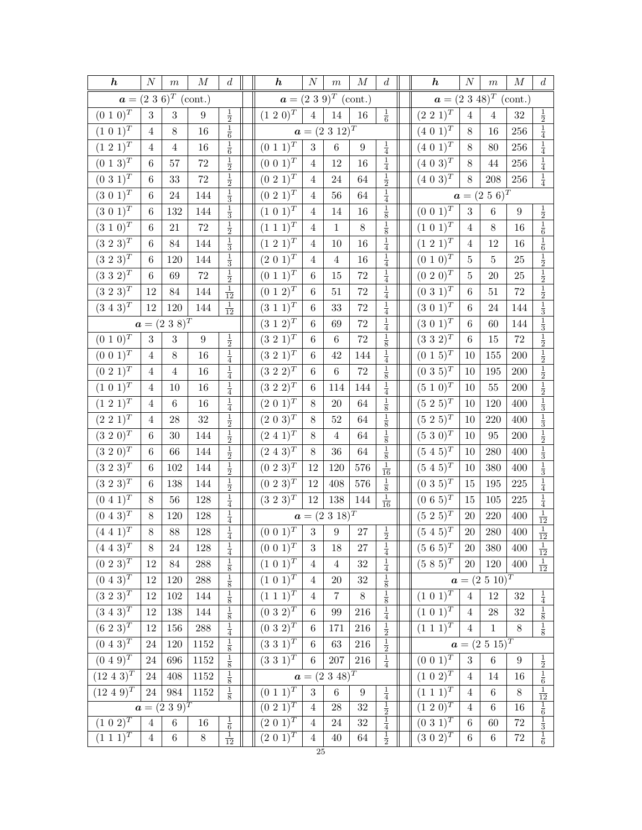| $a = (2 \ 3 \ 6)^T \ (cont.)$<br>$a = (2\ 3\ 9)^T$ (cont.)<br>$a = (2\ 3\ 48)^T$ (cont.)<br>$\frac{1}{2}$<br>$(0\; 1\; 0)^T$<br>$\frac{1}{2}$<br>$(1\ 2\ 0)^{T}$<br>$\frac{1}{6}$<br>$(2\;2\;1)^{T}$<br>$\sqrt{3}$<br>$\sqrt{3}$<br>$\overline{4}$<br>$32\,$<br>9<br>14<br>16<br>$\overline{4}$<br>4<br>$\frac{1}{6}$<br>$\frac{1}{4}$<br>$(1\ 0\ 1)^T$<br>$a = (2 \ 3 \ 12)^T$<br>$(4\; 0\; \overline{1)^T}$<br>8<br>16<br>8<br>256<br>16<br>$\overline{4}$<br>$\frac{1}{4}$<br>$\frac{1}{6}$<br>$(1\ 2\ 1)^T$<br>$\frac{1}{4}$<br>$(0\; 1\; 1)^{T}$<br>$(4\; 0\; 1)^T$<br>3<br>$\,6$<br>$256\,$<br>$\,4\,$<br>$16\,$<br>8<br>4<br>$9\,$<br>80<br>$(0\; \overline{1\; 3)^T}$<br>$\frac{1}{2}$<br>$\frac{1}{4}$<br>$\frac{1}{4}$<br>$(0\ 0\ \overline{1)^T}$<br>$(\overline{4\ 0\ 3)^T}$<br>256<br>$72\,$<br>$12\,$<br>16<br>44<br>$\,6$<br>57<br>$\overline{4}$<br>$8\,$<br>$\frac{1}{4}$<br>$\frac{1}{2}$<br>$\frac{1}{2}$<br>$(0\;3\;1)^T$<br>$(0\;2\;1)^{T}$<br>$(4\;0\;3)^{T}$<br>$72\,$<br>208<br>$256\,$<br>33<br>$24\,$<br>64<br>$8\,$<br>6<br>4<br>$\frac{1}{3}$<br>$\frac{1}{4}$<br>$(3\ 0\ 1)^T$<br>$(0\ 2\ 1)^{\overline{T}}$<br>$\boldsymbol{a}=(2\ 5\ 6)^T$<br>$24\,$<br>144<br>56<br>64<br>6<br>4<br>$\frac{1}{8}$<br>$\frac{1}{3}$<br>$(3\;0\;1)^{\overline{T}}$<br>$(1\;0\;1)^{\bar{T}}$<br>$(0\;0\;1)^{\overline{T}}$<br>$\frac{1}{2}$ $\frac{1}{6}$<br>3<br>$\,6$<br>132<br>144<br>14<br>16<br>$\boldsymbol{9}$<br>6<br>4<br>$\frac{1}{8}$<br>$\frac{1}{2}$<br>$(3\;1\;0)^{T}$<br>$(1\; 1\; 1)^T$<br>$(1\;0\;1)^{\bar{T}}$<br>8<br>8<br>$21\,$<br>$72\,$<br>$\mathbf{1}$<br>16<br>6<br>$\overline{4}$<br>$\overline{4}$<br>$\frac{1}{4}$<br>$\frac{1}{6}$<br>$(3\;2\;\overline{3})^T$<br>$\frac{1}{3}$<br>$(1\;2\;1)^T$<br>$(1\;2\;1)^T$<br>144<br>16<br>12<br>16<br>$\,6$<br>$84\,$<br>$10\,$<br>$\overline{4}$<br>$\overline{4}$<br>$\frac{1}{2}$<br>$(3\ 2\ 3)^{\overline{T}}$<br>$\frac{1}{3}$<br>$\frac{1}{4}$<br>$(2\; 0\; 1)^{\overline{T}}$<br>$(0\; 1\; 0)^T$<br>$25\,$<br>6<br>120<br>144<br>4<br>$\overline{4}$<br>16<br>5<br>5<br>$\frac{1}{2}$ $\frac{1}{2}$<br>$\frac{1}{2}$<br>$\frac{1}{4}$<br>$(3\;3\;2)^{T}$<br>$(0\; 1\; 1)^{\overline{T}}$<br>$(0\ 2\ 0)^{T}$<br>$72\,$<br>$72\,$<br>6<br>$\,6$<br>15<br>5<br>20<br>$25\,$<br>69<br>$\frac{1}{12}$<br>$\frac{1}{4}$<br>$(3\ 2\ 3)^{\overline{T}}$<br>$(0\; 1\; 2)^{\overline{T}}$<br>$(0\;3\;1)^{T}$<br>72<br>$\,6\,$<br>$72\,$<br>12<br>84<br>144<br>51<br>$\,6$<br>51<br>$\frac{1}{3}$<br>$\frac{1}{4}$<br>$\frac{1}{12}$<br>$(3\; 4\; 3)^{\overline{T}}$<br>$(3\; 1\; 1)^{T}$<br>$(3\;0\;1)^{\bar{T}}$<br>12<br>120<br>33<br>$72\,$<br>144<br>144<br>$\,6$<br>$\,6$<br>24<br>$\frac{1}{3}$<br>$\frac{1}{4}$<br>$a = (2\ 3\ 8)^T$<br>$(3\; 1\; \overline{2})^T$<br>$(3\; 0\; 1)^T$<br>$72\,$<br>144<br>$\,6$<br>$\,6$<br>60<br>69<br>$\frac{1}{2}$ $\frac{1}{2}$ $\frac{1}{2}$ $\frac{1}{2}$ $\frac{1}{2}$ $\frac{1}{2}$ $\frac{1}{3}$<br>$\frac{1}{8}$<br>$(0\ 1\ \overline{0)^T}$<br>$\frac{1}{2}$<br>$(3\;2\;1)^T$<br>$(3\;3\;\overline{2})^{\overline{T}}$<br>$\sqrt{3}$<br>72<br>$\sqrt{72}$<br>$\boldsymbol{9}$<br>$\,6\,$<br>$\sqrt{3}$<br>$\,6$<br>$\,6$<br>$15\,$<br>$\frac{1}{4}$<br>$\frac{1}{4}$<br>$(0\;0\;1)^{\overline{T}}$<br>$(3\ 2\ 1)^T$<br>$(0\; 1\; 5)^T$<br>16<br>42<br>155<br>$200\,$<br>$\overline{4}$<br>$8\,$<br>6<br>144<br>10<br>$\frac{1}{8}$<br>$(0\ 2\ 1)^{\overline{T}}$<br>$\frac{1}{4}$<br>$(3\ 2\ 2)^T$<br>$(0\ 3\ 5)^T$<br>$\,6$<br>$200\,$<br>$\,4\,$<br>16<br>$\,6$<br>$72\,$<br>$10\,$<br>195<br>$\overline{4}$<br>$\frac{1}{4}$<br>$\frac{1}{4}$<br>$(1\; 0\; 1)^T$<br>$(3\;2\;2)^{\bar{T}}$<br>$(5\;1\;0)^{\bar{T}}$<br>$16\,$<br>$55\,$<br>$200\,$<br>10<br>$\,6$<br>114<br>144<br>$10\,$<br>$\overline{4}$<br>$\frac{1}{4}$<br>$\frac{1}{8}$<br>$(1\ 2\ 1)^{T}$<br>$(2\;0\;1)^{T}$<br>$(5\;2\;5)^{T}$<br>$16\,$<br>$\,6$<br>8<br>$20\,$<br>64<br>120<br>400<br>10<br>4<br>$\frac{1}{8}$<br>$\frac{1}{3}$ $\frac{1}{2}$<br>$\frac{1}{2}$<br>$(2\;2\;1)^T$<br>$(2\; 0\; \overline{3})^T$<br>$(5\;2\;5)^{T}$<br>32<br>28<br>$52\,$<br>220<br>$8\,$<br>64<br>400<br>$\overline{4}$<br>10<br>$\frac{1}{8}$<br>$\frac{1}{2}$<br>$(3\ 2\ 0)^{\overline{T}}$<br>$(2\;4\;1)^{T}$<br>$(5\ 3\ 0)^T$<br>$200\,$<br>6<br>$30\,$<br>144<br>$8\,$<br>64<br>10<br>95<br>4<br>$\frac{1}{8}$<br>$\frac{1}{3}$<br>$\frac{1}{2}$<br>$(3\ 2\ 0)^T$<br>$(2\; 4\; 3)^{\overline{T}}$<br>$(5\ 4\ 5)^{\overline{T}}$<br>$8\,$<br>64<br>400<br>$\,6$<br>66<br>144<br>36<br>$10\,$<br>280<br>$\frac{1}{3}$<br>$\frac{1}{2}$<br>$\frac{1}{16}$<br>$(3\ 2\ 3)^{\overline{T}}$<br>$(0\; 2\; 3)^{T}$<br>$(5\;4\;5)^{T}$<br>$\boldsymbol{6}$<br>102<br>12<br>120<br>576<br>380<br>400<br>144<br>10<br>$\frac{1}{4}$<br>$\frac{1}{2}$<br>$\frac{1}{8}$<br>$(3\;2\;\overline{3})^T$<br>$(0\; 2\; 3)^T$<br>$(0\;3\;5)^{\overline{T}}$<br>$225\,$<br>138<br>12<br>408<br>576<br>15<br>195<br>6<br>144<br>$\frac{1}{4}$<br>$\frac{1}{4}$<br>$\frac{1}{16}$<br>$(0\; 4\; \overline{1})^T$<br>$(3\;2\;3)^{T}$<br>$(0\;6\;5)^{T}$<br>$56\,$<br>12<br>138<br>$105\,$<br>$225\,$<br>128<br>$15\,$<br>8<br>144<br>$\frac{1}{12}$<br>$(0\; 4\; \overline{3)^T}$<br>$\frac{1}{4}$<br>$a = (2 \ 3 \ 18)^T$<br>$(5\;2\;5)^{T}$<br>$220\,$<br>128<br>$20\,$<br>400<br>8<br>120<br>$\frac{1}{12}$<br>$\frac{1}{4}$<br>$(0\ 0\ 1)^T$<br>$(4\;4\;1)^{T}$<br>$\frac{1}{2}$<br>$(5\ 4\ 5)^{\overline{T}}$<br>$\sqrt{3}$<br>88<br>$\boldsymbol{9}$<br>$20\,$<br>$280\,$<br>$400\,$<br>$8\,$<br>128<br>$27\,$<br>$\frac{1}{4}$<br>$\overline{(0\ 0\ 1)^T}$<br>$\frac{1}{4}$<br>$(5\ 6\ 5)^{T}$<br>$(4\; 4\; 3)^T$<br>$\frac{1}{12}$<br>$\overline{3}$<br>18<br>$20\,$<br>$400\,$<br>$8\,$<br>380<br>24<br>128<br>27<br>$\frac{1}{4}$<br>$\frac{1}{8}$<br>$(0\; 2\; \overline{3})^T$<br>$(5\;8\;5)^{T}$<br>$(1\; 0\; 1)^T$<br>$\frac{1}{12}$<br>$\,288$<br>$32\,$<br><b>20</b><br>120<br>400<br>12<br>$84\,$<br>$\overline{4}$<br>$\overline{4}$<br>$\frac{1}{8}$ $\frac{1}{8}$<br>$\frac{1}{8}$<br>$(0\; 4\; 3)^T$<br>$(1\;0\;1)^{T}$<br>$a = (2\ 5\ 10)^T$<br>120<br>$32\,$<br>12<br>288<br>$20\,$<br>4<br>$(3\,\,\overline{2\,\,3)^T}$<br>$\frac{1}{8}$<br>$(1\; \overline{1\; 1)^T}$<br>$(1\; 0\; \overline{1})^T$<br>$\frac{1}{4}$<br>$12\,$<br>$\overline{7}$<br>$8\,$<br>102<br>12<br>$32\,$<br>144<br>$\overline{4}$<br>$\overline{4}$<br>$\frac{1}{4}$<br>$\frac{1}{8}$<br>$\frac{1}{8}$<br>$(3\; 4\; 3)^{\overline{T}}$<br>$(0\;3\;2)^{T}$<br>$(1\ 0\ 1)^{T}$<br>32<br>12<br>138<br>$\,6\,$<br>99<br>216<br>28<br>144<br>4<br>$\frac{1}{4}$<br>$\frac{1}{2}$<br>$\frac{1}{8}$<br>$\left(6\ 2\ \overline{\hspace{2pt}3\hspace{2pt}}\right)^T$<br>$(0\;3\;2)^{T}$<br>$(1\; 1\; 1)^{\overline{T}}$<br>$12\,$<br>156<br>$\,6\,$<br>$216\,$<br>$1\,$<br>$8\,$<br>$\boldsymbol{288}$<br>171<br>$\overline{4}$<br>$\frac{1}{2}$ $\frac{1}{4}$<br>$(0\; 4\; 3)^{\overline{T}}$<br>$\frac{1}{8}$<br>$(3\;3\;1)^{T}$<br>$a = (2\ 5\ 15)^T$<br>120<br>$24\,$<br>$1152\,$<br>63<br>$216\,$<br>$\,6\,$<br>$\frac{1}{8}$<br>$(0\ 0\ \overline{1)^T}$<br>$(0\;4\;\overline{9})^T$<br>$(3\;3\;\overline{1})^T$<br>$\frac{1}{2}$ $\frac{1}{6}$<br>3<br>$6\phantom{.}6$<br>696<br>207<br>216<br>24<br>1152<br>$\,6\,$<br>$\boldsymbol{9}$<br>$(12 \; 4 \; 3)^T$<br>$a = (2\ 3\ 48)^T$<br>$(1 \ 0 \ \overline{2})^T$<br>$\frac{1}{8}$<br>$24\,$<br>408<br>1152<br>14<br>16<br>$\overline{4}$<br>$\frac{\frac{1}{12}}{\frac{1}{6}}$ $\frac{\frac{1}{3}}{\frac{1}{6}}$<br>$\frac{1}{8}$<br>$(0\; 1\; 1)^{\overline{T}}$<br>$\frac{1}{4}$<br>$(1\; 1\; \overline{1})^T$<br>$(12\; 4\; 9)^{T}$<br>$\sqrt{3}$<br>$24\,$<br>$\boldsymbol{984}$<br>1152<br>$\,6\,$<br>$\,6$<br>$8\,$<br>$\boldsymbol{9}$<br>$\overline{4}$<br>$(\overline{0\ 2\ 1})^T$<br>$\frac{1}{2}$ $\frac{1}{4}$<br>$(1\ \overline{2\ 0)^T}$<br>$a = (2\ 3\ 9)^T$<br>$\overline{4}$<br>$32\,$<br>16<br>$\sqrt{28}$<br>$\overline{4}$<br>$\,6$<br>$(2 0 1)^T$<br>$(\overline{1\ 0\ 2)^T}$<br>$(0\;3\;1)^{T}$<br>$\frac{1}{6}$<br>$\,6\,$<br>$24\,$<br>32<br>$72\,$<br>6<br>60<br>16<br>$\overline{4}$<br>$\overline{4}$<br>$\frac{1}{12}$<br>$\frac{1}{2}$<br>$(2\;\overline{0\;1)^T}$<br>$(1\; 1\; \overline{1})^T$<br>$(3\; 0\; 2)^T$<br>$\,6\,$<br>$8\,$<br>$72\,$<br>$\overline{4}$<br>$40\,$<br>64<br>$\,6$<br>$\,6\,$<br>$\overline{4}$ | $\boldsymbol{h}$ | $\boldsymbol{N}$ | $\,m$ | $\boldsymbol{M}$ | $\boldsymbol{d}$ | $\boldsymbol{h}$ | $\boldsymbol{N}$ | $\,m$ | $\cal M$ | $\boldsymbol{d}$ | $\boldsymbol{h}$ | $\cal N$ | $\,m$ | $\cal M$ | $\boldsymbol{d}$ |
|-------------------------------------------------------------------------------------------------------------------------------------------------------------------------------------------------------------------------------------------------------------------------------------------------------------------------------------------------------------------------------------------------------------------------------------------------------------------------------------------------------------------------------------------------------------------------------------------------------------------------------------------------------------------------------------------------------------------------------------------------------------------------------------------------------------------------------------------------------------------------------------------------------------------------------------------------------------------------------------------------------------------------------------------------------------------------------------------------------------------------------------------------------------------------------------------------------------------------------------------------------------------------------------------------------------------------------------------------------------------------------------------------------------------------------------------------------------------------------------------------------------------------------------------------------------------------------------------------------------------------------------------------------------------------------------------------------------------------------------------------------------------------------------------------------------------------------------------------------------------------------------------------------------------------------------------------------------------------------------------------------------------------------------------------------------------------------------------------------------------------------------------------------------------------------------------------------------------------------------------------------------------------------------------------------------------------------------------------------------------------------------------------------------------------------------------------------------------------------------------------------------------------------------------------------------------------------------------------------------------------------------------------------------------------------------------------------------------------------------------------------------------------------------------------------------------------------------------------------------------------------------------------------------------------------------------------------------------------------------------------------------------------------------------------------------------------------------------------------------------------------------------------------------------------------------------------------------------------------------------------------------------------------------------------------------------------------------------------------------------------------------------------------------------------------------------------------------------------------------------------------------------------------------------------------------------------------------------------------------------------------------------------------------------------------------------------------------------------------------------------------------------------------------------------------------------------------------------------------------------------------------------------------------------------------------------------------------------------------------------------------------------------------------------------------------------------------------------------------------------------------------------------------------------------------------------------------------------------------------------------------------------------------------------------------------------------------------------------------------------------------------------------------------------------------------------------------------------------------------------------------------------------------------------------------------------------------------------------------------------------------------------------------------------------------------------------------------------------------------------------------------------------------------------------------------------------------------------------------------------------------------------------------------------------------------------------------------------------------------------------------------------------------------------------------------------------------------------------------------------------------------------------------------------------------------------------------------------------------------------------------------------------------------------------------------------------------------------------------------------------------------------------------------------------------------------------------------------------------------------------------------------------------------------------------------------------------------------------------------------------------------------------------------------------------------------------------------------------------------------------------------------------------------------------------------------------------------------------------------------------------------------------------------------------------------------------------------------------------------------------------------------------------------------------------------------------------------------------------------------------------------------------------------------------------------------------------------------------------------------------------------------------------------------------------------------------------------------------------------------------------------------------------------------------------------------------------------------------------------------------------------------------------------------------------------------------------------------------------------------------------------------------------------------------------------------------------------------------------------------------------------------------------------------------------------------------------------------------------------------------------------------------------------------------------------------------------------------------------------------------------------------------------------------------------------------------------------------------------------------------------------------------------------------------------------------------------------------------------------------------------------------------------------------------------------------------------------------------------------------------------------------------------------------------------------------------------------------------------------------------------------------------------------------------------------------------------------------------------------------------------------------------------------------------------------------------------------------------------------------------------------------------------------------------------------------------------------------------------------------------------------------------------------------------------------------------------------------------------------------------------------------------------------------------------------------------------------------------------------------------------------------------------------------------------------------------------------------------------------------------------------------------------|------------------|------------------|-------|------------------|------------------|------------------|------------------|-------|----------|------------------|------------------|----------|-------|----------|------------------|
|                                                                                                                                                                                                                                                                                                                                                                                                                                                                                                                                                                                                                                                                                                                                                                                                                                                                                                                                                                                                                                                                                                                                                                                                                                                                                                                                                                                                                                                                                                                                                                                                                                                                                                                                                                                                                                                                                                                                                                                                                                                                                                                                                                                                                                                                                                                                                                                                                                                                                                                                                                                                                                                                                                                                                                                                                                                                                                                                                                                                                                                                                                                                                                                                                                                                                                                                                                                                                                                                                                                                                                                                                                                                                                                                                                                                                                                                                                                                                                                                                                                                                                                                                                                                                                                                                                                                                                                                                                                                                                                                                                                                                                                                                                                                                                                                                                                                                                                                                                                                                                                                                                                                                                                                                                                                                                                                                                                                                                                                                                                                                                                                                                                                                                                                                                                                                                                                                                                                                                                                                                                                                                                                                                                                                                                                                                                                                                                                                                                                                                                                                                                                                                                                                                                                                                                                                                                                                                                                                                                                                                                                                                                                                                                                                                                                                                                                                                                                                                                                                                                                                                                                                                                                                                                                                                                                                                                                                                                                                                                                                                                                                                                                                                                                                                                                               |                  |                  |       |                  |                  |                  |                  |       |          |                  |                  |          |       |          |                  |
|                                                                                                                                                                                                                                                                                                                                                                                                                                                                                                                                                                                                                                                                                                                                                                                                                                                                                                                                                                                                                                                                                                                                                                                                                                                                                                                                                                                                                                                                                                                                                                                                                                                                                                                                                                                                                                                                                                                                                                                                                                                                                                                                                                                                                                                                                                                                                                                                                                                                                                                                                                                                                                                                                                                                                                                                                                                                                                                                                                                                                                                                                                                                                                                                                                                                                                                                                                                                                                                                                                                                                                                                                                                                                                                                                                                                                                                                                                                                                                                                                                                                                                                                                                                                                                                                                                                                                                                                                                                                                                                                                                                                                                                                                                                                                                                                                                                                                                                                                                                                                                                                                                                                                                                                                                                                                                                                                                                                                                                                                                                                                                                                                                                                                                                                                                                                                                                                                                                                                                                                                                                                                                                                                                                                                                                                                                                                                                                                                                                                                                                                                                                                                                                                                                                                                                                                                                                                                                                                                                                                                                                                                                                                                                                                                                                                                                                                                                                                                                                                                                                                                                                                                                                                                                                                                                                                                                                                                                                                                                                                                                                                                                                                                                                                                                                                               |                  |                  |       |                  |                  |                  |                  |       |          |                  |                  |          |       |          |                  |
|                                                                                                                                                                                                                                                                                                                                                                                                                                                                                                                                                                                                                                                                                                                                                                                                                                                                                                                                                                                                                                                                                                                                                                                                                                                                                                                                                                                                                                                                                                                                                                                                                                                                                                                                                                                                                                                                                                                                                                                                                                                                                                                                                                                                                                                                                                                                                                                                                                                                                                                                                                                                                                                                                                                                                                                                                                                                                                                                                                                                                                                                                                                                                                                                                                                                                                                                                                                                                                                                                                                                                                                                                                                                                                                                                                                                                                                                                                                                                                                                                                                                                                                                                                                                                                                                                                                                                                                                                                                                                                                                                                                                                                                                                                                                                                                                                                                                                                                                                                                                                                                                                                                                                                                                                                                                                                                                                                                                                                                                                                                                                                                                                                                                                                                                                                                                                                                                                                                                                                                                                                                                                                                                                                                                                                                                                                                                                                                                                                                                                                                                                                                                                                                                                                                                                                                                                                                                                                                                                                                                                                                                                                                                                                                                                                                                                                                                                                                                                                                                                                                                                                                                                                                                                                                                                                                                                                                                                                                                                                                                                                                                                                                                                                                                                                                                               |                  |                  |       |                  |                  |                  |                  |       |          |                  |                  |          |       |          |                  |
|                                                                                                                                                                                                                                                                                                                                                                                                                                                                                                                                                                                                                                                                                                                                                                                                                                                                                                                                                                                                                                                                                                                                                                                                                                                                                                                                                                                                                                                                                                                                                                                                                                                                                                                                                                                                                                                                                                                                                                                                                                                                                                                                                                                                                                                                                                                                                                                                                                                                                                                                                                                                                                                                                                                                                                                                                                                                                                                                                                                                                                                                                                                                                                                                                                                                                                                                                                                                                                                                                                                                                                                                                                                                                                                                                                                                                                                                                                                                                                                                                                                                                                                                                                                                                                                                                                                                                                                                                                                                                                                                                                                                                                                                                                                                                                                                                                                                                                                                                                                                                                                                                                                                                                                                                                                                                                                                                                                                                                                                                                                                                                                                                                                                                                                                                                                                                                                                                                                                                                                                                                                                                                                                                                                                                                                                                                                                                                                                                                                                                                                                                                                                                                                                                                                                                                                                                                                                                                                                                                                                                                                                                                                                                                                                                                                                                                                                                                                                                                                                                                                                                                                                                                                                                                                                                                                                                                                                                                                                                                                                                                                                                                                                                                                                                                                                               |                  |                  |       |                  |                  |                  |                  |       |          |                  |                  |          |       |          |                  |
|                                                                                                                                                                                                                                                                                                                                                                                                                                                                                                                                                                                                                                                                                                                                                                                                                                                                                                                                                                                                                                                                                                                                                                                                                                                                                                                                                                                                                                                                                                                                                                                                                                                                                                                                                                                                                                                                                                                                                                                                                                                                                                                                                                                                                                                                                                                                                                                                                                                                                                                                                                                                                                                                                                                                                                                                                                                                                                                                                                                                                                                                                                                                                                                                                                                                                                                                                                                                                                                                                                                                                                                                                                                                                                                                                                                                                                                                                                                                                                                                                                                                                                                                                                                                                                                                                                                                                                                                                                                                                                                                                                                                                                                                                                                                                                                                                                                                                                                                                                                                                                                                                                                                                                                                                                                                                                                                                                                                                                                                                                                                                                                                                                                                                                                                                                                                                                                                                                                                                                                                                                                                                                                                                                                                                                                                                                                                                                                                                                                                                                                                                                                                                                                                                                                                                                                                                                                                                                                                                                                                                                                                                                                                                                                                                                                                                                                                                                                                                                                                                                                                                                                                                                                                                                                                                                                                                                                                                                                                                                                                                                                                                                                                                                                                                                                                               |                  |                  |       |                  |                  |                  |                  |       |          |                  |                  |          |       |          |                  |
|                                                                                                                                                                                                                                                                                                                                                                                                                                                                                                                                                                                                                                                                                                                                                                                                                                                                                                                                                                                                                                                                                                                                                                                                                                                                                                                                                                                                                                                                                                                                                                                                                                                                                                                                                                                                                                                                                                                                                                                                                                                                                                                                                                                                                                                                                                                                                                                                                                                                                                                                                                                                                                                                                                                                                                                                                                                                                                                                                                                                                                                                                                                                                                                                                                                                                                                                                                                                                                                                                                                                                                                                                                                                                                                                                                                                                                                                                                                                                                                                                                                                                                                                                                                                                                                                                                                                                                                                                                                                                                                                                                                                                                                                                                                                                                                                                                                                                                                                                                                                                                                                                                                                                                                                                                                                                                                                                                                                                                                                                                                                                                                                                                                                                                                                                                                                                                                                                                                                                                                                                                                                                                                                                                                                                                                                                                                                                                                                                                                                                                                                                                                                                                                                                                                                                                                                                                                                                                                                                                                                                                                                                                                                                                                                                                                                                                                                                                                                                                                                                                                                                                                                                                                                                                                                                                                                                                                                                                                                                                                                                                                                                                                                                                                                                                                                               |                  |                  |       |                  |                  |                  |                  |       |          |                  |                  |          |       |          |                  |
|                                                                                                                                                                                                                                                                                                                                                                                                                                                                                                                                                                                                                                                                                                                                                                                                                                                                                                                                                                                                                                                                                                                                                                                                                                                                                                                                                                                                                                                                                                                                                                                                                                                                                                                                                                                                                                                                                                                                                                                                                                                                                                                                                                                                                                                                                                                                                                                                                                                                                                                                                                                                                                                                                                                                                                                                                                                                                                                                                                                                                                                                                                                                                                                                                                                                                                                                                                                                                                                                                                                                                                                                                                                                                                                                                                                                                                                                                                                                                                                                                                                                                                                                                                                                                                                                                                                                                                                                                                                                                                                                                                                                                                                                                                                                                                                                                                                                                                                                                                                                                                                                                                                                                                                                                                                                                                                                                                                                                                                                                                                                                                                                                                                                                                                                                                                                                                                                                                                                                                                                                                                                                                                                                                                                                                                                                                                                                                                                                                                                                                                                                                                                                                                                                                                                                                                                                                                                                                                                                                                                                                                                                                                                                                                                                                                                                                                                                                                                                                                                                                                                                                                                                                                                                                                                                                                                                                                                                                                                                                                                                                                                                                                                                                                                                                                                               |                  |                  |       |                  |                  |                  |                  |       |          |                  |                  |          |       |          |                  |
|                                                                                                                                                                                                                                                                                                                                                                                                                                                                                                                                                                                                                                                                                                                                                                                                                                                                                                                                                                                                                                                                                                                                                                                                                                                                                                                                                                                                                                                                                                                                                                                                                                                                                                                                                                                                                                                                                                                                                                                                                                                                                                                                                                                                                                                                                                                                                                                                                                                                                                                                                                                                                                                                                                                                                                                                                                                                                                                                                                                                                                                                                                                                                                                                                                                                                                                                                                                                                                                                                                                                                                                                                                                                                                                                                                                                                                                                                                                                                                                                                                                                                                                                                                                                                                                                                                                                                                                                                                                                                                                                                                                                                                                                                                                                                                                                                                                                                                                                                                                                                                                                                                                                                                                                                                                                                                                                                                                                                                                                                                                                                                                                                                                                                                                                                                                                                                                                                                                                                                                                                                                                                                                                                                                                                                                                                                                                                                                                                                                                                                                                                                                                                                                                                                                                                                                                                                                                                                                                                                                                                                                                                                                                                                                                                                                                                                                                                                                                                                                                                                                                                                                                                                                                                                                                                                                                                                                                                                                                                                                                                                                                                                                                                                                                                                                                               |                  |                  |       |                  |                  |                  |                  |       |          |                  |                  |          |       |          |                  |
|                                                                                                                                                                                                                                                                                                                                                                                                                                                                                                                                                                                                                                                                                                                                                                                                                                                                                                                                                                                                                                                                                                                                                                                                                                                                                                                                                                                                                                                                                                                                                                                                                                                                                                                                                                                                                                                                                                                                                                                                                                                                                                                                                                                                                                                                                                                                                                                                                                                                                                                                                                                                                                                                                                                                                                                                                                                                                                                                                                                                                                                                                                                                                                                                                                                                                                                                                                                                                                                                                                                                                                                                                                                                                                                                                                                                                                                                                                                                                                                                                                                                                                                                                                                                                                                                                                                                                                                                                                                                                                                                                                                                                                                                                                                                                                                                                                                                                                                                                                                                                                                                                                                                                                                                                                                                                                                                                                                                                                                                                                                                                                                                                                                                                                                                                                                                                                                                                                                                                                                                                                                                                                                                                                                                                                                                                                                                                                                                                                                                                                                                                                                                                                                                                                                                                                                                                                                                                                                                                                                                                                                                                                                                                                                                                                                                                                                                                                                                                                                                                                                                                                                                                                                                                                                                                                                                                                                                                                                                                                                                                                                                                                                                                                                                                                                                               |                  |                  |       |                  |                  |                  |                  |       |          |                  |                  |          |       |          |                  |
|                                                                                                                                                                                                                                                                                                                                                                                                                                                                                                                                                                                                                                                                                                                                                                                                                                                                                                                                                                                                                                                                                                                                                                                                                                                                                                                                                                                                                                                                                                                                                                                                                                                                                                                                                                                                                                                                                                                                                                                                                                                                                                                                                                                                                                                                                                                                                                                                                                                                                                                                                                                                                                                                                                                                                                                                                                                                                                                                                                                                                                                                                                                                                                                                                                                                                                                                                                                                                                                                                                                                                                                                                                                                                                                                                                                                                                                                                                                                                                                                                                                                                                                                                                                                                                                                                                                                                                                                                                                                                                                                                                                                                                                                                                                                                                                                                                                                                                                                                                                                                                                                                                                                                                                                                                                                                                                                                                                                                                                                                                                                                                                                                                                                                                                                                                                                                                                                                                                                                                                                                                                                                                                                                                                                                                                                                                                                                                                                                                                                                                                                                                                                                                                                                                                                                                                                                                                                                                                                                                                                                                                                                                                                                                                                                                                                                                                                                                                                                                                                                                                                                                                                                                                                                                                                                                                                                                                                                                                                                                                                                                                                                                                                                                                                                                                                               |                  |                  |       |                  |                  |                  |                  |       |          |                  |                  |          |       |          |                  |
|                                                                                                                                                                                                                                                                                                                                                                                                                                                                                                                                                                                                                                                                                                                                                                                                                                                                                                                                                                                                                                                                                                                                                                                                                                                                                                                                                                                                                                                                                                                                                                                                                                                                                                                                                                                                                                                                                                                                                                                                                                                                                                                                                                                                                                                                                                                                                                                                                                                                                                                                                                                                                                                                                                                                                                                                                                                                                                                                                                                                                                                                                                                                                                                                                                                                                                                                                                                                                                                                                                                                                                                                                                                                                                                                                                                                                                                                                                                                                                                                                                                                                                                                                                                                                                                                                                                                                                                                                                                                                                                                                                                                                                                                                                                                                                                                                                                                                                                                                                                                                                                                                                                                                                                                                                                                                                                                                                                                                                                                                                                                                                                                                                                                                                                                                                                                                                                                                                                                                                                                                                                                                                                                                                                                                                                                                                                                                                                                                                                                                                                                                                                                                                                                                                                                                                                                                                                                                                                                                                                                                                                                                                                                                                                                                                                                                                                                                                                                                                                                                                                                                                                                                                                                                                                                                                                                                                                                                                                                                                                                                                                                                                                                                                                                                                                                               |                  |                  |       |                  |                  |                  |                  |       |          |                  |                  |          |       |          |                  |
|                                                                                                                                                                                                                                                                                                                                                                                                                                                                                                                                                                                                                                                                                                                                                                                                                                                                                                                                                                                                                                                                                                                                                                                                                                                                                                                                                                                                                                                                                                                                                                                                                                                                                                                                                                                                                                                                                                                                                                                                                                                                                                                                                                                                                                                                                                                                                                                                                                                                                                                                                                                                                                                                                                                                                                                                                                                                                                                                                                                                                                                                                                                                                                                                                                                                                                                                                                                                                                                                                                                                                                                                                                                                                                                                                                                                                                                                                                                                                                                                                                                                                                                                                                                                                                                                                                                                                                                                                                                                                                                                                                                                                                                                                                                                                                                                                                                                                                                                                                                                                                                                                                                                                                                                                                                                                                                                                                                                                                                                                                                                                                                                                                                                                                                                                                                                                                                                                                                                                                                                                                                                                                                                                                                                                                                                                                                                                                                                                                                                                                                                                                                                                                                                                                                                                                                                                                                                                                                                                                                                                                                                                                                                                                                                                                                                                                                                                                                                                                                                                                                                                                                                                                                                                                                                                                                                                                                                                                                                                                                                                                                                                                                                                                                                                                                                               |                  |                  |       |                  |                  |                  |                  |       |          |                  |                  |          |       |          |                  |
|                                                                                                                                                                                                                                                                                                                                                                                                                                                                                                                                                                                                                                                                                                                                                                                                                                                                                                                                                                                                                                                                                                                                                                                                                                                                                                                                                                                                                                                                                                                                                                                                                                                                                                                                                                                                                                                                                                                                                                                                                                                                                                                                                                                                                                                                                                                                                                                                                                                                                                                                                                                                                                                                                                                                                                                                                                                                                                                                                                                                                                                                                                                                                                                                                                                                                                                                                                                                                                                                                                                                                                                                                                                                                                                                                                                                                                                                                                                                                                                                                                                                                                                                                                                                                                                                                                                                                                                                                                                                                                                                                                                                                                                                                                                                                                                                                                                                                                                                                                                                                                                                                                                                                                                                                                                                                                                                                                                                                                                                                                                                                                                                                                                                                                                                                                                                                                                                                                                                                                                                                                                                                                                                                                                                                                                                                                                                                                                                                                                                                                                                                                                                                                                                                                                                                                                                                                                                                                                                                                                                                                                                                                                                                                                                                                                                                                                                                                                                                                                                                                                                                                                                                                                                                                                                                                                                                                                                                                                                                                                                                                                                                                                                                                                                                                                                               |                  |                  |       |                  |                  |                  |                  |       |          |                  |                  |          |       |          |                  |
|                                                                                                                                                                                                                                                                                                                                                                                                                                                                                                                                                                                                                                                                                                                                                                                                                                                                                                                                                                                                                                                                                                                                                                                                                                                                                                                                                                                                                                                                                                                                                                                                                                                                                                                                                                                                                                                                                                                                                                                                                                                                                                                                                                                                                                                                                                                                                                                                                                                                                                                                                                                                                                                                                                                                                                                                                                                                                                                                                                                                                                                                                                                                                                                                                                                                                                                                                                                                                                                                                                                                                                                                                                                                                                                                                                                                                                                                                                                                                                                                                                                                                                                                                                                                                                                                                                                                                                                                                                                                                                                                                                                                                                                                                                                                                                                                                                                                                                                                                                                                                                                                                                                                                                                                                                                                                                                                                                                                                                                                                                                                                                                                                                                                                                                                                                                                                                                                                                                                                                                                                                                                                                                                                                                                                                                                                                                                                                                                                                                                                                                                                                                                                                                                                                                                                                                                                                                                                                                                                                                                                                                                                                                                                                                                                                                                                                                                                                                                                                                                                                                                                                                                                                                                                                                                                                                                                                                                                                                                                                                                                                                                                                                                                                                                                                                                               |                  |                  |       |                  |                  |                  |                  |       |          |                  |                  |          |       |          |                  |
|                                                                                                                                                                                                                                                                                                                                                                                                                                                                                                                                                                                                                                                                                                                                                                                                                                                                                                                                                                                                                                                                                                                                                                                                                                                                                                                                                                                                                                                                                                                                                                                                                                                                                                                                                                                                                                                                                                                                                                                                                                                                                                                                                                                                                                                                                                                                                                                                                                                                                                                                                                                                                                                                                                                                                                                                                                                                                                                                                                                                                                                                                                                                                                                                                                                                                                                                                                                                                                                                                                                                                                                                                                                                                                                                                                                                                                                                                                                                                                                                                                                                                                                                                                                                                                                                                                                                                                                                                                                                                                                                                                                                                                                                                                                                                                                                                                                                                                                                                                                                                                                                                                                                                                                                                                                                                                                                                                                                                                                                                                                                                                                                                                                                                                                                                                                                                                                                                                                                                                                                                                                                                                                                                                                                                                                                                                                                                                                                                                                                                                                                                                                                                                                                                                                                                                                                                                                                                                                                                                                                                                                                                                                                                                                                                                                                                                                                                                                                                                                                                                                                                                                                                                                                                                                                                                                                                                                                                                                                                                                                                                                                                                                                                                                                                                                                               |                  |                  |       |                  |                  |                  |                  |       |          |                  |                  |          |       |          |                  |
|                                                                                                                                                                                                                                                                                                                                                                                                                                                                                                                                                                                                                                                                                                                                                                                                                                                                                                                                                                                                                                                                                                                                                                                                                                                                                                                                                                                                                                                                                                                                                                                                                                                                                                                                                                                                                                                                                                                                                                                                                                                                                                                                                                                                                                                                                                                                                                                                                                                                                                                                                                                                                                                                                                                                                                                                                                                                                                                                                                                                                                                                                                                                                                                                                                                                                                                                                                                                                                                                                                                                                                                                                                                                                                                                                                                                                                                                                                                                                                                                                                                                                                                                                                                                                                                                                                                                                                                                                                                                                                                                                                                                                                                                                                                                                                                                                                                                                                                                                                                                                                                                                                                                                                                                                                                                                                                                                                                                                                                                                                                                                                                                                                                                                                                                                                                                                                                                                                                                                                                                                                                                                                                                                                                                                                                                                                                                                                                                                                                                                                                                                                                                                                                                                                                                                                                                                                                                                                                                                                                                                                                                                                                                                                                                                                                                                                                                                                                                                                                                                                                                                                                                                                                                                                                                                                                                                                                                                                                                                                                                                                                                                                                                                                                                                                                                               |                  |                  |       |                  |                  |                  |                  |       |          |                  |                  |          |       |          |                  |
|                                                                                                                                                                                                                                                                                                                                                                                                                                                                                                                                                                                                                                                                                                                                                                                                                                                                                                                                                                                                                                                                                                                                                                                                                                                                                                                                                                                                                                                                                                                                                                                                                                                                                                                                                                                                                                                                                                                                                                                                                                                                                                                                                                                                                                                                                                                                                                                                                                                                                                                                                                                                                                                                                                                                                                                                                                                                                                                                                                                                                                                                                                                                                                                                                                                                                                                                                                                                                                                                                                                                                                                                                                                                                                                                                                                                                                                                                                                                                                                                                                                                                                                                                                                                                                                                                                                                                                                                                                                                                                                                                                                                                                                                                                                                                                                                                                                                                                                                                                                                                                                                                                                                                                                                                                                                                                                                                                                                                                                                                                                                                                                                                                                                                                                                                                                                                                                                                                                                                                                                                                                                                                                                                                                                                                                                                                                                                                                                                                                                                                                                                                                                                                                                                                                                                                                                                                                                                                                                                                                                                                                                                                                                                                                                                                                                                                                                                                                                                                                                                                                                                                                                                                                                                                                                                                                                                                                                                                                                                                                                                                                                                                                                                                                                                                                                               |                  |                  |       |                  |                  |                  |                  |       |          |                  |                  |          |       |          |                  |
|                                                                                                                                                                                                                                                                                                                                                                                                                                                                                                                                                                                                                                                                                                                                                                                                                                                                                                                                                                                                                                                                                                                                                                                                                                                                                                                                                                                                                                                                                                                                                                                                                                                                                                                                                                                                                                                                                                                                                                                                                                                                                                                                                                                                                                                                                                                                                                                                                                                                                                                                                                                                                                                                                                                                                                                                                                                                                                                                                                                                                                                                                                                                                                                                                                                                                                                                                                                                                                                                                                                                                                                                                                                                                                                                                                                                                                                                                                                                                                                                                                                                                                                                                                                                                                                                                                                                                                                                                                                                                                                                                                                                                                                                                                                                                                                                                                                                                                                                                                                                                                                                                                                                                                                                                                                                                                                                                                                                                                                                                                                                                                                                                                                                                                                                                                                                                                                                                                                                                                                                                                                                                                                                                                                                                                                                                                                                                                                                                                                                                                                                                                                                                                                                                                                                                                                                                                                                                                                                                                                                                                                                                                                                                                                                                                                                                                                                                                                                                                                                                                                                                                                                                                                                                                                                                                                                                                                                                                                                                                                                                                                                                                                                                                                                                                                                               |                  |                  |       |                  |                  |                  |                  |       |          |                  |                  |          |       |          |                  |
|                                                                                                                                                                                                                                                                                                                                                                                                                                                                                                                                                                                                                                                                                                                                                                                                                                                                                                                                                                                                                                                                                                                                                                                                                                                                                                                                                                                                                                                                                                                                                                                                                                                                                                                                                                                                                                                                                                                                                                                                                                                                                                                                                                                                                                                                                                                                                                                                                                                                                                                                                                                                                                                                                                                                                                                                                                                                                                                                                                                                                                                                                                                                                                                                                                                                                                                                                                                                                                                                                                                                                                                                                                                                                                                                                                                                                                                                                                                                                                                                                                                                                                                                                                                                                                                                                                                                                                                                                                                                                                                                                                                                                                                                                                                                                                                                                                                                                                                                                                                                                                                                                                                                                                                                                                                                                                                                                                                                                                                                                                                                                                                                                                                                                                                                                                                                                                                                                                                                                                                                                                                                                                                                                                                                                                                                                                                                                                                                                                                                                                                                                                                                                                                                                                                                                                                                                                                                                                                                                                                                                                                                                                                                                                                                                                                                                                                                                                                                                                                                                                                                                                                                                                                                                                                                                                                                                                                                                                                                                                                                                                                                                                                                                                                                                                                                               |                  |                  |       |                  |                  |                  |                  |       |          |                  |                  |          |       |          |                  |
|                                                                                                                                                                                                                                                                                                                                                                                                                                                                                                                                                                                                                                                                                                                                                                                                                                                                                                                                                                                                                                                                                                                                                                                                                                                                                                                                                                                                                                                                                                                                                                                                                                                                                                                                                                                                                                                                                                                                                                                                                                                                                                                                                                                                                                                                                                                                                                                                                                                                                                                                                                                                                                                                                                                                                                                                                                                                                                                                                                                                                                                                                                                                                                                                                                                                                                                                                                                                                                                                                                                                                                                                                                                                                                                                                                                                                                                                                                                                                                                                                                                                                                                                                                                                                                                                                                                                                                                                                                                                                                                                                                                                                                                                                                                                                                                                                                                                                                                                                                                                                                                                                                                                                                                                                                                                                                                                                                                                                                                                                                                                                                                                                                                                                                                                                                                                                                                                                                                                                                                                                                                                                                                                                                                                                                                                                                                                                                                                                                                                                                                                                                                                                                                                                                                                                                                                                                                                                                                                                                                                                                                                                                                                                                                                                                                                                                                                                                                                                                                                                                                                                                                                                                                                                                                                                                                                                                                                                                                                                                                                                                                                                                                                                                                                                                                                               |                  |                  |       |                  |                  |                  |                  |       |          |                  |                  |          |       |          |                  |
|                                                                                                                                                                                                                                                                                                                                                                                                                                                                                                                                                                                                                                                                                                                                                                                                                                                                                                                                                                                                                                                                                                                                                                                                                                                                                                                                                                                                                                                                                                                                                                                                                                                                                                                                                                                                                                                                                                                                                                                                                                                                                                                                                                                                                                                                                                                                                                                                                                                                                                                                                                                                                                                                                                                                                                                                                                                                                                                                                                                                                                                                                                                                                                                                                                                                                                                                                                                                                                                                                                                                                                                                                                                                                                                                                                                                                                                                                                                                                                                                                                                                                                                                                                                                                                                                                                                                                                                                                                                                                                                                                                                                                                                                                                                                                                                                                                                                                                                                                                                                                                                                                                                                                                                                                                                                                                                                                                                                                                                                                                                                                                                                                                                                                                                                                                                                                                                                                                                                                                                                                                                                                                                                                                                                                                                                                                                                                                                                                                                                                                                                                                                                                                                                                                                                                                                                                                                                                                                                                                                                                                                                                                                                                                                                                                                                                                                                                                                                                                                                                                                                                                                                                                                                                                                                                                                                                                                                                                                                                                                                                                                                                                                                                                                                                                                                               |                  |                  |       |                  |                  |                  |                  |       |          |                  |                  |          |       |          |                  |
|                                                                                                                                                                                                                                                                                                                                                                                                                                                                                                                                                                                                                                                                                                                                                                                                                                                                                                                                                                                                                                                                                                                                                                                                                                                                                                                                                                                                                                                                                                                                                                                                                                                                                                                                                                                                                                                                                                                                                                                                                                                                                                                                                                                                                                                                                                                                                                                                                                                                                                                                                                                                                                                                                                                                                                                                                                                                                                                                                                                                                                                                                                                                                                                                                                                                                                                                                                                                                                                                                                                                                                                                                                                                                                                                                                                                                                                                                                                                                                                                                                                                                                                                                                                                                                                                                                                                                                                                                                                                                                                                                                                                                                                                                                                                                                                                                                                                                                                                                                                                                                                                                                                                                                                                                                                                                                                                                                                                                                                                                                                                                                                                                                                                                                                                                                                                                                                                                                                                                                                                                                                                                                                                                                                                                                                                                                                                                                                                                                                                                                                                                                                                                                                                                                                                                                                                                                                                                                                                                                                                                                                                                                                                                                                                                                                                                                                                                                                                                                                                                                                                                                                                                                                                                                                                                                                                                                                                                                                                                                                                                                                                                                                                                                                                                                                                               |                  |                  |       |                  |                  |                  |                  |       |          |                  |                  |          |       |          |                  |
|                                                                                                                                                                                                                                                                                                                                                                                                                                                                                                                                                                                                                                                                                                                                                                                                                                                                                                                                                                                                                                                                                                                                                                                                                                                                                                                                                                                                                                                                                                                                                                                                                                                                                                                                                                                                                                                                                                                                                                                                                                                                                                                                                                                                                                                                                                                                                                                                                                                                                                                                                                                                                                                                                                                                                                                                                                                                                                                                                                                                                                                                                                                                                                                                                                                                                                                                                                                                                                                                                                                                                                                                                                                                                                                                                                                                                                                                                                                                                                                                                                                                                                                                                                                                                                                                                                                                                                                                                                                                                                                                                                                                                                                                                                                                                                                                                                                                                                                                                                                                                                                                                                                                                                                                                                                                                                                                                                                                                                                                                                                                                                                                                                                                                                                                                                                                                                                                                                                                                                                                                                                                                                                                                                                                                                                                                                                                                                                                                                                                                                                                                                                                                                                                                                                                                                                                                                                                                                                                                                                                                                                                                                                                                                                                                                                                                                                                                                                                                                                                                                                                                                                                                                                                                                                                                                                                                                                                                                                                                                                                                                                                                                                                                                                                                                                                               |                  |                  |       |                  |                  |                  |                  |       |          |                  |                  |          |       |          |                  |
|                                                                                                                                                                                                                                                                                                                                                                                                                                                                                                                                                                                                                                                                                                                                                                                                                                                                                                                                                                                                                                                                                                                                                                                                                                                                                                                                                                                                                                                                                                                                                                                                                                                                                                                                                                                                                                                                                                                                                                                                                                                                                                                                                                                                                                                                                                                                                                                                                                                                                                                                                                                                                                                                                                                                                                                                                                                                                                                                                                                                                                                                                                                                                                                                                                                                                                                                                                                                                                                                                                                                                                                                                                                                                                                                                                                                                                                                                                                                                                                                                                                                                                                                                                                                                                                                                                                                                                                                                                                                                                                                                                                                                                                                                                                                                                                                                                                                                                                                                                                                                                                                                                                                                                                                                                                                                                                                                                                                                                                                                                                                                                                                                                                                                                                                                                                                                                                                                                                                                                                                                                                                                                                                                                                                                                                                                                                                                                                                                                                                                                                                                                                                                                                                                                                                                                                                                                                                                                                                                                                                                                                                                                                                                                                                                                                                                                                                                                                                                                                                                                                                                                                                                                                                                                                                                                                                                                                                                                                                                                                                                                                                                                                                                                                                                                                                               |                  |                  |       |                  |                  |                  |                  |       |          |                  |                  |          |       |          |                  |
|                                                                                                                                                                                                                                                                                                                                                                                                                                                                                                                                                                                                                                                                                                                                                                                                                                                                                                                                                                                                                                                                                                                                                                                                                                                                                                                                                                                                                                                                                                                                                                                                                                                                                                                                                                                                                                                                                                                                                                                                                                                                                                                                                                                                                                                                                                                                                                                                                                                                                                                                                                                                                                                                                                                                                                                                                                                                                                                                                                                                                                                                                                                                                                                                                                                                                                                                                                                                                                                                                                                                                                                                                                                                                                                                                                                                                                                                                                                                                                                                                                                                                                                                                                                                                                                                                                                                                                                                                                                                                                                                                                                                                                                                                                                                                                                                                                                                                                                                                                                                                                                                                                                                                                                                                                                                                                                                                                                                                                                                                                                                                                                                                                                                                                                                                                                                                                                                                                                                                                                                                                                                                                                                                                                                                                                                                                                                                                                                                                                                                                                                                                                                                                                                                                                                                                                                                                                                                                                                                                                                                                                                                                                                                                                                                                                                                                                                                                                                                                                                                                                                                                                                                                                                                                                                                                                                                                                                                                                                                                                                                                                                                                                                                                                                                                                                               |                  |                  |       |                  |                  |                  |                  |       |          |                  |                  |          |       |          |                  |
|                                                                                                                                                                                                                                                                                                                                                                                                                                                                                                                                                                                                                                                                                                                                                                                                                                                                                                                                                                                                                                                                                                                                                                                                                                                                                                                                                                                                                                                                                                                                                                                                                                                                                                                                                                                                                                                                                                                                                                                                                                                                                                                                                                                                                                                                                                                                                                                                                                                                                                                                                                                                                                                                                                                                                                                                                                                                                                                                                                                                                                                                                                                                                                                                                                                                                                                                                                                                                                                                                                                                                                                                                                                                                                                                                                                                                                                                                                                                                                                                                                                                                                                                                                                                                                                                                                                                                                                                                                                                                                                                                                                                                                                                                                                                                                                                                                                                                                                                                                                                                                                                                                                                                                                                                                                                                                                                                                                                                                                                                                                                                                                                                                                                                                                                                                                                                                                                                                                                                                                                                                                                                                                                                                                                                                                                                                                                                                                                                                                                                                                                                                                                                                                                                                                                                                                                                                                                                                                                                                                                                                                                                                                                                                                                                                                                                                                                                                                                                                                                                                                                                                                                                                                                                                                                                                                                                                                                                                                                                                                                                                                                                                                                                                                                                                                                               |                  |                  |       |                  |                  |                  |                  |       |          |                  |                  |          |       |          |                  |
|                                                                                                                                                                                                                                                                                                                                                                                                                                                                                                                                                                                                                                                                                                                                                                                                                                                                                                                                                                                                                                                                                                                                                                                                                                                                                                                                                                                                                                                                                                                                                                                                                                                                                                                                                                                                                                                                                                                                                                                                                                                                                                                                                                                                                                                                                                                                                                                                                                                                                                                                                                                                                                                                                                                                                                                                                                                                                                                                                                                                                                                                                                                                                                                                                                                                                                                                                                                                                                                                                                                                                                                                                                                                                                                                                                                                                                                                                                                                                                                                                                                                                                                                                                                                                                                                                                                                                                                                                                                                                                                                                                                                                                                                                                                                                                                                                                                                                                                                                                                                                                                                                                                                                                                                                                                                                                                                                                                                                                                                                                                                                                                                                                                                                                                                                                                                                                                                                                                                                                                                                                                                                                                                                                                                                                                                                                                                                                                                                                                                                                                                                                                                                                                                                                                                                                                                                                                                                                                                                                                                                                                                                                                                                                                                                                                                                                                                                                                                                                                                                                                                                                                                                                                                                                                                                                                                                                                                                                                                                                                                                                                                                                                                                                                                                                                                               |                  |                  |       |                  |                  |                  |                  |       |          |                  |                  |          |       |          |                  |
|                                                                                                                                                                                                                                                                                                                                                                                                                                                                                                                                                                                                                                                                                                                                                                                                                                                                                                                                                                                                                                                                                                                                                                                                                                                                                                                                                                                                                                                                                                                                                                                                                                                                                                                                                                                                                                                                                                                                                                                                                                                                                                                                                                                                                                                                                                                                                                                                                                                                                                                                                                                                                                                                                                                                                                                                                                                                                                                                                                                                                                                                                                                                                                                                                                                                                                                                                                                                                                                                                                                                                                                                                                                                                                                                                                                                                                                                                                                                                                                                                                                                                                                                                                                                                                                                                                                                                                                                                                                                                                                                                                                                                                                                                                                                                                                                                                                                                                                                                                                                                                                                                                                                                                                                                                                                                                                                                                                                                                                                                                                                                                                                                                                                                                                                                                                                                                                                                                                                                                                                                                                                                                                                                                                                                                                                                                                                                                                                                                                                                                                                                                                                                                                                                                                                                                                                                                                                                                                                                                                                                                                                                                                                                                                                                                                                                                                                                                                                                                                                                                                                                                                                                                                                                                                                                                                                                                                                                                                                                                                                                                                                                                                                                                                                                                                                               |                  |                  |       |                  |                  |                  |                  |       |          |                  |                  |          |       |          |                  |
|                                                                                                                                                                                                                                                                                                                                                                                                                                                                                                                                                                                                                                                                                                                                                                                                                                                                                                                                                                                                                                                                                                                                                                                                                                                                                                                                                                                                                                                                                                                                                                                                                                                                                                                                                                                                                                                                                                                                                                                                                                                                                                                                                                                                                                                                                                                                                                                                                                                                                                                                                                                                                                                                                                                                                                                                                                                                                                                                                                                                                                                                                                                                                                                                                                                                                                                                                                                                                                                                                                                                                                                                                                                                                                                                                                                                                                                                                                                                                                                                                                                                                                                                                                                                                                                                                                                                                                                                                                                                                                                                                                                                                                                                                                                                                                                                                                                                                                                                                                                                                                                                                                                                                                                                                                                                                                                                                                                                                                                                                                                                                                                                                                                                                                                                                                                                                                                                                                                                                                                                                                                                                                                                                                                                                                                                                                                                                                                                                                                                                                                                                                                                                                                                                                                                                                                                                                                                                                                                                                                                                                                                                                                                                                                                                                                                                                                                                                                                                                                                                                                                                                                                                                                                                                                                                                                                                                                                                                                                                                                                                                                                                                                                                                                                                                                                               |                  |                  |       |                  |                  |                  |                  |       |          |                  |                  |          |       |          |                  |
|                                                                                                                                                                                                                                                                                                                                                                                                                                                                                                                                                                                                                                                                                                                                                                                                                                                                                                                                                                                                                                                                                                                                                                                                                                                                                                                                                                                                                                                                                                                                                                                                                                                                                                                                                                                                                                                                                                                                                                                                                                                                                                                                                                                                                                                                                                                                                                                                                                                                                                                                                                                                                                                                                                                                                                                                                                                                                                                                                                                                                                                                                                                                                                                                                                                                                                                                                                                                                                                                                                                                                                                                                                                                                                                                                                                                                                                                                                                                                                                                                                                                                                                                                                                                                                                                                                                                                                                                                                                                                                                                                                                                                                                                                                                                                                                                                                                                                                                                                                                                                                                                                                                                                                                                                                                                                                                                                                                                                                                                                                                                                                                                                                                                                                                                                                                                                                                                                                                                                                                                                                                                                                                                                                                                                                                                                                                                                                                                                                                                                                                                                                                                                                                                                                                                                                                                                                                                                                                                                                                                                                                                                                                                                                                                                                                                                                                                                                                                                                                                                                                                                                                                                                                                                                                                                                                                                                                                                                                                                                                                                                                                                                                                                                                                                                                                               |                  |                  |       |                  |                  |                  |                  |       |          |                  |                  |          |       |          |                  |
|                                                                                                                                                                                                                                                                                                                                                                                                                                                                                                                                                                                                                                                                                                                                                                                                                                                                                                                                                                                                                                                                                                                                                                                                                                                                                                                                                                                                                                                                                                                                                                                                                                                                                                                                                                                                                                                                                                                                                                                                                                                                                                                                                                                                                                                                                                                                                                                                                                                                                                                                                                                                                                                                                                                                                                                                                                                                                                                                                                                                                                                                                                                                                                                                                                                                                                                                                                                                                                                                                                                                                                                                                                                                                                                                                                                                                                                                                                                                                                                                                                                                                                                                                                                                                                                                                                                                                                                                                                                                                                                                                                                                                                                                                                                                                                                                                                                                                                                                                                                                                                                                                                                                                                                                                                                                                                                                                                                                                                                                                                                                                                                                                                                                                                                                                                                                                                                                                                                                                                                                                                                                                                                                                                                                                                                                                                                                                                                                                                                                                                                                                                                                                                                                                                                                                                                                                                                                                                                                                                                                                                                                                                                                                                                                                                                                                                                                                                                                                                                                                                                                                                                                                                                                                                                                                                                                                                                                                                                                                                                                                                                                                                                                                                                                                                                                               |                  |                  |       |                  |                  |                  |                  |       |          |                  |                  |          |       |          |                  |
|                                                                                                                                                                                                                                                                                                                                                                                                                                                                                                                                                                                                                                                                                                                                                                                                                                                                                                                                                                                                                                                                                                                                                                                                                                                                                                                                                                                                                                                                                                                                                                                                                                                                                                                                                                                                                                                                                                                                                                                                                                                                                                                                                                                                                                                                                                                                                                                                                                                                                                                                                                                                                                                                                                                                                                                                                                                                                                                                                                                                                                                                                                                                                                                                                                                                                                                                                                                                                                                                                                                                                                                                                                                                                                                                                                                                                                                                                                                                                                                                                                                                                                                                                                                                                                                                                                                                                                                                                                                                                                                                                                                                                                                                                                                                                                                                                                                                                                                                                                                                                                                                                                                                                                                                                                                                                                                                                                                                                                                                                                                                                                                                                                                                                                                                                                                                                                                                                                                                                                                                                                                                                                                                                                                                                                                                                                                                                                                                                                                                                                                                                                                                                                                                                                                                                                                                                                                                                                                                                                                                                                                                                                                                                                                                                                                                                                                                                                                                                                                                                                                                                                                                                                                                                                                                                                                                                                                                                                                                                                                                                                                                                                                                                                                                                                                                               |                  |                  |       |                  |                  |                  |                  |       |          |                  |                  |          |       |          |                  |
|                                                                                                                                                                                                                                                                                                                                                                                                                                                                                                                                                                                                                                                                                                                                                                                                                                                                                                                                                                                                                                                                                                                                                                                                                                                                                                                                                                                                                                                                                                                                                                                                                                                                                                                                                                                                                                                                                                                                                                                                                                                                                                                                                                                                                                                                                                                                                                                                                                                                                                                                                                                                                                                                                                                                                                                                                                                                                                                                                                                                                                                                                                                                                                                                                                                                                                                                                                                                                                                                                                                                                                                                                                                                                                                                                                                                                                                                                                                                                                                                                                                                                                                                                                                                                                                                                                                                                                                                                                                                                                                                                                                                                                                                                                                                                                                                                                                                                                                                                                                                                                                                                                                                                                                                                                                                                                                                                                                                                                                                                                                                                                                                                                                                                                                                                                                                                                                                                                                                                                                                                                                                                                                                                                                                                                                                                                                                                                                                                                                                                                                                                                                                                                                                                                                                                                                                                                                                                                                                                                                                                                                                                                                                                                                                                                                                                                                                                                                                                                                                                                                                                                                                                                                                                                                                                                                                                                                                                                                                                                                                                                                                                                                                                                                                                                                                               |                  |                  |       |                  |                  |                  |                  |       |          |                  |                  |          |       |          |                  |
|                                                                                                                                                                                                                                                                                                                                                                                                                                                                                                                                                                                                                                                                                                                                                                                                                                                                                                                                                                                                                                                                                                                                                                                                                                                                                                                                                                                                                                                                                                                                                                                                                                                                                                                                                                                                                                                                                                                                                                                                                                                                                                                                                                                                                                                                                                                                                                                                                                                                                                                                                                                                                                                                                                                                                                                                                                                                                                                                                                                                                                                                                                                                                                                                                                                                                                                                                                                                                                                                                                                                                                                                                                                                                                                                                                                                                                                                                                                                                                                                                                                                                                                                                                                                                                                                                                                                                                                                                                                                                                                                                                                                                                                                                                                                                                                                                                                                                                                                                                                                                                                                                                                                                                                                                                                                                                                                                                                                                                                                                                                                                                                                                                                                                                                                                                                                                                                                                                                                                                                                                                                                                                                                                                                                                                                                                                                                                                                                                                                                                                                                                                                                                                                                                                                                                                                                                                                                                                                                                                                                                                                                                                                                                                                                                                                                                                                                                                                                                                                                                                                                                                                                                                                                                                                                                                                                                                                                                                                                                                                                                                                                                                                                                                                                                                                                               |                  |                  |       |                  |                  |                  |                  |       |          |                  |                  |          |       |          |                  |
|                                                                                                                                                                                                                                                                                                                                                                                                                                                                                                                                                                                                                                                                                                                                                                                                                                                                                                                                                                                                                                                                                                                                                                                                                                                                                                                                                                                                                                                                                                                                                                                                                                                                                                                                                                                                                                                                                                                                                                                                                                                                                                                                                                                                                                                                                                                                                                                                                                                                                                                                                                                                                                                                                                                                                                                                                                                                                                                                                                                                                                                                                                                                                                                                                                                                                                                                                                                                                                                                                                                                                                                                                                                                                                                                                                                                                                                                                                                                                                                                                                                                                                                                                                                                                                                                                                                                                                                                                                                                                                                                                                                                                                                                                                                                                                                                                                                                                                                                                                                                                                                                                                                                                                                                                                                                                                                                                                                                                                                                                                                                                                                                                                                                                                                                                                                                                                                                                                                                                                                                                                                                                                                                                                                                                                                                                                                                                                                                                                                                                                                                                                                                                                                                                                                                                                                                                                                                                                                                                                                                                                                                                                                                                                                                                                                                                                                                                                                                                                                                                                                                                                                                                                                                                                                                                                                                                                                                                                                                                                                                                                                                                                                                                                                                                                                                               |                  |                  |       |                  |                  |                  |                  |       |          |                  |                  |          |       |          |                  |
|                                                                                                                                                                                                                                                                                                                                                                                                                                                                                                                                                                                                                                                                                                                                                                                                                                                                                                                                                                                                                                                                                                                                                                                                                                                                                                                                                                                                                                                                                                                                                                                                                                                                                                                                                                                                                                                                                                                                                                                                                                                                                                                                                                                                                                                                                                                                                                                                                                                                                                                                                                                                                                                                                                                                                                                                                                                                                                                                                                                                                                                                                                                                                                                                                                                                                                                                                                                                                                                                                                                                                                                                                                                                                                                                                                                                                                                                                                                                                                                                                                                                                                                                                                                                                                                                                                                                                                                                                                                                                                                                                                                                                                                                                                                                                                                                                                                                                                                                                                                                                                                                                                                                                                                                                                                                                                                                                                                                                                                                                                                                                                                                                                                                                                                                                                                                                                                                                                                                                                                                                                                                                                                                                                                                                                                                                                                                                                                                                                                                                                                                                                                                                                                                                                                                                                                                                                                                                                                                                                                                                                                                                                                                                                                                                                                                                                                                                                                                                                                                                                                                                                                                                                                                                                                                                                                                                                                                                                                                                                                                                                                                                                                                                                                                                                                                               |                  |                  |       |                  |                  |                  |                  |       |          |                  |                  |          |       |          |                  |
|                                                                                                                                                                                                                                                                                                                                                                                                                                                                                                                                                                                                                                                                                                                                                                                                                                                                                                                                                                                                                                                                                                                                                                                                                                                                                                                                                                                                                                                                                                                                                                                                                                                                                                                                                                                                                                                                                                                                                                                                                                                                                                                                                                                                                                                                                                                                                                                                                                                                                                                                                                                                                                                                                                                                                                                                                                                                                                                                                                                                                                                                                                                                                                                                                                                                                                                                                                                                                                                                                                                                                                                                                                                                                                                                                                                                                                                                                                                                                                                                                                                                                                                                                                                                                                                                                                                                                                                                                                                                                                                                                                                                                                                                                                                                                                                                                                                                                                                                                                                                                                                                                                                                                                                                                                                                                                                                                                                                                                                                                                                                                                                                                                                                                                                                                                                                                                                                                                                                                                                                                                                                                                                                                                                                                                                                                                                                                                                                                                                                                                                                                                                                                                                                                                                                                                                                                                                                                                                                                                                                                                                                                                                                                                                                                                                                                                                                                                                                                                                                                                                                                                                                                                                                                                                                                                                                                                                                                                                                                                                                                                                                                                                                                                                                                                                                               |                  |                  |       |                  |                  |                  |                  |       |          |                  |                  |          |       |          |                  |
|                                                                                                                                                                                                                                                                                                                                                                                                                                                                                                                                                                                                                                                                                                                                                                                                                                                                                                                                                                                                                                                                                                                                                                                                                                                                                                                                                                                                                                                                                                                                                                                                                                                                                                                                                                                                                                                                                                                                                                                                                                                                                                                                                                                                                                                                                                                                                                                                                                                                                                                                                                                                                                                                                                                                                                                                                                                                                                                                                                                                                                                                                                                                                                                                                                                                                                                                                                                                                                                                                                                                                                                                                                                                                                                                                                                                                                                                                                                                                                                                                                                                                                                                                                                                                                                                                                                                                                                                                                                                                                                                                                                                                                                                                                                                                                                                                                                                                                                                                                                                                                                                                                                                                                                                                                                                                                                                                                                                                                                                                                                                                                                                                                                                                                                                                                                                                                                                                                                                                                                                                                                                                                                                                                                                                                                                                                                                                                                                                                                                                                                                                                                                                                                                                                                                                                                                                                                                                                                                                                                                                                                                                                                                                                                                                                                                                                                                                                                                                                                                                                                                                                                                                                                                                                                                                                                                                                                                                                                                                                                                                                                                                                                                                                                                                                                                               |                  |                  |       |                  |                  |                  |                  |       |          |                  |                  |          |       |          |                  |
|                                                                                                                                                                                                                                                                                                                                                                                                                                                                                                                                                                                                                                                                                                                                                                                                                                                                                                                                                                                                                                                                                                                                                                                                                                                                                                                                                                                                                                                                                                                                                                                                                                                                                                                                                                                                                                                                                                                                                                                                                                                                                                                                                                                                                                                                                                                                                                                                                                                                                                                                                                                                                                                                                                                                                                                                                                                                                                                                                                                                                                                                                                                                                                                                                                                                                                                                                                                                                                                                                                                                                                                                                                                                                                                                                                                                                                                                                                                                                                                                                                                                                                                                                                                                                                                                                                                                                                                                                                                                                                                                                                                                                                                                                                                                                                                                                                                                                                                                                                                                                                                                                                                                                                                                                                                                                                                                                                                                                                                                                                                                                                                                                                                                                                                                                                                                                                                                                                                                                                                                                                                                                                                                                                                                                                                                                                                                                                                                                                                                                                                                                                                                                                                                                                                                                                                                                                                                                                                                                                                                                                                                                                                                                                                                                                                                                                                                                                                                                                                                                                                                                                                                                                                                                                                                                                                                                                                                                                                                                                                                                                                                                                                                                                                                                                                                               |                  |                  |       |                  |                  |                  |                  |       |          |                  |                  |          |       |          |                  |
|                                                                                                                                                                                                                                                                                                                                                                                                                                                                                                                                                                                                                                                                                                                                                                                                                                                                                                                                                                                                                                                                                                                                                                                                                                                                                                                                                                                                                                                                                                                                                                                                                                                                                                                                                                                                                                                                                                                                                                                                                                                                                                                                                                                                                                                                                                                                                                                                                                                                                                                                                                                                                                                                                                                                                                                                                                                                                                                                                                                                                                                                                                                                                                                                                                                                                                                                                                                                                                                                                                                                                                                                                                                                                                                                                                                                                                                                                                                                                                                                                                                                                                                                                                                                                                                                                                                                                                                                                                                                                                                                                                                                                                                                                                                                                                                                                                                                                                                                                                                                                                                                                                                                                                                                                                                                                                                                                                                                                                                                                                                                                                                                                                                                                                                                                                                                                                                                                                                                                                                                                                                                                                                                                                                                                                                                                                                                                                                                                                                                                                                                                                                                                                                                                                                                                                                                                                                                                                                                                                                                                                                                                                                                                                                                                                                                                                                                                                                                                                                                                                                                                                                                                                                                                                                                                                                                                                                                                                                                                                                                                                                                                                                                                                                                                                                                               |                  |                  |       |                  |                  |                  |                  |       |          |                  |                  |          |       |          |                  |
| $25\,$                                                                                                                                                                                                                                                                                                                                                                                                                                                                                                                                                                                                                                                                                                                                                                                                                                                                                                                                                                                                                                                                                                                                                                                                                                                                                                                                                                                                                                                                                                                                                                                                                                                                                                                                                                                                                                                                                                                                                                                                                                                                                                                                                                                                                                                                                                                                                                                                                                                                                                                                                                                                                                                                                                                                                                                                                                                                                                                                                                                                                                                                                                                                                                                                                                                                                                                                                                                                                                                                                                                                                                                                                                                                                                                                                                                                                                                                                                                                                                                                                                                                                                                                                                                                                                                                                                                                                                                                                                                                                                                                                                                                                                                                                                                                                                                                                                                                                                                                                                                                                                                                                                                                                                                                                                                                                                                                                                                                                                                                                                                                                                                                                                                                                                                                                                                                                                                                                                                                                                                                                                                                                                                                                                                                                                                                                                                                                                                                                                                                                                                                                                                                                                                                                                                                                                                                                                                                                                                                                                                                                                                                                                                                                                                                                                                                                                                                                                                                                                                                                                                                                                                                                                                                                                                                                                                                                                                                                                                                                                                                                                                                                                                                                                                                                                                                        |                  |                  |       |                  |                  |                  |                  |       |          |                  |                  |          |       |          |                  |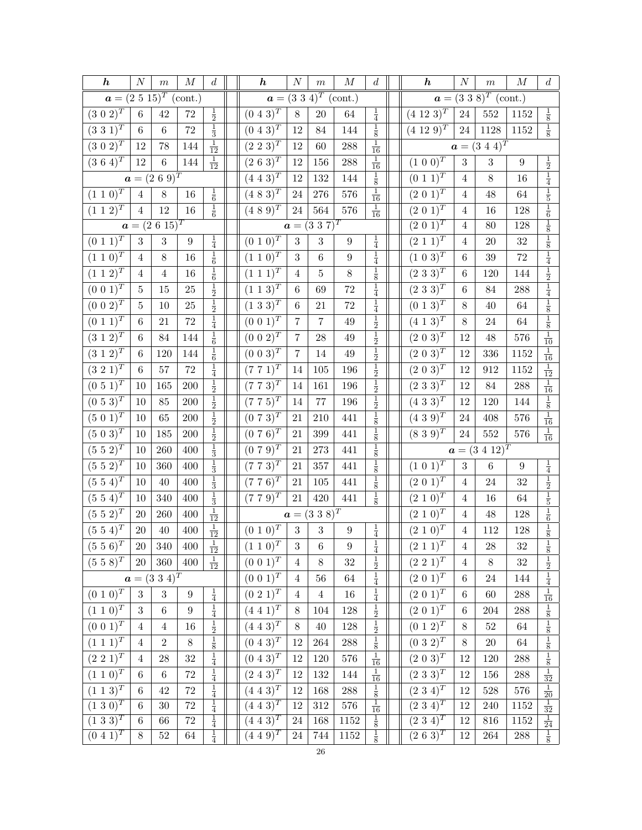| $\boldsymbol{h}$                   | $\cal N$         | $\,m$                                   | $\cal M$          | $\boldsymbol{d}$                  | $\boldsymbol{h}$             | $\cal N$        | $\,m$                     | $\cal M$         | $\boldsymbol{d}$                 | $\boldsymbol{h}$                      | $\cal N$       | $\,m$                         | $\cal M$           | $\boldsymbol{d}$                                                      |
|------------------------------------|------------------|-----------------------------------------|-------------------|-----------------------------------|------------------------------|-----------------|---------------------------|------------------|----------------------------------|---------------------------------------|----------------|-------------------------------|--------------------|-----------------------------------------------------------------------|
| $a = (2\ 5\ 15)^T \text{ (cont.)}$ |                  |                                         |                   |                                   |                              |                 | $a = (3\ 3\ 4)^T$ (cont.) |                  |                                  | $\boldsymbol{a} =$                    |                | $(3\;3\;8)^T$ (cont.)         |                    |                                                                       |
| $(3\; 0\; 2)^T$                    | $\,6\,$          | 42                                      | $72\,$            | $\frac{1}{2}$                     | $(0\ 4\ \overline{3})^T$     | 8               | $20\,$                    | $64\,$           | $\frac{1}{4}$                    | $(4\;12\;3)^{T}$                      | $24\,$         | $552\,$                       | 1152               | $\frac{1}{8}$                                                         |
| $(3\;3\;1)^{T}$                    | $6\phantom{.}6$  | $\,6$                                   | $\!\!72$          | $\frac{1}{3}$                     | $(0\; 4\; 3)^T$              | 12              | 84                        | 144              | $\frac{1}{8}$                    | $(4\;12\;9)^{T}$                      | 24             | 1128                          | 1152               | $\frac{1}{8}$                                                         |
| $(3\ 0\ 2)^{T}$                    | 12               | 78                                      | 144               | $\frac{1}{12}$                    | $(2\;2\;3)^{\overline{T}}$   | 12              | 60                        | $288\,$          | $\frac{1}{16}$                   |                                       |                | $a = (3\ 4\ 4)^T$             |                    |                                                                       |
| $(3\;6\;4)^{\overline{T}}$         | 12               | $\,6\,$                                 | 144               | $\frac{1}{12}$                    | $(2\; 6\; 3)^T$              | 12              | 156                       | $288\,$          | $\frac{1}{16}$                   | $(1\ 0\ \overline{0)^T}$              | 3              | $\sqrt{3}$                    | $\boldsymbol{9}$   |                                                                       |
|                                    |                  | $a = (2 \ 6 \ 9)^T$                     |                   |                                   | $(4\; 4\; 3)^{\overline{T}}$ | 12              | 132                       | 144              | $\frac{1}{8}$                    | $(0\ 1\ \overline{1)^T}$              | $\overline{4}$ | $8\,$                         | 16                 | $\frac{1}{2}$ $\frac{1}{4}$                                           |
| $(1 \; 1 \; \overline{0)^T}$       | $\,4\,$          | $8\,$                                   | 16                | $\frac{1}{6}$                     | $(4 \ 8 \ \overline{3})^T$   | 24              | $276\,$                   | 576              | $\frac{1}{16}$                   | $(2\;\overline{0\;1)^T}$              | $\overline{4}$ | 48                            | 64                 |                                                                       |
| $(1\; 1\; 2)^T$                    | $\overline{4}$   | $12\,$                                  | $16\,$            | $\frac{1}{6}$                     | $(4\ 8\ 9)^{T}$              | 24              | $564\,$                   | $576\,$          | $\frac{1}{16}$                   | $(2\;0\;1)^T$                         | $\overline{4}$ | 16                            | 128                |                                                                       |
|                                    |                  | $a = (2\ 6\ 15)^T$                      |                   |                                   |                              |                 | $a = (3\ 3\ 7)^T$         |                  |                                  | $(2 0 1)^T$                           | $\overline{4}$ | 80                            | 128                | $\frac{1}{5}$ $\frac{1}{6}$ $\frac{1}{8}$ $\frac{1}{8}$ $\frac{1}{8}$ |
| $(0\; 1\; 1)^T$                    | $\sqrt{3}$       | 3                                       | $\boldsymbol{9}$  | $\frac{1}{4}$                     | $\overline{(0\;1\;0)^T}$     | $\overline{3}$  | 3                         | $\boldsymbol{9}$ | $\frac{1}{4}$                    | $(2\; 1\; \overline{1)^T}$            | $\overline{4}$ | 20                            | $32\,$             |                                                                       |
| $(1\ 1\ 0)^T$                      | $\overline{4}$   | $8\,$                                   | 16                | $\frac{1}{6}$                     | $(1\; 1\; 0)^T$              | 3               | $\,6\,$                   | $\boldsymbol{9}$ | $\frac{1}{4}$                    | $(1\ 0\ 3)^T$                         | $\,6$          | 39                            | 72                 | $\frac{1}{4}$ $\frac{1}{2}$                                           |
| $(1\; 1\; \overline{2})^T$         | $\overline{4}$   | $\overline{4}$                          | 16                | $\frac{1}{6}$                     | $(1\; 1\; \overline{1})^T$   | $\overline{4}$  | 5                         | 8                | $\frac{1}{8}$                    | $(2\ 3\ 3)^T$                         | $\;6\;$        | 120                           | 144                |                                                                       |
| $(0\;0\;1)^{\overline{T}}$         | $\bf 5$          | $15\,$                                  | 25                | $\frac{1}{2}$                     | $(1\; 1\; 3)^T$              | $\,6$           | 69                        | $72\,$           | $\frac{1}{4}$                    | $(2\;3\;3)^{\overline{T}}$            | $\,$ 6 $\,$    | 84                            | 288                | $\frac{1}{4}$                                                         |
| $(0\;0\;2)^{T}$                    | $\overline{5}$   | 10                                      | 25                | $\frac{1}{2}$                     | $(1\;3\;3)^{T}$              | $\,6$           | 21                        | $72\,$           | $\frac{1}{4}$                    | $(0\; 1\; 3)^{T}$                     | 8              | $40\,$                        | 64                 | $\frac{1}{8}$                                                         |
| $(0\; 1\; 1)^{\overline{T}}$       | 6                | 21                                      | $72\,$            | $\frac{1}{4}$                     | $(0\ 0\ 1)^T$                | $\overline{7}$  | $\overline{7}$            | $49\,$           | $\frac{1}{2}$                    | $(4 \; 1 \; 3)^T$                     | 8              | 24                            | 64                 | $\frac{1}{8}$                                                         |
| $(3\; 1\; 2)^T$                    | $\,6\,$          | 84                                      | 144               | $\frac{1}{6}$                     | $(0\; 0\; \overline{2})^T$   | $\overline{7}$  | ${\bf 28}$                | $49\,$           | $\frac{1}{2}$ $\frac{1}{2}$      | $(2\; 0\; \overline{3})^T$            | 12             | 48                            | $576\,$            | $\frac{1}{10}$                                                        |
| $(3\; 1\; 2)^T$                    | 6                | 120                                     | 144               | $\frac{1}{6}$                     | $(0\ 0\ 3)^{\overline{T}}$   | $\overline{7}$  | 14                        | $49\,$           |                                  | $(2\ 0\ 3)^{\overline{T}}$            | 12             | 336                           | 1152               | $\frac{1}{16}$                                                        |
| $(3\;2\;1)^{\bar{T}}$              | 6                | $57\,$                                  | $\!\!72$          | $\frac{1}{4}$                     | $(7\ 7\ 1)^T$                | 14              | 105                       | 196              | $\frac{1}{2}$                    | $(2\; 0\; 3)^{\bar{T}}$               | 12             | 912                           | 1152               | $\frac{1}{12}$                                                        |
| $(0\ 5\ 1)^{\overline{T}}$         | 10               | 165                                     | 200               | $\frac{1}{2}$                     | $(7\ 7\ 3)^T$                | 14              | 161                       | 196              | $\frac{1}{2}$                    | $(2\;3\;\overline{3})^{\overline{T}}$ | 12             | 84                            | $\boldsymbol{288}$ | $\frac{1}{16}$                                                        |
| $(0\,\,5\,\,3)^{T}$                | 10               | $85\,$                                  | $200\,$           | $\frac{1}{2}$                     | $(7\ 7\ 5)^{T}$              | 14              | $77\,$                    | $196\,$          | $\frac{1}{2}$                    | $(\overline{4\;3\;3)^T}$              | 12             | 120                           | 144                | $\frac{1}{8}$                                                         |
| $(5\; 0\; 1)^T$                    | 10               | 65                                      | $200\,$           | $\frac{1}{2}$                     | $(0\ 7\ 3)^{T}$              | 21              | 210                       | 441              | $\frac{1}{8}$                    | $(4\ 3\ 9)^{T}$                       | 24             | 408                           | 576                | $\frac{1}{16}$                                                        |
| $(5\ 0\ 3)^T$                      | 10               | 185                                     | $200\,$           | $\frac{1}{2}$                     | $(0\ 7\ 6)^{\overline{T}}$   | 21              | $399\,$                   | 441              | $\frac{1}{8}$                    | $(8\ 3\ 9)^{\overline{T}}$            | $24\,$         | 552                           | $576\,$            | $\frac{1}{16}$                                                        |
| $(5\;5\;2)^{\overline{T}}$         | $10\,$           | 260                                     | 400               | $\frac{1}{3}$                     | $(0\ 7\ 9)^{\bar{T}}$        | $21\,$          | $273\,$                   | 441              | $\frac{1}{8}$                    |                                       |                | $\boldsymbol{a}=(3\ 4\ 12)^T$ |                    |                                                                       |
| $(5\;5\;2)^{\bar{T}}$              | 10               | 360                                     | 400               | $\frac{1}{3}$                     | $(7\;7\;3)^{\bar{T}}$        | 21              | 357                       | 441              | $\frac{1}{8}$                    | $(1\; 0\; \overline{1)^T}$            | $\sqrt{3}$     | $\,6\,$                       | $\boldsymbol{9}$   | $\frac{1}{4}$                                                         |
| $(5\ 5\ 4)^T$                      | $10\,$           | $40\,$                                  | 400               | $\frac{1}{3}$                     | $(7 7 6)^T$                  | $21\,$          | $105\,$                   | 441              | $\frac{1}{8}$                    | $(2\;0\;1)^{\bar{T}}$                 | $\overline{4}$ | $24\,$                        | 32                 | $\frac{1}{2}$                                                         |
| $(5\;5\;4)^T$                      | 10               | 340                                     | 400               | $\frac{1}{3}$                     | $(7\; 7\; 9)^{T}$            | 21              | 420                       | 441              | $\frac{1}{8}$                    | $(2\; 1\; 0)^T$                       | 4              | 16                            | 64                 | $\frac{1}{5}$                                                         |
| $(5\;5\;2)^T$                      | 20               | $260\,$                                 | 400               | $\frac{1}{12}$                    |                              |                 | $a = (3\ 3\ 8)^T$         |                  |                                  | $(2\;1\;\overline{0)^T}$              | $\overline{4}$ | $48\,$                        | 128                | $\frac{1}{6}$ $\frac{1}{8}$                                           |
| $(5\ 5\ 4)^{\overline{T}}$         | $20\,$           | $40\,$                                  | $400\,$           | $\frac{1}{12}$                    | $(0\ 1\ 0)^T$                | $\sqrt{3}$      | $\sqrt{3}$                | $\boldsymbol{9}$ | $\frac{1}{4}$                    | $(2\;1\;\overline{0)^T}$              | $\,4\,$        | 112                           | 128                |                                                                       |
| $(5\;5\;\overline{6})^{T}$         | $\overline{20}$  | $\overline{340}$                        | $\vert 400 \vert$ | $\overline{1}$<br>$\overline{12}$ | $(1\;1\;0)^{T}$              | $3\phantom{.0}$ | $6\,$                     | $\boldsymbol{9}$ | $\overline{1}$<br>$\overline{4}$ | $(2\; 1\; 1)^T$                       | $\overline{4}$ | $28\,$                        | $32\,$             | $\overline{1}$                                                        |
| $(5\;5\;\overline{8)^{T}}$         | 20               | 360                                     | 400               | $\frac{1}{12}$                    | $(0\; 0\; 1)^T$              | $\overline{4}$  | $8\,$                     | 32               | $\frac{1}{2}$                    | $(2\,\,\overline{2\,\,1)^T}$          | $\overline{4}$ | $8\,$                         | 32                 | $\frac{8}{2}$                                                         |
|                                    |                  | $\boldsymbol{a}=(3\ 3\ \overline{4})^T$ |                   |                                   | $(0\ \overline{0\ 1)^T}$     | $\overline{4}$  | 56                        | 64               | $\frac{1}{4}$                    | $(2\;\overline{0\;1)^T}$              | $\,6\,$        | $24\,$                        | 144                | $\frac{1}{4}$                                                         |
| $(0\; 1\; 0)^T$                    | 3                | 3                                       | $9\phantom{.0}$   | $\frac{1}{4}$                     | $\overline{(0\;2\;1)^T}$     | $\overline{4}$  | $\overline{4}$            | 16               | $\frac{1}{4}$                    | $(2\; 0\; 1)^T$                       | 6              | 60                            | $\boldsymbol{288}$ | $\frac{1}{16}$                                                        |
| $(1\; 1\; 0)^T$                    | $\boldsymbol{3}$ | $\,6\,$                                 | $\boldsymbol{9}$  | $\frac{1}{4}$                     | $(4\;4\;1)^{T}$              | $8\,$           | 104                       | 128              | $\frac{1}{2}$                    | $(2\;0\;1)^{T}$                       | $\,6$          | 204                           | 288                | $\frac{1}{8}$                                                         |
| $(0\; 0\; \overline{1)^T}$         | $\overline{4}$   | $\overline{4}$                          | 16                | $\frac{1}{2}$                     | $(4\; 4\; 3)^T$              | 8               | $40\,$                    | $128\,$          | $\frac{1}{2}$                    | $(0\ 1\ \overline{2)^T}$              | $8\,$          | $52\,$                        | $64\,$             | $\frac{1}{8}$                                                         |
| $(1\; 1\; 1)^T$                    | $\overline{4}$   | $\overline{2}$                          | 8                 | $\frac{1}{8}$                     | $(0\; 4\; 3)^T$              | 12              | $264\,$                   | $288\,$          | $\frac{1}{8}$                    | $(0\;3\;2)^{T}$                       | $8\,$          | $20\,$                        | 64                 | $\frac{1}{8}$ $\frac{1}{8}$                                           |
| $(2\ 2\ 1)^T$                      | $\overline{4}$   | $28\,$                                  | $32\,$            | $\frac{1}{4}$                     | $(0\ 4\ 3)^T$                | 12              | $120\,$                   | $576\,$          | $\frac{1}{16}$                   | $(2\; 0\; \overline{3})^T$            | 12             | 120                           | $\boldsymbol{288}$ |                                                                       |
| $(1\; 1\; 0)^T$                    | 6                | $\,6\,$                                 | $72\,$            | $\frac{1}{4}$                     | $(2\;4\;3)^{T}$              | 12              | 132                       | 144              | $\frac{1}{16}$                   | $(2\;3\;3)^{T}$                       | 12             | 156                           | $\boldsymbol{288}$ | $\frac{1}{32}$                                                        |
| $(1\; 1\; 3)^T$                    | $\,6\,$          | 42                                      | $72\,$            | $\frac{1}{4}$                     | $(4\;4\;3)^{T}$              | 12              | 168                       | $288\,$          | $\frac{1}{8}$                    | $\overline{(2\;3\;4)^T}$              | 12             | 528                           | $576\,$            | $\frac{1}{20}$ $\frac{1}{32}$                                         |
| $(1\ \overline{3\ 0)^T}$           | $\,6\,$          | $30\,$                                  | $72\,$            | $\frac{1}{4}$                     | $(4\ \overline{4\ 3)^T}$     | 12              | $312\,$                   | 576              | $\frac{1}{16}$                   | $(2\;3\;4)^{T}$                       | 12             | 240                           | 1152               |                                                                       |
| $(1\;3\;3)^{T}$                    | $\,6\,$          | 66                                      | $\sqrt{72}$       | $\frac{1}{4}$                     | $(4\;4\;3)^{T}$              | $24\,$          | 168                       | 1152             | $\frac{1}{8}$                    | $(2\;3\;4)^{T}$                       | $12\,$         | 816                           | 1152               | $\frac{1}{24}$                                                        |
| $(0\; 4\; 1)^T$                    | 8                | $52\,$                                  | $64\,$            | $\frac{1}{4}$                     | $(4\;4\;9)^{T}$              | $24\,$          | 744                       | 1152             | $\frac{1}{8}$                    | $(\overline{2\; 6\; 3)^T}$            | 12             | $264\,$                       | $\boldsymbol{288}$ | $\frac{1}{8}$                                                         |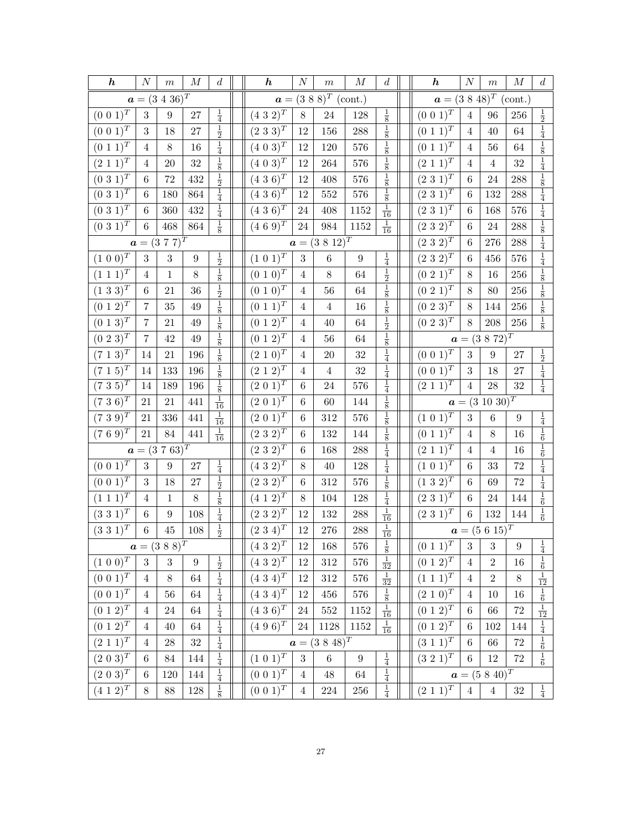| $\boldsymbol{h}$             | $\boldsymbol{N}$ | $\,m$                        | $\cal M$ | $\boldsymbol{d}$ | $\boldsymbol{h}$           | $\boldsymbol{N}$ | $\,m$                       | $\boldsymbol{M}$ | $\boldsymbol{d}$                                          | $\boldsymbol{h}$             | $\boldsymbol{N}$ | $\,m$                             | $\cal M$           | $\boldsymbol{d}$                                             |
|------------------------------|------------------|------------------------------|----------|------------------|----------------------------|------------------|-----------------------------|------------------|-----------------------------------------------------------|------------------------------|------------------|-----------------------------------|--------------------|--------------------------------------------------------------|
|                              |                  | $a = (3\ 4\ 36)^T$           |          |                  |                            |                  | $a = (3 \ 8 \ 8)^T$ (cont.) |                  |                                                           | $a = (3\ 8\ 48)^T$ (cont.)   |                  |                                   |                    |                                                              |
| $(0\; 0\; 1)^T$              | 3                | 9                            | $27\,$   | $\frac{1}{4}$    | $(4\ 3\ 2)^T$              | $8\,$            | $24\,$                      | 128              | $\frac{1}{8}$                                             | $(0\;0\;1)^{T}$              | $\overline{4}$   | 96                                | 256                | $\frac{1}{2}$                                                |
| $(0\; 0\; 1)^{T}$            | 3                | 18                           | $27\,$   | $\frac{1}{2}$    | $(2\ 3\ \overline{3})^T$   | 12               | 156                         | 288              | $\frac{1}{8}$                                             | $(0\; 1\; 1)^{\overline{T}}$ | $\overline{4}$   | 40                                | $64\,$             | $\frac{1}{4}$                                                |
| $(0\; 1\; 1)^T$              | $\overline{4}$   | $8\,$                        | $16\,$   | $\frac{1}{4}$    | $(4\ 0\ 3)^{T}$            | 12               | 120                         | 576              | $\frac{1}{8}$                                             | $(0\; 1\; 1)^T$              | $\overline{4}$   | 56                                | 64                 | $\frac{1}{8}$                                                |
| $(2\; 1\; \overline{1})^T$   | $\overline{4}$   | 20                           | $32\,$   | $\frac{1}{8}$    | $(4\; 0\; \overline{3})^T$ | $12\,$           | 264                         | 576              | $\frac{1}{8}$                                             | $(2\; 1\; \overline{1})^T$   | $\overline{4}$   | $\overline{4}$                    | $32\,$             | $\frac{1}{4}$                                                |
| $(0\;3\;1)^{T}$              | 6                | 72                           | 432      | $\frac{1}{2}$    | $(4\;3\;6)^{T}$            | 12               | 408                         | 576              |                                                           | $(2\;3\;1)^{T}$              | 6                | 24                                | 288                |                                                              |
| $(0\;3\;\overline{1})^T$     | $\,6\,$          | 180                          | 864      | $\frac{1}{4}$    | $(4\ 3\ 6)^T$              | 12               | $552\,$                     | $576\,$          | $\frac{1}{8}$ $\frac{1}{8}$                               | $(2\;3\;\overline{1})^T$     | $\,6$            | 132                               | $\boldsymbol{288}$ | $\frac{1}{8}$ $\frac{1}{4}$                                  |
| $(0\;3\;1)^{T}$              | $\,6\,$          | $360\,$                      | $432\,$  | $\frac{1}{4}$    | $(4\ 3\ 6)^T$              | $24\,$           | 408                         | 1152             | $\frac{1}{16}$                                            | $(2\ 3\ 1)^T$                | 6                | 168                               | $576\,$            | $\frac{1}{4}$                                                |
| $(0\ 3\ 1)^{\overline{T}}$   | $\,6\,$          | 468                          | 864      | $\frac{1}{8}$    | $(4\ 6\ 9)^{T}$            | $24\,$           | 984                         | 1152             | $\frac{1}{16}$                                            | $(2\;3\;2)^{T}$              | 6                | $24\,$                            | $\boldsymbol{288}$ |                                                              |
|                              |                  | $\boldsymbol{a}=(3\ 7\ 7)^T$ |          |                  |                            |                  | $a = (3 \ 8 \ 12)^T$        |                  |                                                           | $(2\ 3\ 2)^{T}$              | 6                | 276                               | $\boldsymbol{288}$ | $\frac{1}{8}$ $\frac{1}{4}$                                  |
| $(1\ 0\ 0)^{\overline{T}}$   | $\boldsymbol{3}$ | $\sqrt{3}$                   | 9        | $\frac{1}{2}$    | $(1\ 0\ 1)^{T}$            | $\sqrt{3}$       | $\,6\,$                     | $\boldsymbol{9}$ | $\frac{1}{4}$                                             | $(2\;3\;2)^{T}$              | 6                | 456                               | 576                | $\frac{1}{4}$                                                |
| $(1\; 1\; 1)^T$              | $\overline{4}$   | $\mathbf{1}$                 | $8\,$    | $\frac{1}{8}$    | $(0\; 1\; 0)^T$            | $\overline{4}$   | $8\,$                       | 64               | $\frac{1}{2}$                                             | $(0\; 2\; 1)^T$              | 8                | 16                                | $256\,$            | $\frac{1}{8}$                                                |
| $(1\ 3\ 3)^T$                | $\,6$            | 21                           | 36       | $\frac{1}{2}$    | $(0\ 1\ 0)^{T}$            | $\overline{4}$   | 56                          | 64               | $\frac{1}{8}$                                             | $(0\; 2\; 1)^T$              | 8                | 80                                | 256                | $\frac{1}{8}$                                                |
| $(0\ 1\ 2)^T$                | $\overline{7}$   | $35\,$                       | $49\,$   | $\frac{1}{8}$    | $(0\ 1\ 1)^T$              | $\overline{4}$   | $\overline{4}$              | 16               | $\frac{1}{8}$                                             | $(0\ 2\ 3)^{T}$              | 8                | 144                               | $256\,$            | $\frac{1}{8}$ $\frac{1}{8}$                                  |
| $(0\ 1\ 3)^T$                | 7                | 21                           | 49       | $\frac{1}{8}$    | $(0\ 1\ 2)^T$              | 4                | 40                          | 64               | $\frac{1}{2}$                                             | $(0\ 2\ 3)^{T}$              | 8                | 208                               | 256                |                                                              |
| $(0\ 2\ 3)^{T}$              | $\overline{7}$   | 42                           | $49\,$   | $\frac{1}{8}$    | $(0\; 1\; 2)^T$            | $\overline{4}$   | 56                          | 64               | $\frac{1}{8}$ $\frac{1}{4}$                               |                              |                  | $a = (3 \ 8 \ 72)^T$              |                    |                                                              |
| $(7\; 1\; 3)^T$              | 14               | $21\,$                       | $196\,$  | $\frac{1}{8}$    | $(2\; 1\; 0)^T$            | $\overline{4}$   | <b>20</b>                   | $32\,$           |                                                           | $(0\;0\;1)^T$                | 3                | 9                                 | $27\,$             | $\frac{1}{2}$                                                |
| $(7\; 1\; 5)^T$              | 14               | 133                          | 196      | $\frac{1}{8}$    | $(2\; 1\; 2)^T$            | $\overline{4}$   | $\sqrt{4}$                  | $32\,$           | $\frac{1}{4}$                                             | $(0\; 0\; 1)^T$              | $\boldsymbol{3}$ | 18                                | 27                 | $\frac{1}{4}$                                                |
| $(7\;3\;5)^{T}$              | 14               | 189                          | 196      | $\frac{1}{8}$    | $(2\;0\;1)^T$              | 6                | 24                          | 576              | $\frac{1}{4}$                                             | $(2\;1\;\overline{1})^T$     | $\overline{4}$   | ${\bf 28}$                        | $32\,$             | $\frac{1}{4}$                                                |
| $(736)^T$                    | 21               | $21\,$                       | 441      | $\frac{1}{16}$   | $(2\; 0\; \overline{1})^T$ | $\,6\,$          | 60                          | 144              | $\frac{1}{8}$                                             |                              |                  | $a = (3\ 10\ 30)^T$               |                    |                                                              |
| $(739)^{T}$                  | 21               | 336                          | 441      | $\frac{1}{16}$   | $(2\; 0\; 1)^T$            | $\,6\,$          | $312\,$                     | 576              | $\frac{1}{8}$                                             | $(1\ 0\ 1)^{T}$              | 3                | $\boldsymbol{6}$                  | $\boldsymbol{9}$   | $\frac{1}{4}$                                                |
| $(7\ 6\ 9)^T$                | 21               | 84                           | 441      | $\frac{1}{16}$   | $(2\ 3\ 2)^T$              | 6                | 132                         | 144              | $\frac{1}{8}$                                             | $(0\ 1\ 1)^T$                | 4                | 8                                 | 16                 | $\frac{1}{6}$                                                |
|                              |                  | $a = (3\ 7\ 63)^T$           |          |                  | $(2\ 3\ 2)^{T}$            | 6                | 168                         | 288              | $\frac{1}{4}$                                             | $(2\ 1\ 1)^T$                | 4                | $\overline{4}$                    | 16                 | $\frac{1}{6}$                                                |
| $(0\; 0\; 1)^{\overline{T}}$ | $\boldsymbol{3}$ | $\boldsymbol{9}$             | $27\,$   | $\frac{1}{4}$    | $(4\ 3\ 2)^{T}$            | $8\,$            | $40\,$                      | 128              | $\frac{1}{4}$                                             | $(1\ 0\ 1)^T$                | $\,6$            | 33                                | $72\,$             | $\frac{1}{4}$                                                |
| $(0\; 0\; 1)^T$              | 3                | 18                           | 27       | $\frac{1}{2}$    | $(2\ 3\ 2)^{T}$            | 6                | $312\,$                     | 576              | $\frac{1}{8}$                                             | $(1\ 3\ 2)^{T}$              | 6                | 69                                | 72                 | $\frac{1}{4}$                                                |
| $(1\; 1\; 1)^T$              | 4                | $\mathbf 1$                  | $8\,$    | $\frac{1}{8}$    | $(4\ 1\ 2)^T$              | 8                | 104                         | 128              | $\frac{1}{4}$                                             | $(2\;3\;1)^{T}$              | 6                | 24                                | 144                | $\frac{1}{6}$                                                |
| $(3\;3\;1)^{T}$              | $\,6\,$          | $\boldsymbol{9}$             | 108      | $\frac{1}{4}$    | $(2\ 3\ 2)^{T}$            | 12               | $132\,$                     | 288              | $\frac{1}{16}$                                            | $(2\;3\;1)^{T}$              | $\,6\,$          | 132                               | 144                | $\frac{1}{6}$                                                |
| $(3\ 3\ 1)^T$                | $\,6\,$          | 45                           | 108      | $\frac{1}{2}$    | $(2\;3\;4)^{T}$            | $12\,$           | $276\,$                     | $288\,$          | $\frac{1}{16}$                                            |                              |                  | $\boldsymbol{a} = (5 \ 6 \ 15)^T$ |                    |                                                              |
|                              |                  | $a = (3\;8\;8)^T$            |          |                  | $(432)^{T}$                | $12\,$           | $168\,$                     | $576\,$          | $\,1$<br>$\overline{8}$                                   | $(0\ 1\ 1)^T$   3   3        |                  |                                   | 9                  | $\frac{1}{1}$<br>$\overline{4}$                              |
| $(1\ 0\ 0)^{\overline{T}}$   | 3                | $\boldsymbol{3}$             | 9        | $\frac{1}{2}$    | $(4\ 3\ 2)^{T}$            | 12               | $312\,$                     | $576\,$          | $\frac{1}{32}$                                            | $(0\; 1\; \overline{2})^T$   | $\overline{4}$   | $\sqrt{2}$                        | $16\,$             | $\frac{1}{6}$                                                |
| $(0\ 0\ \overline{1)^T}$     | $\overline{4}$   | $8\,$                        | $64\,$   | $\frac{1}{4}$    | $(4 \ 3 \ 4)^T$            | $12\,$           | $312\,$                     | $576\,$          | $\frac{1}{32}$                                            | $(1\ \overline{1\ 1)^T}$     | $\overline{4}$   | $\overline{2}$                    | $8\,$              | $\frac{1}{12}$                                               |
| $(0\; 0\; 1)^T$              | $\overline{4}$   | 56                           | $64\,$   | $\frac{1}{4}$    | $(4\ 3\ 4)^T$              | 12               | $456\,$                     | $576\,$          |                                                           | $(2\; 1\; 0)^T$              | 4                | 10                                | 16                 |                                                              |
| $(0\; 1\; \overline{2})^T$   | $\overline{4}$   | 24                           | 64       | $\frac{1}{4}$    | $(4\;3\;6)^T$              | 24               | 552                         | 1152             | $\begin{array}{r} \frac{1}{8}\\ \frac{1}{16} \end{array}$ | $(0\; 1\; 2)^T$              | 6                | 66                                | $72\,$             | $\begin{array}{c}\n\frac{1}{6} \\ \frac{1}{12}\n\end{array}$ |
| $(0\; 1\; 2)^{T}$            | $\overline{4}$   | 40                           | 64       | $\frac{1}{4}$    | $(4\ 9\ 6)^T$              | 24               | 1128                        | 1152             | $\frac{1}{16}$                                            | $(0\; 1\; \overline{2)^T}$   | 6                | 102                               | 144                | $\frac{1}{4}$                                                |
| $(2\;1\;1)^{T}$              | $\overline{4}$   | $\sqrt{28}$                  | $32\,$   | $\frac{1}{4}$    |                            |                  | $a = (3\ 8\ 48)^T$          |                  |                                                           | $(3\; 1\; 1)^T$              | 6                | 66                                | $72\,$             | $\frac{1}{6}$                                                |
| $(2\; 0\; 3)^T$              | $\,6\,$          | $84\,$                       | 144      | $\frac{1}{4}$    | $(1\; 0\; 1)^T$            | $\overline{3}$   | $6\,$                       | $\boldsymbol{9}$ | $\frac{1}{4}$                                             | $(3\;2\;1)^{T}$              | 6                | $12\,$                            | $72\,$             | $\frac{1}{6}$                                                |
| $(2\; 0\; \overline{3})^T$   | $\,6\,$          | 120                          | 144      | $\frac{1}{4}$    | $(0\; 0\; 1)^T$            | $\overline{4}$   | $48\,$                      | 64               | $\frac{1}{4}$                                             |                              |                  | $a = (5\ 8\ 40)^T$                |                    |                                                              |
| $(4\; 1\; 2)^T$              | $8\,$            | $88\,$                       | $128\,$  | $\frac{1}{8}$    | $(0\ 0\ \overline{1)^T}$   | $\overline{4}$   | $224\,$                     | $256\,$          | $\frac{1}{4}$                                             | $(2\; 1\; 1)^{\overline{T}}$ | $\overline{4}$   | $\overline{4}$                    | $32\,$             | $\frac{1}{4}$                                                |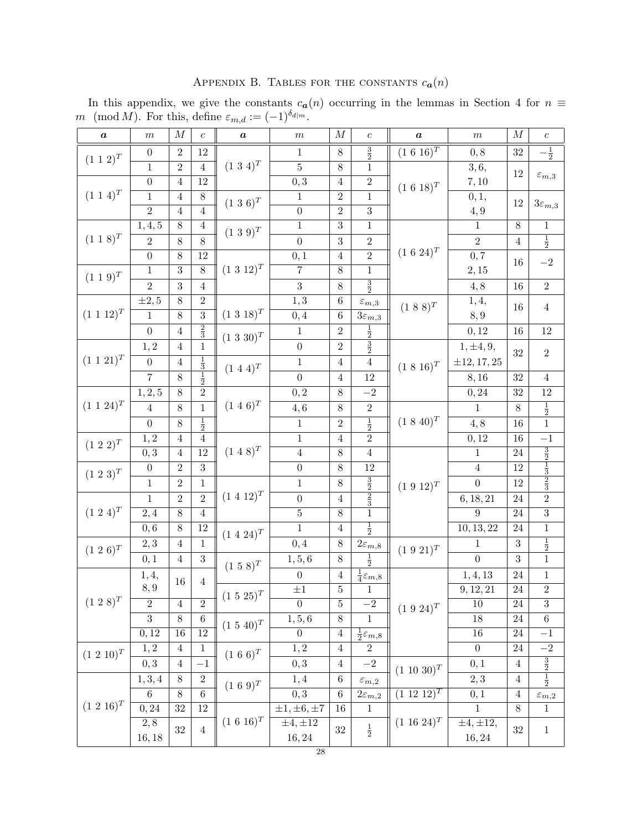| APPENDIX B. TABLES FOR THE CONSTANTS $c_{\boldsymbol{a}}(n)$ |  |  |  |  |  |  |
|--------------------------------------------------------------|--|--|--|--|--|--|
|--------------------------------------------------------------|--|--|--|--|--|--|

In this appendix, we give the constants  $c_{a}(n)$  occurring in the lemmas in Section 4 for  $n \equiv$ m (mod M). For this, define  $\varepsilon_{m,d} := (-1)^{\delta_{d|m}}$ .

| $\pmb{a}$        | $\,m$            | $\cal M$        | $\boldsymbol{c}$ | $\boldsymbol{a}$ | $\,m$                 | $\cal M$         | $\boldsymbol{c}$                | $\boldsymbol{a}$  | $\,m$            | $\cal M$        | $\boldsymbol{c}$                                        |
|------------------|------------------|-----------------|------------------|------------------|-----------------------|------------------|---------------------------------|-------------------|------------------|-----------------|---------------------------------------------------------|
| $(1\ 1\ 2)^{T}$  | $\boldsymbol{0}$ | $\overline{2}$  | 12               |                  | $\mathbf{1}$          | 8                | $\frac{3}{2}$                   | $(1\ 6\ 16)^T$    | 0, 8             | $32\,$          | $-\frac{1}{2}$                                          |
|                  | $\overline{1}$   | $\overline{2}$  | $\overline{4}$   | $(1\;3\;4)^{T}$  | $\overline{5}$        | $\overline{8}$   | $\mathbf{1}$                    |                   | $\overline{3,6}$ | $12\,$          |                                                         |
|                  | $\boldsymbol{0}$ | $\overline{4}$  | $\overline{12}$  |                  | $\overline{0,3}$      | $\overline{4}$   | $\overline{2}$                  | $(1\ 6\ 18)^T$    | 7, 10            |                 | $\varepsilon_{m,3}$                                     |
| $(1\ 1\ 4)^T$    | $\mathbf{1}$     | $\overline{4}$  | $\overline{8}$   | $(1\ 3\ 6)^T$    | 1                     | $\overline{2}$   | $\mathbf{1}$                    |                   | 0, 1,            | 12              |                                                         |
|                  | $\overline{2}$   | $\overline{4}$  | $\overline{4}$   |                  | $\overline{0}$        | $\overline{2}$   | $\overline{3}$                  |                   | $4,9\,$          |                 | $3\varepsilon_{m,3}$                                    |
|                  | 1, 4, 5          | 8               | $\overline{4}$   | $(1\ 3\ 9)^{T}$  | $\,1$                 | $\overline{3}$   | $\mathbf{1}$                    |                   | $\mathbf{1}$     | 8               | $\mathbf{1}$                                            |
| $(1\ 1\ 8)^{T}$  | $\overline{2}$   | 8               | $\,8\,$          |                  | $\overline{0}$        | $\boldsymbol{3}$ | $\overline{2}$                  |                   | $\overline{2}$   | $\overline{4}$  | $\frac{1}{2}$                                           |
|                  | $\boldsymbol{0}$ | $\overline{8}$  | $\overline{12}$  |                  | 0,1                   | $\overline{4}$   | $\overline{2}$                  | $(1\ 6\ 24)^T$    | $\overline{0,7}$ | $16\,$          | $-2\,$                                                  |
| $(1\ 1\ 9)^T$    | $\,1$            | $\overline{3}$  | $\overline{8}$   | $(1\;3\;12)^{T}$ | $\overline{7}$        | $8\,$            | $\mathbf{1}$                    |                   | 2, 15            |                 |                                                         |
|                  | $\overline{2}$   | 3               | $\overline{4}$   |                  | $\overline{3}$        | $8\,$            | $\frac{3}{2}$                   |                   | 4, 8             | $16\,$          | $\,2$                                                   |
|                  | $\pm 2, 5$       | 8               | $\overline{2}$   |                  | $\overline{1,3}$      | $\,6$            | $\varepsilon_{m,3}$             | $(1\ 8\ 8)^T$     | 1, 4,            | $16\,$          | $\overline{4}$                                          |
| $(1\ 1\ 12)^{T}$ | $\mathbf{1}$     | $\overline{8}$  | $\overline{3}$   | $(1\ 3\ 18)^T$   | 0,4                   | $\,6\,$          | $\overline{3}\varepsilon_{m,3}$ |                   | 8,9              |                 |                                                         |
|                  | $\overline{0}$   | $\overline{4}$  | $\frac{2}{3}$    | $(1\ 3\ 30)^T$   | $\,1$                 | $\overline{2}$   | $\frac{1}{2}$                   |                   | 0, 12            | 16              | 12                                                      |
|                  | 1, 2             | $\overline{4}$  | $\mathbf{1}$     |                  | $\boldsymbol{0}$      | $\sqrt{2}$       | $\frac{3}{2}$                   |                   | $1, \pm 4, 9,$   | 32              | $\,2$                                                   |
| $(1\ 1\ 21)^T$   | $\overline{0}$   | $\overline{4}$  | $\frac{1}{3}$    | $(1\; 4\; 4)^T$  | $\,1$                 | $\sqrt{4}$       | $\overline{4}$                  | $(1\ 8\ 16)^T$    | $\pm 12, 17, 25$ |                 |                                                         |
|                  | $\overline{7}$   | $8\,$           | $\frac{1}{2}$    |                  | $\overline{0}$        | $\overline{4}$   | 12                              |                   | 8,16             | $32\,$          | $\overline{4}$                                          |
|                  | 1, 2, 5          | $\overline{8}$  | $\overline{2}$   |                  | $\overline{0,2}$      | $\overline{8}$   | $-2$                            |                   | 0, 24            | $\overline{32}$ | 12                                                      |
| $(1\ 1\ 24)^T$   | $\overline{4}$   | $8\,$           | $\,1\,$          | $(1\ 4\ 6)^T$    | 4,6                   | $8\,$            | $\overline{2}$                  |                   | $\mathbf{1}$     | $8\,$           | $\frac{1}{2}$                                           |
|                  | $\boldsymbol{0}$ | $8\,$           | $\frac{1}{2}$    |                  | $\mathbf 1$           | $\overline{2}$   | $\frac{1}{2}$                   | $(1\ 8\ 40)^T$    | 4, 8             | 16              | $\overline{1}$                                          |
| $(1\ 2\ 2)^T$    | $\overline{1,2}$ | $\overline{4}$  | $\overline{4}$   |                  | $\,1$                 | $\overline{4}$   | $\overline{2}$                  |                   | 0, 12            | $\overline{16}$ | $-1$                                                    |
|                  | $0,\overline{3}$ | $\overline{4}$  | $\overline{12}$  | $(1\;4\;8)^{T}$  | $\overline{4}$        | $8\,$            | $\overline{4}$                  |                   | 1                | $24\,$          |                                                         |
| $(1\ 2\ 3)^{T}$  | $\overline{0}$   | $\overline{2}$  | $\overline{3}$   |                  | $\overline{0}$        | $\overline{8}$   | $\overline{12}$                 |                   | $\overline{4}$   | 12              | $\frac{3}{2}$ $\frac{1}{3}$ $\frac{2}{3}$ $\frac{2}{3}$ |
|                  | $\mathbf{1}$     | $\overline{2}$  | $\,1\,$          |                  | $\,1\,$               | $8\,$            | $\frac{3}{2}$ $\frac{2}{3}$     | $(1\ 9\ 12)^T$    | $\overline{0}$   | 12              |                                                         |
|                  | $\mathbf{1}$     | $\overline{2}$  | $\overline{2}$   | $(1\;4\;12)^{T}$ | $\boldsymbol{0}$      | $\overline{4}$   |                                 |                   | 6, 18, 21        | $24\,$          |                                                         |
| $(1\ 2\ 4)^T$    | 2,4              | 8               | $\overline{4}$   |                  | $\bf 5$               | 8                | $\mathbf{1}$                    |                   | 9                | $\overline{24}$ | $\overline{3}$                                          |
|                  | 0,6              | $8\,$           | 12               | $(1\ 4\ 24)^T$   | $\overline{1}$        | $\overline{4}$   | $\frac{1}{2}$                   |                   | 10, 13, 22       | 24              | $\overline{1}$                                          |
| $(1\ 2\ 6)^T$    | 2,3              | $\overline{4}$  | $\,1\,$          |                  | 0,4                   | $8\,$            | $2\varepsilon_{m,8}$            | $(1\;9\;21)^{T}$  | $\mathbf{1}$     | $\sqrt{3}$      | $\frac{1}{2}$                                           |
|                  | 0, 1             | $\overline{4}$  | 3                | $(1\;5\;8)^{T}$  | $1,5,6$               | $8\,$            | $\frac{1}{2}$                   |                   | $\overline{0}$   | 3               | $\overline{1}$                                          |
|                  | 1, 4,            | $16\,$          | $\overline{4}$   |                  | $\boldsymbol{0}$      | $\overline{4}$   | $\frac{1}{4}\varepsilon_{m,8}$  |                   | 1, 4, 13         | 24              | $\mathbf{1}$                                            |
|                  | 8,9              |                 |                  | $(1\ 5\ 25)^T$   | $\pm 1$               | $\bf 5$          | $\mathbf{1}$                    |                   | 9, 12, 21        | $24\,$          | $\overline{2}$                                          |
| $(1\ 2\ 8)^{T}$  | $\overline{2}$   | $\,4\,$         | $\overline{2}$   |                  | $\overline{0}$        | $\bf 5$          | $\overline{-2}$                 | $(1\ 9\ 24)^T$    | $10\,$           | $\overline{24}$ | $\overline{3}$                                          |
|                  | $\overline{3}$   | $\overline{8}$  | $\,6\,$          | $(1\ 5\ 40)^T$   | 1, 5, 6               | $8\,$            | $\mathbf{1}$                    |                   | 18               | $24\,$          | $\,6$                                                   |
|                  | 0, 12            | $\overline{16}$ | $\overline{12}$  |                  | $\theta$              | $\sqrt{4}$       | $\frac{1}{2}\varepsilon_{m,8}$  |                   | 16               | $24\,$          | $-1$                                                    |
| $(1\ 2\ 10)^T$   | 1, 2             | $\overline{4}$  | $1\,$            | $(1\ 6\ 6)^T$    | 1, 2                  | $\,4\,$          | $\overline{2}$                  |                   | $\boldsymbol{0}$ | $24\,$          | $-2$                                                    |
|                  | 0,3              | $\overline{4}$  | $\overline{-1}$  |                  | 0,3                   | $\,4\,$          | $-{\bf 2}$                      | $(1\ 10\ 30)^T$   | 0,1              | $\overline{4}$  | $\frac{3}{2}$ $\frac{1}{2}$                             |
|                  | 1, 3, 4          | $8\,$           | $\,2$            | $(1\ 6\ 9)^{T}$  | 1,4                   | $\,6\,$          | $\varepsilon_{m,2}$             |                   | 2,3              | $\overline{4}$  |                                                         |
|                  | $\overline{6}$   | $8\,$           | $\overline{6}$   |                  | $\overline{0,3}$      | $\,6\,$          | $2\varepsilon_{m,2}$            | $(1\;12\;12)^{T}$ | 0,1              | $\overline{4}$  | $\varepsilon_{m,2}$                                     |
| $(1\ 2\ 16)^T$   | 0, 24            | $\overline{32}$ | $\overline{12}$  |                  | $\pm 1, \pm 6, \pm 7$ | 16               | $\mathbf{1}$                    |                   | $\mathbf{1}$     | $\overline{8}$  | $\mathbf{1}$                                            |
|                  | 2, 8             | $32\,$          | $\overline{4}$   | $(1\ 6\ 16)^T$   | $\pm 4, \pm 12$       | $32\,$           | $\frac{1}{2}$                   | $(1\ 16\ 24)^T$   | $\pm 4, \pm 12,$ | $32\,$          | $\mathbf{1}$                                            |
|                  | 16,18            |                 |                  |                  | 16,24                 |                  |                                 |                   | 16,24            |                 |                                                         |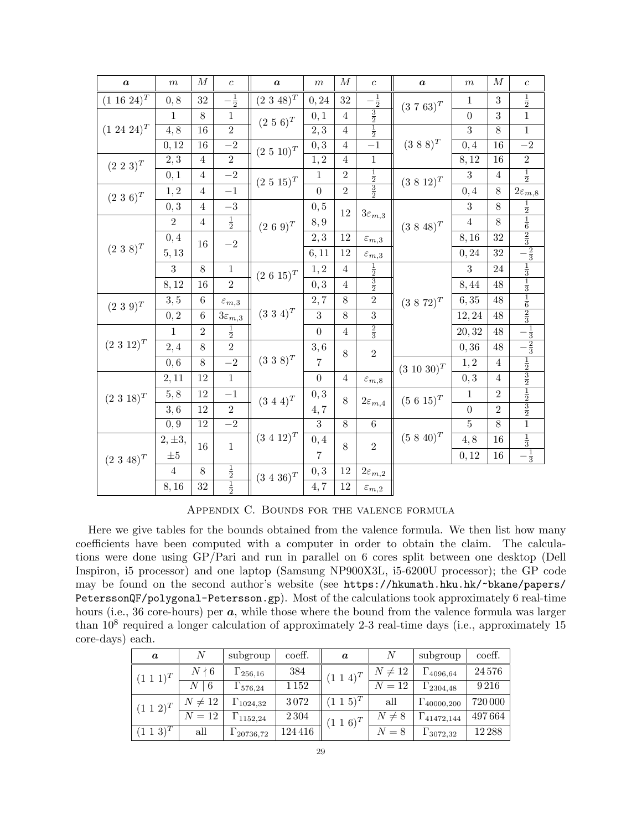| $\boldsymbol{a}$ | $\,m$                           | $\cal M$        | $\boldsymbol{c}$        | $\boldsymbol{a}$ | $\,m$            | $\cal M$       | $\boldsymbol{c}$                          | $\boldsymbol{a}$ | $\,m$                                                                              | $\cal M$        | $\boldsymbol{c}$                                                                                                                                          |
|------------------|---------------------------------|-----------------|-------------------------|------------------|------------------|----------------|-------------------------------------------|------------------|------------------------------------------------------------------------------------|-----------------|-----------------------------------------------------------------------------------------------------------------------------------------------------------|
| $(1\;16\;24)^T$  | $0,8\,$                         | $32\,$          | $\frac{1}{2}$           | $(2\;3\;48)^{T}$ | 0, 24            | $32\,$         | $\frac{1}{2}$                             | $(3\ 7\ 63)^T$   | $\mathbf{1}$                                                                       | 3               | $\frac{1}{2}$                                                                                                                                             |
|                  | $\mathbf{1}$                    | $8\,$           | $\mathbf 1$             | $(2\ 5\ 6)^T$    | 0, 1             | $\overline{4}$ |                                           |                  | $\overline{0}$                                                                     | 3               | $\overline{1}$                                                                                                                                            |
| $(1\ 24\ 24)^T$  | $\overline{4,8}$                | 16              | $\overline{2}$          |                  | $\overline{2,3}$ | $\overline{4}$ | $\frac{3}{2}$ $\frac{1}{2}$               |                  | $\overline{3}$                                                                     | $\overline{8}$  | $\,1$                                                                                                                                                     |
|                  | 0, 12                           | $\overline{16}$ | $-2$                    | $(2\ 5\ 10)^T$   | 0,3              | $\overline{4}$ | $\overline{-1}$                           | $(3\ 8\ 8)^{T}$  | 0,4                                                                                | $\overline{16}$ | $\overline{-2}$                                                                                                                                           |
| $(2\ 2\ 3)^T$    | 2, 3                            | $\overline{4}$  | $\overline{2}$          |                  | 1, 2             | $\overline{4}$ | $\,1$                                     |                  | 8,12                                                                               | 16              | $\sqrt{2}$                                                                                                                                                |
|                  | 0,1                             | $\overline{4}$  | $-2$                    | $(2\ 5\ 15)^T$   | 1                | $\overline{2}$ | $rac{1}{2}$ $rac{3}{2}$                   | $(3\;8\;12)^{T}$ | 3                                                                                  | $\overline{4}$  | $\frac{1}{2}$                                                                                                                                             |
| $(2\ 3\ 6)^T$    | 1,2                             | $\overline{4}$  | $-1$                    |                  | $\overline{0}$   | $\overline{2}$ |                                           |                  | 0,4                                                                                | $8\,$           | $2\varepsilon_{m,8}$                                                                                                                                      |
|                  | $0,3\,$                         | $\overline{4}$  | $-3$                    |                  | 0, 5             | 12             | $3\varepsilon_{m,3}$                      |                  | 3                                                                                  | 8               | $\frac{1}{2}$                                                                                                                                             |
|                  | $\overline{2}$                  | $\overline{4}$  | $\frac{1}{2}$           | $(2\ 6\ 9)^T$    | $8,9$            |                |                                           | $(3\ 8\ 48)^T$   | $\overline{4}$                                                                     | $8\,$           |                                                                                                                                                           |
|                  | 0,4                             | 16              | $-2\,$                  |                  | 2, 3             | 12             | $\varepsilon_{m,3}$                       |                  | 8,16                                                                               | 32              |                                                                                                                                                           |
| $(2\ 3\ 8)^T$    | 5, 13                           |                 |                         |                  | 6, 11            | 12             | $\varepsilon_{m,3}$                       |                  | 0, 24                                                                              | 32              | $\frac{1}{6}$ $\frac{1}{2}$ $\frac{1}{3}$                                                                                                                 |
|                  | 3                               | $8\,$           | $\,1\,$                 | $(2\ 6\ 15)^T$   | 1, 2             | $\overline{4}$ |                                           |                  | 3                                                                                  | 24              |                                                                                                                                                           |
|                  | 8,12                            | 16              | $\overline{2}$          |                  | 0,3              | $\overline{4}$ | $\frac{1}{2}$ $\frac{3}{2}$ $\frac{2}{2}$ |                  | 8,44                                                                               | 48              |                                                                                                                                                           |
| $(2\ 3\ 9)^{T}$  | 3, 5                            | 6               | $\varepsilon_{m,3}$     |                  | 2,7              | 8              |                                           | $(3\;8\;72)^{T}$ | 6, 35                                                                              | 48              | $\frac{1}{3}$ $\frac{1}{3}$ $\frac{1}{3}$ $\frac{1}{3}$ $\frac{1}{3}$ $\frac{1}{3}$ $\frac{1}{3}$ $\frac{1}{3}$ $\frac{1}{3}$ $\frac{1}{3}$ $\frac{1}{3}$ |
|                  | $\boldsymbol{0},\boldsymbol{2}$ | $\sqrt{6}$      | $3\varepsilon_{m,3}$    | $(3\ 3\ 4)^T$    | 3                | 8              | $\overline{3}$                            |                  | 12,24<br>20, 32                                                                    | 48              |                                                                                                                                                           |
|                  | $\mathbf{1}$                    | $\overline{2}$  | $\frac{1}{2}$           |                  | $\overline{0}$   | $\overline{4}$ | $\frac{2}{3}$                             |                  |                                                                                    | 48              |                                                                                                                                                           |
| $(2\;3\;12)^{T}$ | 2,4                             | $8\,$           | $\overline{2}$          |                  | 3,6              | 8              | $\overline{2}$                            |                  | 0, 36                                                                              | 48              |                                                                                                                                                           |
|                  | 0,6                             | 8               | $-2$                    | $(3\ 3\ 8)^T$    | $\overline{7}$   |                |                                           | $(3\ 10\ 30)^T$  | 1, 2<br>$0,3\,$<br>$\,1$<br>$\boldsymbol{0}$<br>$\overline{5}$<br>4, 8<br>$0,12\,$ | $\overline{4}$  |                                                                                                                                                           |
|                  | 2,11                            | 12              | $\overline{1}$          |                  | $\boldsymbol{0}$ | $\overline{4}$ | $\varepsilon_{m,8}$                       |                  |                                                                                    | $\overline{4}$  | $\frac{1}{2}$ $\frac{3}{2}$ $\frac{3}{2}$ $\frac{1}{2}$ $\frac{3}{2}$ $\frac{3}{2}$ $\frac{3}{2}$ $\frac{1}{1}$                                           |
| $(2\ 3\ 18)^T$   | 5, 8                            | 12              | $-1$                    | $(3\ 4\ 4)^T$    | 0, 3             | 8              | $2\varepsilon_{m,4}$                      | $(5\;6\;15)^{T}$ |                                                                                    | $\overline{2}$  |                                                                                                                                                           |
|                  | 3,6                             | 12              | $\,2$                   |                  | $4,7$            |                |                                           |                  |                                                                                    | $\overline{2}$  |                                                                                                                                                           |
|                  | 0,9                             | 12              | $-{\bf 2}$              |                  | $\overline{3}$   | 8              | $\,6\,$                                   |                  |                                                                                    | $8\,$           |                                                                                                                                                           |
|                  | $2, \pm 3,$                     | 16              | $\,1$                   | $(3\ 4\ 12)^T$   | 0,4              | 8              | $\overline{2}$                            | $(5 8 40)^T$     |                                                                                    | 16              | $\frac{1}{3}$ $\frac{1}{3}$                                                                                                                               |
| $(2\ 3\ 48)^T$   | $\pm 5$                         |                 |                         |                  | 7                |                |                                           |                  |                                                                                    | 16              |                                                                                                                                                           |
|                  | $\overline{4}$                  | $8\,$           | $rac{1}{2}$ $rac{1}{2}$ | $(3\ 4\ 36)^T$   | 0,3              | 12             | $2\varepsilon_{m,2}$                      |                  |                                                                                    |                 |                                                                                                                                                           |
|                  | 8,16                            | 32              |                         |                  | 4,7              | 12             | $\varepsilon_{m,2}$                       |                  |                                                                                    |                 |                                                                                                                                                           |

Appendix C. Bounds for the valence formula

Here we give tables for the bounds obtained from the valence formula. We then list how many coefficients have been computed with a computer in order to obtain the claim. The calculations were done using GP/Pari and run in parallel on 6 cores split between one desktop (Dell Inspiron, i5 processor) and one laptop (Samsung NP900X3L, i5-6200U processor); the GP code may be found on the second author's website (see https://hkumath.hku.hk/~bkane/papers/ PeterssonQF/polygonal-Petersson.gp). Most of the calculations took approximately 6 real-time hours (i.e., 36 core-hours) per  $\boldsymbol{a}$ , while those where the bound from the valence formula was larger than  $10^8$  required a longer calculation of approximately 2-3 real-time days (i.e., approximately 15 core-days) each.

| $\boldsymbol{a}$ |             | subgroup           | coeff.  | $\boldsymbol{a}$ | N                    | subgroup               | coeff.   |
|------------------|-------------|--------------------|---------|------------------|----------------------|------------------------|----------|
| $(1\; 1\; 1)^T$  | $N \nmid 6$ | $\Gamma_{256,16}$  | 384     | $(1\; 1\; 4)^T$  | $\neq 12$<br>$N_{-}$ | $\Gamma_{4096,64}$     | 24576    |
|                  | N<br>-6     | $\Gamma_{576,24}$  | 1 1 5 2 |                  | $N=12$               | $\Gamma_{2304,48}$     | 9216     |
| $(1\; 1\; 2)^T$  | $N\neq 12$  | $\Gamma_{1024,32}$ | 3072    | $(1\; 1\; 5)^T$  | all                  | $\Gamma_{40000,200}$   | 720 000  |
|                  | $N=12$      | $\Gamma_{1152,24}$ | 2 3 0 4 | $(1\; 1\; 6)^T$  | N<br>$\neq 8$        | $+ \Gamma_{41472,144}$ | 497664   |
| $(1\; 1\; 3)^T$  | all         | $1_{20736,72}$     | 124 416 |                  | $= 8$                | $\Gamma_{3072,32}$     | 12 2 8 8 |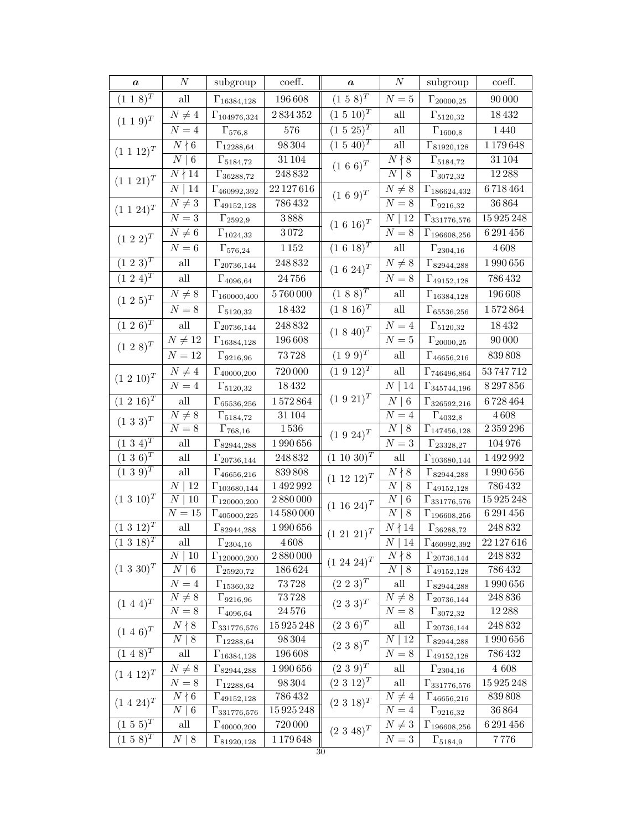| $\pmb{a}$                          | $\cal N$                           | subgroup                                    | coeff.              | $\pmb{a}$                                                                                    | $\overline{N}$                                       | subgroup                                      | coeff.            |
|------------------------------------|------------------------------------|---------------------------------------------|---------------------|----------------------------------------------------------------------------------------------|------------------------------------------------------|-----------------------------------------------|-------------------|
| $(1\;1\;8)^{T}$                    | $\operatorname{all}$               | $\Gamma_{16384,128}$                        | 196 608             | $(1\ 5\ 8)^{T}$                                                                              | ${\cal N}=5$                                         | $\Gamma_{20000,25}$                           | $90\,000$         |
| $(1\; 1\; 9)^T$                    | $N\neq 4$                          | $\Gamma_{104976,324}$                       | $2\,834\,352$       | $(1\ 5\ 10)^T$                                                                               | $\operatorname{all}$                                 | $\Gamma_{5120,32}$                            | $18\,432$         |
|                                    | ${\cal N}=4$                       | $\Gamma_{576,8}$                            | 576                 | $(1\ 5\ 25)^T$                                                                               | $\mathrm{all}$                                       | $\Gamma_{1600,8}$                             | $1\,440$          |
| $(1\; 1\; 12)^T$                   | $N \nmid 6$                        | $\Gamma_{12288,64}$                         | 98304               | $(1\ 5\ 40)^T$<br>$(1\ 6\ 6)^T$                                                              | $\overline{\text{all}}$                              | $\Gamma_{81920,128}$                          | 1179648           |
|                                    | $\overline{N}$<br>$\overline{6}$   | $\Gamma_{5184,72}$                          | 31104               |                                                                                              | $N \nmid 8$                                          | $\Gamma_{5184,72}$                            | 31104             |
| $(1\ 1\ 21)^T$                     | $N \nmid 14$                       | $\Gamma_{36288,72}$                         | 248832              |                                                                                              | $N \mid 8$                                           | $\Gamma_{3072,32}$                            | $12\,288$         |
|                                    | $\boldsymbol{N}$<br>14             | $\Gamma_{460992,392}$                       | $22\,127\,616$      | $(1\ 6\ 9)^{T}$                                                                              | $N \neq 8$                                           | $\Gamma_{186624,432}$                         | 6718464           |
| $(1\ 1\ 24)^T$                     | $\overline{N\neq 3}$               | $\Gamma_{49152,128}$                        | 786432              |                                                                                              | $\overline{N} = 8$                                   | $\Gamma_{9216,32}$                            | 36864             |
|                                    | $N = 3$                            | $\Gamma_{2592,9}$                           | $3\,888$            | $(1\ 6\ 16)^T$                                                                               | $N \mid 12$                                          | $\Gamma_{331776,576}$                         | 15925248          |
| $(1\ 2\ 2)^{T}$                    | $N\neq 6$                          | $\Gamma_{1024,32}$                          | $3\,072$            |                                                                                              | $N=8$                                                | $\Gamma_{196608,256}$                         | $6\,291\,456$     |
|                                    | $N=6$                              | $\Gamma_{576,24}$                           | $1\,152$            | $(1\;6\;18)^{T}$                                                                             | $\operatorname{all}$                                 | $\Gamma_{2304,16}$                            | $4\,608$          |
| $(1\;2\;3)^{T}$                    | $\operatorname{all}$               | $\Gamma_{20736,144}$                        | 248832              | $(1\ 6\ 24)^T$                                                                               | $N\neq 8$                                            | $\Gamma_{82944,288}$                          | $1\,990\,656$     |
| $(1\ 2\ 4)^T$                      | $\operatorname{all}$               | $\Gamma_{4096,64}$                          | $24\,756$           |                                                                                              | ${\cal N}=8$                                         | $\Gamma_{49152,128}$                          | 786432            |
| $(1\;2\;5)^{T}$                    | $N\neq 8$                          | $\Gamma_{160000,400}$                       | $5\,760\,000$       | $(1\;8\;8)^{T}$                                                                              | $\operatorname{all}$                                 | $\Gamma_{16384,128}$                          | 196608            |
|                                    | ${\cal N}=8$                       | $\Gamma_{5120,32}$                          | 18432               | $(1\;8\;16)^T$                                                                               | $\operatorname{all}$                                 | $\Gamma_{65536,256}$                          | 1572864           |
| $(1\;2\;6)^{T}$                    | $\operatorname{all}$               | $\Gamma_{20736,144}$                        | 248832              | $(1\ 8\ 40)^T$                                                                               | ${\cal N}=4$                                         | $\Gamma_{5120,32}$                            | 18432             |
| $(1\ 2\ 8)^{T}$                    | $N \neq 12$                        | $\Gamma_{16384,128}$                        | 196 608             | $(1\ \overline{9\ 9})^T$                                                                     | ${\cal N}=5$                                         | $\Gamma_{20000,25}$                           | $90\,000$         |
|                                    | ${\cal N}=12$                      | $\Gamma_{9216,96}$                          | $73\,728$           |                                                                                              | $\mathop{\rm all}\nolimits$                          | $\Gamma_{46656,216}$                          | 839808            |
|                                    | $N\neq 4$                          | $\Gamma_{40000,200}$                        | 720 000             | $(1\ 9\ \overline{12})^T$                                                                    | $\mathop{\rm all}\nolimits$                          | $\Gamma_{746496,864}$                         | 53 747 712        |
| $(1\ 2\ 10)^T$                     | $\overline{N=4}$                   | $\Gamma_{5120,32}$                          | 18432               | $(1\ 9\ 21)^T$                                                                               | $N \mid 14$                                          | $\Gamma_{345744,196}$                         | 8297856           |
| $(1\;2\;16)^T$                     | $\operatorname{all}$               | $\Gamma_{65536,256}$                        | $1\,572\,864$       |                                                                                              | $\cal N$<br>$\vert 6$                                | $\Gamma_{326592,216}$                         | 6728464           |
| $(1\ 3\ 3)^{T}$                    | $N\neq 8$                          | $\Gamma_{5184,72}$                          | 31 104              |                                                                                              | ${\cal N}=4$                                         | $\Gamma_{4032,8}$                             | $4\,608$          |
|                                    | $N=8$                              | $\Gamma_{768,16}$                           | $1\,536$            |                                                                                              | $N \mid 8$                                           | $\Gamma_{147456,128}$                         | 2359296           |
| $(1\;3\;4)^{T}$                    | $\operatorname{all}$               | $\Gamma_{82944,288}$                        | $1\,990\,656$       |                                                                                              | ${\cal N}=3$                                         | $\Gamma_{23328,27}$                           | 104976            |
| $(1\;3\;6)^T$                      | $\mathop{\rm all}\nolimits$        | $\Gamma_{20736,144}$                        | 248832              |                                                                                              | $\mathop{\rm all}\nolimits$                          | $\Gamma_{103680,144}$                         | 1492992           |
| $(1\;3\;9)^{T}$                    | $\mathop{\rm all}\nolimits$        | $\Gamma_{46656,216}$                        | 839 808             |                                                                                              | $N \nmid 8$                                          | $\Gamma_{82944,288}$                          | 1990656           |
|                                    | 12<br>$\cal N$                     | $\Gamma_{103680,144}$                       | 1492992             | $(1\ 9\ 24)^T$<br>$(1\;10\;30)^{T}$<br>$(1\ 12\ 12)^T$<br>$(1\ 16\ 24)^T$<br>$(1\ 21\ 21)^T$ | $\overline{N}$<br>$\,8\,$                            | $\Gamma_{49152,128}$                          | 786432            |
| $(1\ 3\ 10)^T$                     | $\cal N$<br>$10\,$                 | $\Gamma_{120000,200}$                       | $\frac{1}{2880000}$ |                                                                                              | $\boldsymbol{N}$<br>6<br>$\boldsymbol{N}$<br>$\,8\,$ | $\Gamma_{331\overline{776,576}}$              | 15925248          |
|                                    | ${\cal N}=15$                      | $\Gamma_{405000,225}$                       | 14 580 000          |                                                                                              |                                                      | $\Gamma_{196608,256}$                         | 6291456<br>248832 |
| $(1\;3\;12)^{T}$<br>$(1\ 3\ 18)^T$ | $\mathop{\rm all}\nolimits$<br>all | $\Gamma_{82944,288}$                        | 1990656<br>4608     |                                                                                              | $N \nmid 14$                                         | $\Gamma_{36288,72}$                           | $22\,127\,616$    |
|                                    | Ν<br>$\mid$ 10                     | $\Gamma_{2304,16}$<br>$\Gamma_{120000,200}$ | 2880000             |                                                                                              | $N \mid 14$<br>$N \nmid 8$                           | $\Gamma_{460992,392}$<br>$\Gamma_{20736,144}$ | 248832            |
| $(1\ 3\ 30)^T$                     | $\vert 6$<br>$\boldsymbol{N}$      | $\Gamma_{25920,72}$                         | 186624              | $(1\ 24\ 24)^T$                                                                              | $N \mid 8$                                           | $\Gamma_{49152,128}$                          | 786432            |
|                                    | $N=4$                              | $\Gamma_{15360,32}$                         | 73728               | $(2\;2\;3)^{T}$                                                                              | all                                                  | $\Gamma_{82944,288}$                          | 1990656           |
|                                    | $N \neq 8$                         | $\Gamma_{9216,96}$                          | 73728               |                                                                                              | $N\neq 8$                                            | $\Gamma_{20736,144}$                          | 248836            |
| $(1\ 4\ 4)^T$                      | $N=8$                              | $\Gamma_{4096,64}$                          | 24576               | $(2\ 3\ 3)^T$                                                                                | ${\cal N}=8$                                         | $\Gamma_{3072,32}$                            | 12 28 8           |
| $(1\ 4\ 6)^T$                      | $N \nmid 8$                        | $\Gamma_{331776,576}$                       | 15925248            | $(2\;3\;6)^{T}$                                                                              | $\operatorname{all}$                                 | $\Gamma_{20736,144}$                          | 248832            |
|                                    | $\mid 8$<br>Ν                      | $\Gamma_{12288,64}$                         | 98304               | $(2\;3\;8)^{T}$                                                                              | $N \mid 12$                                          | $\Gamma_{82944,288}$                          | 1990656           |
| $(1\;4\;8)^{T}$                    | all                                | $\Gamma_{16384,128}$                        | 196 608             |                                                                                              | $N=8$                                                | $\Gamma_{49152,128}$                          | 786432            |
| $(1\ 4\ 12)^T$                     | $N\neq 8$                          | $\Gamma_{82944,288}$                        | 1990656             | $(2\;3\;9)^{\overline{T}}$                                                                   | $\operatorname{all}$                                 | $\Gamma_{2304,16}$                            | $4\ 608$          |
|                                    | $N=8$                              | $\Gamma_{12288,64}$                         | $98\,304$           | $(2\;3\;12)^{T}$                                                                             | $\operatorname{all}$                                 | $\Gamma_{331776,576}$                         | 15925248          |
| $(1\;4\;24)^{T}$                   | $N \nmid 6$                        | $\Gamma_{49152,128}$                        | 786432              | $(2\;3\;18)^{T}$                                                                             | $N\neq 4$                                            | $\Gamma_{46656,216}$                          | 839808            |
|                                    | $N \mid 6$                         | $\Gamma_{331776,576}$                       | 15 925 248          |                                                                                              | $N=4$                                                | $\Gamma_{9216,32}$                            | 36864             |
| $(1\;5\;5)^{\overline{T}}$         | all                                | $\Gamma_{40000,200}$                        | 720 000             | $(2\ 3\ 48)^T$                                                                               | $N\neq 3$                                            | $\Gamma_{196608,256}$                         | 6 291 456         |
| $(1\;5\;8)^{T}$                    | $N \mid 8$                         | $\Gamma_{81920,128}$                        | 1179648<br>30       |                                                                                              | ${\cal N}=3$                                         | $\Gamma_{5184,9}$                             | 7776              |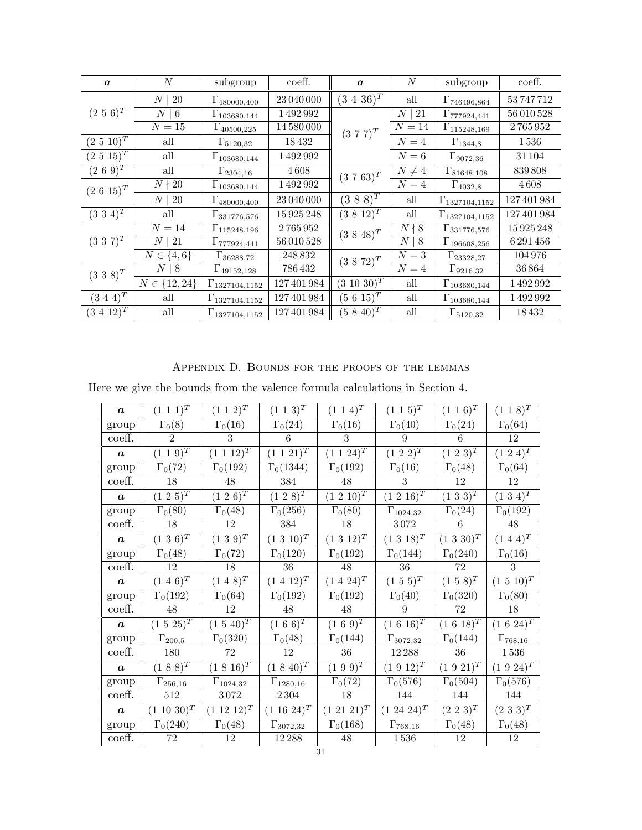| $\boldsymbol{a}$           | $\boldsymbol{N}$       | subgroup                | coeff.          | $\boldsymbol{a}$ | N                     | subgroup                | coeff.     |
|----------------------------|------------------------|-------------------------|-----------------|------------------|-----------------------|-------------------------|------------|
|                            | <b>20</b><br>$N_{\rm}$ | $\Gamma_{480000,400}$   | 23 040 000      | $(3\;4\;36)^{T}$ | all                   | $\Gamma_{746496,864}$   | 53747712   |
| $(2\ 5\ 6)^T$              | $N \mid 6$             | $\Gamma_{103680,144}$   | 1492992         | $(3\ 7\ 7)^T$    | N<br>21               | $\Gamma_{777924,441}$   | 56 010 528 |
|                            | $N=15$                 | $\Gamma_{40500,225}$    | 14 580 000      |                  | $N=14$                | $\Gamma_{115248,169}$   | 2765952    |
| $(2\ 5\ 10)^T$             | all                    | $\Gamma_{5120,32}$      | 18432           |                  | $N=4$                 | $\Gamma_{1344,8}$       | 1536       |
| $(2\;5\;15)^{\bar{T}}$     | all                    | $\Gamma_{103680,144}$   | 1492992         |                  | $N=6$                 | $\Gamma_{9072,36}$      | 31 104     |
| $(2\ 6\ 9)^{T}$            | all                    | $\Gamma_{2304,16}$      | 4608            | $(3\ 7\ 63)^T$   | $N\neq 4$             | $\Gamma_{81648,108}$    | 839808     |
| $(2\ 6\ 15)^T$             | $N \nmid 20$           | $\Gamma_{103680,144}$   | 1492992         |                  | $N=4$                 | $\Gamma_{4032,8}$       | 4608       |
|                            | $N \mid 20$            | $\Gamma_{480000,400}$   | 23 040 000      | $(3\;8\;8)^{T}$  | all                   | $\Gamma_{1327104,1152}$ | 127401984  |
| $(3\;3\;4)^{\overline{T}}$ | all                    | $\Gamma_{331776,576}$   | 15925248        | $(3\;8\;12)^{T}$ | all                   | $\Gamma_{1327104,1152}$ | 127401984  |
|                            | $N=14$                 | $\Gamma_{115248,196}$   | 2765952         | $(3\;8\;48)^{T}$ | $N \nmid 8$           | $\Gamma_{331776,576}$   | 15925248   |
| $(3\;3\;7)^{T}$            | 21<br>$\,N$            | $\Gamma_{777924,441}$   | 56 010 528      |                  | $\boldsymbol{N}$<br>8 | $\Gamma_{196608,256}$   | 6 291 456  |
|                            | $N \in \{4, 6\}$       | $\Gamma_{36288,72}$     | 248832          | $(3\;8\;72)^{T}$ | $N=3$                 | $\Gamma_{23328,27}$     | 104976     |
| $(3\;3\;8)^{T}$            | $N_{\parallel}$<br>  8 | $\Gamma_{49152,128}$    | 786 432         |                  | $N=4$                 | $\Gamma_{9216,32}$      | 36864      |
|                            | $N \in \{12, 24\}$     | $\Gamma_{1327104,1152}$ | $127\,401\,984$ | $(3\;10\;30)^T$  | all                   | $\Gamma_{103680,144}$   | 1492992    |
| $(3\;4\;4)^{T}$            | all                    | $\Gamma_{1327104,1152}$ | 127 401 984     | $(5\ 6\ 15)^T$   | all                   | $\Gamma_{103680,144}$   | 1492992    |
| $(3\;4\;12)^{T}$           | all                    | $\Gamma_{1327104,1152}$ | 127 401 984     | $(5\;8\;40)^T$   | all                   | $\Gamma_{5120,32}$      | 18432      |

APPENDIX D. BOUNDS FOR THE PROOFS OF THE LEMMAS

Here we give the bounds from the valence formula calculations in Section 4.

| $\boldsymbol{a}$ | $(1\; 1\; 1)^T$              | $(1\; 1\; 2)^T$    | $(1\; 1\; 3)^T$            | $(1\; 1\; 4)^T$          | $(1\;1\;5)^{T}$                | $(1\; 1\; 6)^T$  | $(1\; 1\; 8)^T$   |
|------------------|------------------------------|--------------------|----------------------------|--------------------------|--------------------------------|------------------|-------------------|
| group            | $\Gamma_0(8)$                | $\Gamma_0(16)$     | $\Gamma_0(24)$             | $\Gamma_0(16)$           | $\Gamma_0(40)$                 | $\Gamma_0(24)$   | $\Gamma_0(64)$    |
| coeff.           | $\overline{2}$               | 3                  | 6                          | 3                        | 9                              | 6                | 12                |
| $\boldsymbol{a}$ | $(1\; 1\; 9)^T$              | $(1\; 1\; 12)^T$   | $(1\; 1\; 21)^T$           | $(1\ 1\ 24)^T$           | $(1\ 2\ 2)^T$                  | $(1\;2\;3)^{T}$  | $(1\;2\;4)^{T}$   |
| group            | $\Gamma_0(72)$               | $\Gamma_0(192)$    | $\Gamma_0(1344)$           | $\Gamma_0(192)$          | $\Gamma_0(16)$                 | $\Gamma_0(48)$   | $\Gamma_0(64)$    |
| coeff.           | $18\,$                       | $48\,$             | $384\,$                    | $48\,$                   | 3                              | 12               | 12                |
| $\boldsymbol{a}$ | $(1\ 2\ 5)^{T}$              | $(1\ 2\ 6)^{T}$    | $(1\ 2\ 8)^{T}$            | $(1\ 2\ 10)^{T}$         | $(1\ 2\ 16)^T$                 | $(1\;3\;3)^{T}$  | $(1\;3\;4)^{T}$   |
| group            | $\Gamma_0(80)$               | $\Gamma_0(48)$     | $\Gamma_0(\overline{256)}$ | $\Gamma_0(80)$           | $\Gamma_{1024,32}$             | $\Gamma_0(24)$   | $\Gamma_0(192)$   |
| coeff.           | $18\,$                       | 12                 | 384                        | $18\,$                   | $3\,072$                       | 6                | $48\,$            |
| $\boldsymbol{a}$ | $(1\ 3\ 6)^T$                | $(1\ 3\ 9)^{T}$    | $(1\ 3\ 10)^T$             | $(1\ 3\ 12)^T$           | $(1\;3\;18)^{T}$               | $(1\ 3\ 30)^T$   | $(1\;4\;4)^{T}$   |
| group            | $\Gamma_0(48)$               | $\Gamma_0(72)$     | $\Gamma_0(120)$            | $\Gamma_0(192)$          | $\Gamma_0(144)$                | $\Gamma_0(240)$  | $\Gamma_0(16)$    |
| coeff.           | 12                           | $18\,$             | $36\,$                     | $48\,$                   | $36\,$                         | 72               | 3                 |
| $\boldsymbol{a}$ | $(1\; 4\; 6)^T$              | $(1\; 4\; 8)^T$    | $(1\; 4\; 12)^T$           | $(1\; 4\; 24)^{\bar{T}}$ | $(1\;5\;5)^{\overline{T}}$     | $(1\;5\;8)^{T}$  | $(1\ 5\ 10)^T$    |
| group            | $\Gamma_0(192)$              | $\Gamma_0(64)$     | $\Gamma_0(192)$            | $\Gamma_0(192)$          | $\Gamma_0(40)$                 | $\Gamma_0(320)$  | $\Gamma_0(80)$    |
| coeff.           | 48                           | 12                 | 48                         | 48                       | 9                              | 72               | 18                |
| $\boldsymbol{a}$ | $(1\ 5\ 25)^T$               | $(1\ 5\ 40)^T$     | $(1\ 6\ 6)^{T}$            | $(1\ 6\ 9)^{T}$          | $(1\ 6\ 16)^T$                 | $(1\;6\;18)^{T}$ | $(1\ 6\ 24)^T$    |
| group            | $\Gamma_{200,\underline{5}}$ | $\Gamma_0(320)$    | $\Gamma_0(48)$             | $\Gamma_0(144)$          | $\Gamma_{307\underline{2,32}}$ | $\Gamma_0(144)$  | $\Gamma_{768,16}$ |
| coeff.           | 180                          | 72                 | $12\,$                     | $36\,$                   | $12\,288$                      | $36\,$           | $1\,536$          |
| $\boldsymbol{a}$ | $(1\ 8\ 8)^{T}$              | $(1\;8\;16)^{T}$   | $(1\;8\;40)^{T}$           | $(1\ 9\ 9)^{T}$          | $(1\;9\;12)^{T}$               | $(1\;9\;21)^{T}$ | $(1\ 9\ 24)^T$    |
| group            | $\Gamma_{256,16}$            | $\Gamma_{1024,32}$ | $\Gamma_{1280,16}$         | $\Gamma_0(72)$           | $\Gamma_0(576)$                | $\Gamma_0(504)$  | $\Gamma_0(576)$   |
| coeff.           | $512\,$                      | 3072               | $2\,304$                   | $18\,$                   | 144                            | 144              | 144               |
| $\boldsymbol{a}$ | $(1\ 10\ 30)^T$              | $(1\ 12\ 12)^T$    | $(1\;16\;24)^T$            | $(1\;21\;21)^{T}$        | $(1\;24\;24)^T$                | $(2\;2\;3)^{T}$  | $(2\;3\;3)^{T}$   |
| group            | $\Gamma_0(240)$              | $\Gamma_0(48)$     | $\Gamma_{3072,32}$         | $\Gamma_0(168)$          | $\Gamma_{768,16}$              | $\Gamma_0(48)$   | $\Gamma_0(48)$    |
| coeff.           | $72\,$                       | $12\,$             | $12\,288$                  | $48\,$                   | $1\,536$                       | 12               | 12                |